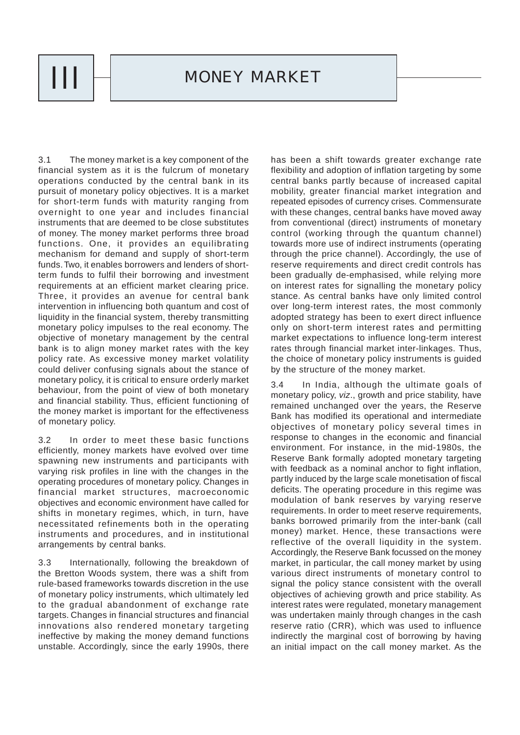

3.1 The money market is a key component of the financial system as it is the fulcrum of monetary operations conducted by the central bank in its pursuit of monetary policy objectives. It is a market for short-term funds with maturity ranging from overnight to one year and includes financial instruments that are deemed to be close substitutes of money. The money market performs three broad functions. One, it provides an equilibrating mechanism for demand and supply of short-term funds. Two, it enables borrowers and lenders of shortterm funds to fulfil their borrowing and investment requirements at an efficient market clearing price. Three, it provides an avenue for central bank intervention in influencing both quantum and cost of liquidity in the financial system, thereby transmitting monetary policy impulses to the real economy. The objective of monetary management by the central bank is to align money market rates with the key policy rate. As excessive money market volatility could deliver confusing signals about the stance of monetary policy, it is critical to ensure orderly market behaviour, from the point of view of both monetary and financial stability. Thus, efficient functioning of the money market is important for the effectiveness of monetary policy.

3.2 In order to meet these basic functions efficiently, money markets have evolved over time spawning new instruments and participants with varying risk profiles in line with the changes in the operating procedures of monetary policy. Changes in financial market structures, macroeconomic objectives and economic environment have called for shifts in monetary regimes, which, in turn, have necessitated refinements both in the operating instruments and procedures, and in institutional arrangements by central banks.

3.3 Internationally, following the breakdown of the Bretton Woods system, there was a shift from rule-based frameworks towards discretion in the use of monetary policy instruments, which ultimately led to the gradual abandonment of exchange rate targets. Changes in financial structures and financial innovations also rendered monetary targeting ineffective by making the money demand functions unstable. Accordingly, since the early 1990s, there

has been a shift towards greater exchange rate flexibility and adoption of inflation targeting by some central banks partly because of increased capital mobility, greater financial market integration and repeated episodes of currency crises. Commensurate with these changes, central banks have moved away from conventional (direct) instruments of monetary control (working through the quantum channel) towards more use of indirect instruments (operating through the price channel). Accordingly, the use of reserve requirements and direct credit controls has been gradually de-emphasised, while relying more on interest rates for signalling the monetary policy stance. As central banks have only limited control over long-term interest rates, the most commonly adopted strategy has been to exert direct influence only on short-term interest rates and permitting market expectations to influence long-term interest rates through financial market inter-linkages. Thus, the choice of monetary policy instruments is guided by the structure of the money market.

3.4 In India, although the ultimate goals of monetary policy, *viz*., growth and price stability, have remained unchanged over the years, the Reserve Bank has modified its operational and intermediate objectives of monetary policy several times in response to changes in the economic and financial environment. For instance, in the mid-1980s, the Reserve Bank formally adopted monetary targeting with feedback as a nominal anchor to fight inflation, partly induced by the large scale monetisation of fiscal deficits. The operating procedure in this regime was modulation of bank reserves by varying reserve requirements. In order to meet reserve requirements, banks borrowed primarily from the inter-bank (call money) market. Hence, these transactions were reflective of the overall liquidity in the system. Accordingly, the Reserve Bank focussed on the money market, in particular, the call money market by using various direct instruments of monetary control to signal the policy stance consistent with the overall objectives of achieving growth and price stability. As interest rates were regulated, monetary management was undertaken mainly through changes in the cash reserve ratio (CRR), which was used to influence indirectly the marginal cost of borrowing by having an initial impact on the call money market. As the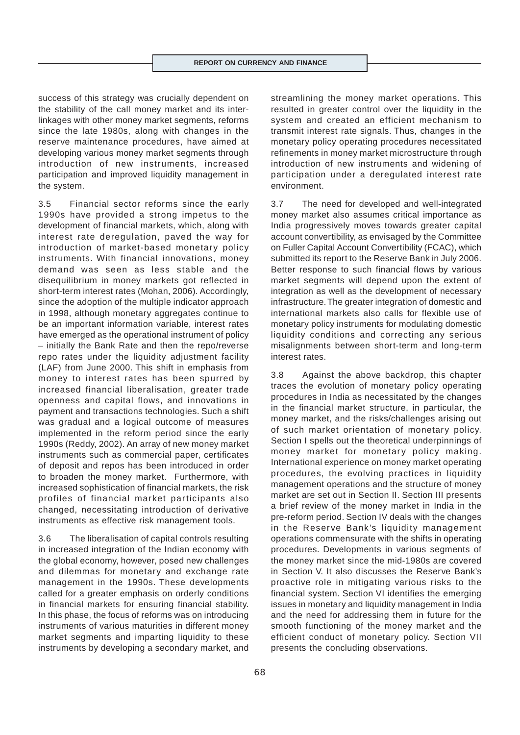success of this strategy was crucially dependent on the stability of the call money market and its interlinkages with other money market segments, reforms since the late 1980s, along with changes in the reserve maintenance procedures, have aimed at developing various money market segments through introduction of new instruments, increased participation and improved liquidity management in the system.

3.5 Financial sector reforms since the early 1990s have provided a strong impetus to the development of financial markets, which, along with interest rate deregulation, paved the way for introduction of market-based monetary policy instruments. With financial innovations, money demand was seen as less stable and the disequilibrium in money markets got reflected in short-term interest rates (Mohan, 2006). Accordingly, since the adoption of the multiple indicator approach in 1998, although monetary aggregates continue to be an important information variable, interest rates have emerged as the operational instrument of policy – initially the Bank Rate and then the repo/reverse repo rates under the liquidity adjustment facility (LAF) from June 2000. This shift in emphasis from money to interest rates has been spurred by increased financial liberalisation, greater trade openness and capital flows, and innovations in payment and transactions technologies. Such a shift was gradual and a logical outcome of measures implemented in the reform period since the early 1990s (Reddy, 2002). An array of new money market instruments such as commercial paper, certificates of deposit and repos has been introduced in order to broaden the money market. Furthermore, with increased sophistication of financial markets, the risk profiles of financial market participants also changed, necessitating introduction of derivative instruments as effective risk management tools.

3.6 The liberalisation of capital controls resulting in increased integration of the Indian economy with the global economy, however, posed new challenges and dilemmas for monetary and exchange rate management in the 1990s. These developments called for a greater emphasis on orderly conditions in financial markets for ensuring financial stability. In this phase, the focus of reforms was on introducing instruments of various maturities in different money market segments and imparting liquidity to these instruments by developing a secondary market, and streamlining the money market operations. This resulted in greater control over the liquidity in the system and created an efficient mechanism to transmit interest rate signals. Thus, changes in the monetary policy operating procedures necessitated refinements in money market microstructure through introduction of new instruments and widening of participation under a deregulated interest rate environment.

3.7 The need for developed and well-integrated money market also assumes critical importance as India progressively moves towards greater capital account convertibility, as envisaged by the Committee on Fuller Capital Account Convertibility (FCAC), which submitted its report to the Reserve Bank in July 2006. Better response to such financial flows by various market segments will depend upon the extent of integration as well as the development of necessary infrastructure. The greater integration of domestic and international markets also calls for flexible use of monetary policy instruments for modulating domestic liquidity conditions and correcting any serious misalignments between short-term and long-term interest rates.

3.8 Against the above backdrop, this chapter traces the evolution of monetary policy operating procedures in India as necessitated by the changes in the financial market structure, in particular, the money market, and the risks/challenges arising out of such market orientation of monetary policy. Section I spells out the theoretical underpinnings of money market for monetary policy making. International experience on money market operating procedures, the evolving practices in liquidity management operations and the structure of money market are set out in Section II. Section III presents a brief review of the money market in India in the pre-reform period. Section IV deals with the changes in the Reserve Bank's liquidity management operations commensurate with the shifts in operating procedures. Developments in various segments of the money market since the mid-1980s are covered in Section V. It also discusses the Reserve Bank's proactive role in mitigating various risks to the financial system. Section VI identifies the emerging issues in monetary and liquidity management in India and the need for addressing them in future for the smooth functioning of the money market and the efficient conduct of monetary policy. Section VII presents the concluding observations.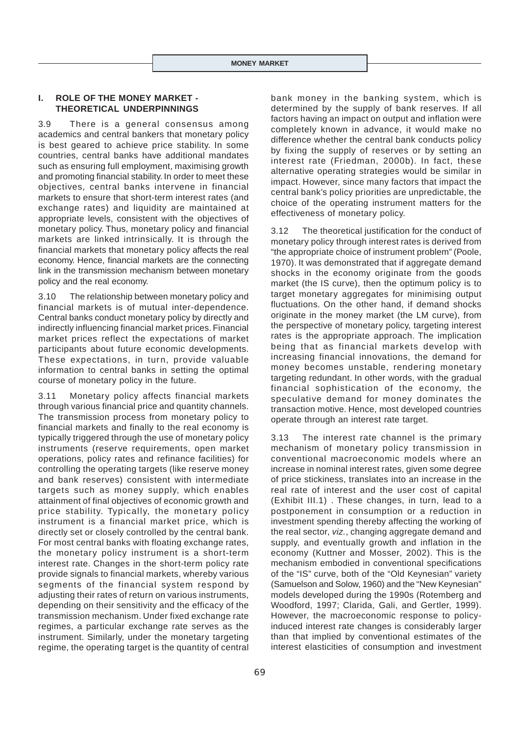## **I. ROLE OF THE MONEY MARKET - THEORETICAL UNDERPINNINGS**

3.9 There is a general consensus among academics and central bankers that monetary policy is best geared to achieve price stability. In some countries, central banks have additional mandates such as ensuring full employment, maximising growth and promoting financial stability. In order to meet these objectives, central banks intervene in financial markets to ensure that short-term interest rates (and exchange rates) and liquidity are maintained at appropriate levels, consistent with the objectives of monetary policy. Thus, monetary policy and financial markets are linked intrinsically. It is through the financial markets that monetary policy affects the real economy. Hence, financial markets are the connecting link in the transmission mechanism between monetary policy and the real economy.

3.10 The relationship between monetary policy and financial markets is of mutual inter-dependence. Central banks conduct monetary policy by directly and indirectly influencing financial market prices. Financial market prices reflect the expectations of market participants about future economic developments. These expectations, in turn, provide valuable information to central banks in setting the optimal course of monetary policy in the future.

3.11 Monetary policy affects financial markets through various financial price and quantity channels. The transmission process from monetary policy to financial markets and finally to the real economy is typically triggered through the use of monetary policy instruments (reserve requirements, open market operations, policy rates and refinance facilities) for controlling the operating targets (like reserve money and bank reserves) consistent with intermediate targets such as money supply, which enables attainment of final objectives of economic growth and price stability. Typically, the monetary policy instrument is a financial market price, which is directly set or closely controlled by the central bank. For most central banks with floating exchange rates, the monetary policy instrument is a short-term interest rate. Changes in the short-term policy rate provide signals to financial markets, whereby various segments of the financial system respond by adjusting their rates of return on various instruments, depending on their sensitivity and the efficacy of the transmission mechanism. Under fixed exchange rate regimes, a particular exchange rate serves as the instrument. Similarly, under the monetary targeting regime, the operating target is the quantity of central bank money in the banking system, which is determined by the supply of bank reserves. If all factors having an impact on output and inflation were completely known in advance, it would make no difference whether the central bank conducts policy by fixing the supply of reserves or by setting an interest rate (Friedman, 2000b). In fact, these alternative operating strategies would be similar in impact. However, since many factors that impact the central bank's policy priorities are unpredictable, the choice of the operating instrument matters for the effectiveness of monetary policy.

3.12 The theoretical justification for the conduct of monetary policy through interest rates is derived from "the appropriate choice of instrument problem" (Poole, 1970). It was demonstrated that if aggregate demand shocks in the economy originate from the goods market (the IS curve), then the optimum policy is to target monetary aggregates for minimising output fluctuations. On the other hand, if demand shocks originate in the money market (the LM curve), from the perspective of monetary policy, targeting interest rates is the appropriate approach. The implication being that as financial markets develop with increasing financial innovations, the demand for money becomes unstable, rendering monetary targeting redundant. In other words, with the gradual financial sophistication of the economy, the speculative demand for money dominates the transaction motive. Hence, most developed countries operate through an interest rate target.

3.13 The interest rate channel is the primary mechanism of monetary policy transmission in conventional macroeconomic models where an increase in nominal interest rates, given some degree of price stickiness, translates into an increase in the real rate of interest and the user cost of capital (Exhibit III.1) . These changes, in turn, lead to a postponement in consumption or a reduction in investment spending thereby affecting the working of the real sector, *viz.*, changing aggregate demand and supply, and eventually growth and inflation in the economy (Kuttner and Mosser, 2002). This is the mechanism embodied in conventional specifications of the "IS" curve, both of the "Old Keynesian" variety (Samuelson and Solow, 1960) and the "New Keynesian" models developed during the 1990s (Rotemberg and Woodford, 1997; Clarida, Gali, and Gertler, 1999). However, the macroeconomic response to policyinduced interest rate changes is considerably larger than that implied by conventional estimates of the interest elasticities of consumption and investment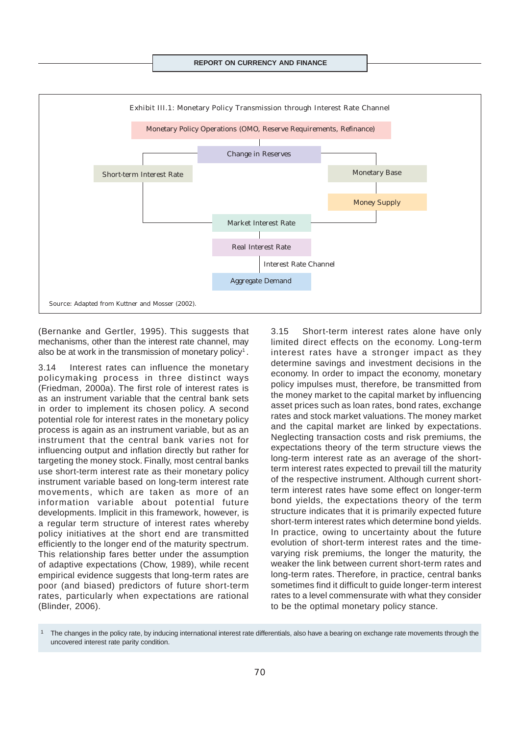

(Bernanke and Gertler, 1995). This suggests that mechanisms, other than the interest rate channel, may also be at work in the transmission of monetary policy<sup>1</sup>.

3.14 Interest rates can influence the monetary policymaking process in three distinct ways (Friedman, 2000a). The first role of interest rates is as an instrument variable that the central bank sets in order to implement its chosen policy. A second potential role for interest rates in the monetary policy process is again as an instrument variable, but as an instrument that the central bank varies not for influencing output and inflation directly but rather for targeting the money stock. Finally, most central banks use short-term interest rate as their monetary policy instrument variable based on long-term interest rate movements, which are taken as more of an information variable about potential future developments. Implicit in this framework, however, is a regular term structure of interest rates whereby policy initiatives at the short end are transmitted efficiently to the longer end of the maturity spectrum. This relationship fares better under the assumption of adaptive expectations (Chow, 1989), while recent empirical evidence suggests that long-term rates are poor (and biased) predictors of future short-term rates, particularly when expectations are rational (Blinder, 2006).

3.15 Short-term interest rates alone have only limited direct effects on the economy. Long-term interest rates have a stronger impact as they determine savings and investment decisions in the economy. In order to impact the economy, monetary policy impulses must, therefore, be transmitted from the money market to the capital market by influencing asset prices such as loan rates, bond rates, exchange rates and stock market valuations. The money market and the capital market are linked by expectations. Neglecting transaction costs and risk premiums, the expectations theory of the term structure views the long-term interest rate as an average of the shortterm interest rates expected to prevail till the maturity of the respective instrument. Although current shortterm interest rates have some effect on longer-term bond yields, the expectations theory of the term structure indicates that it is primarily expected future short-term interest rates which determine bond yields. In practice, owing to uncertainty about the future evolution of short-term interest rates and the timevarying risk premiums, the longer the maturity, the weaker the link between current short-term rates and long-term rates. Therefore, in practice, central banks sometimes find it difficult to guide longer-term interest rates to a level commensurate with what they consider to be the optimal monetary policy stance.

<sup>1</sup> The changes in the policy rate, by inducing international interest rate differentials, also have a bearing on exchange rate movements through the uncovered interest rate parity condition.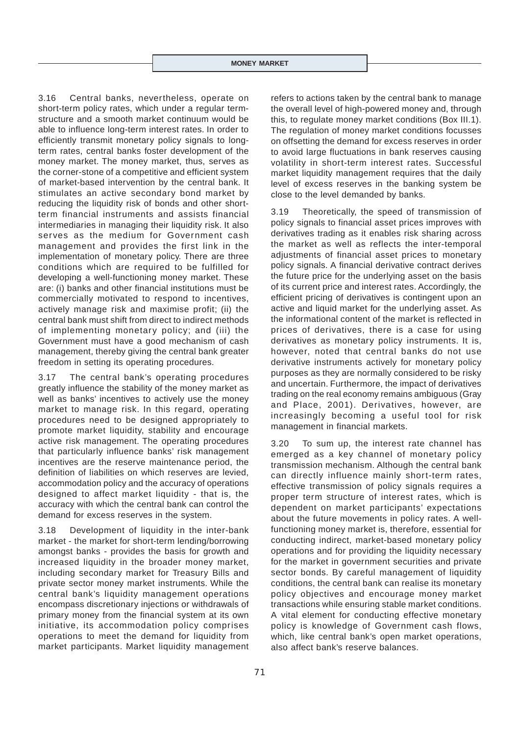3.16 Central banks, nevertheless, operate on short-term policy rates, which under a regular termstructure and a smooth market continuum would be able to influence long-term interest rates. In order to efficiently transmit monetary policy signals to longterm rates, central banks foster development of the money market. The money market, thus, serves as the corner-stone of a competitive and efficient system of market-based intervention by the central bank. It stimulates an active secondary bond market by reducing the liquidity risk of bonds and other shortterm financial instruments and assists financial intermediaries in managing their liquidity risk. It also serves as the medium for Government cash management and provides the first link in the implementation of monetary policy. There are three conditions which are required to be fulfilled for developing a well-functioning money market. These are: (i) banks and other financial institutions must be commercially motivated to respond to incentives, actively manage risk and maximise profit; (ii) the central bank must shift from direct to indirect methods of implementing monetary policy; and (iii) the Government must have a good mechanism of cash management, thereby giving the central bank greater freedom in setting its operating procedures.

3.17 The central bank's operating procedures greatly influence the stability of the money market as well as banks' incentives to actively use the money market to manage risk. In this regard, operating procedures need to be designed appropriately to promote market liquidity, stability and encourage active risk management. The operating procedures that particularly influence banks' risk management incentives are the reserve maintenance period, the definition of liabilities on which reserves are levied, accommodation policy and the accuracy of operations designed to affect market liquidity - that is, the accuracy with which the central bank can control the demand for excess reserves in the system.

3.18 Development of liquidity in the inter-bank market - the market for short-term lending/borrowing amongst banks - provides the basis for growth and increased liquidity in the broader money market, including secondary market for Treasury Bills and private sector money market instruments. While the central bank's liquidity management operations encompass discretionary injections or withdrawals of primary money from the financial system at its own initiative, its accommodation policy comprises operations to meet the demand for liquidity from market participants. Market liquidity management

refers to actions taken by the central bank to manage the overall level of high-powered money and, through this, to regulate money market conditions (Box III.1). The regulation of money market conditions focusses on offsetting the demand for excess reserves in order to avoid large fluctuations in bank reserves causing volatility in short-term interest rates. Successful market liquidity management requires that the daily level of excess reserves in the banking system be close to the level demanded by banks.

3.19 Theoretically, the speed of transmission of policy signals to financial asset prices improves with derivatives trading as it enables risk sharing across the market as well as reflects the inter-temporal adjustments of financial asset prices to monetary policy signals. A financial derivative contract derives the future price for the underlying asset on the basis of its current price and interest rates. Accordingly, the efficient pricing of derivatives is contingent upon an active and liquid market for the underlying asset. As the informational content of the market is reflected in prices of derivatives, there is a case for using derivatives as monetary policy instruments. It is, however, noted that central banks do not use derivative instruments actively for monetary policy purposes as they are normally considered to be risky and uncertain. Furthermore, the impact of derivatives trading on the real economy remains ambiguous (Gray and Place, 2001). Derivatives, however, are increasingly becoming a useful tool for risk management in financial markets.

3.20 To sum up, the interest rate channel has emerged as a key channel of monetary policy transmission mechanism. Although the central bank can directly influence mainly short-term rates, effective transmission of policy signals requires a proper term structure of interest rates, which is dependent on market participants' expectations about the future movements in policy rates. A wellfunctioning money market is, therefore, essential for conducting indirect, market-based monetary policy operations and for providing the liquidity necessary for the market in government securities and private sector bonds. By careful management of liquidity conditions, the central bank can realise its monetary policy objectives and encourage money market transactions while ensuring stable market conditions. A vital element for conducting effective monetary policy is knowledge of Government cash flows, which, like central bank's open market operations, also affect bank's reserve balances.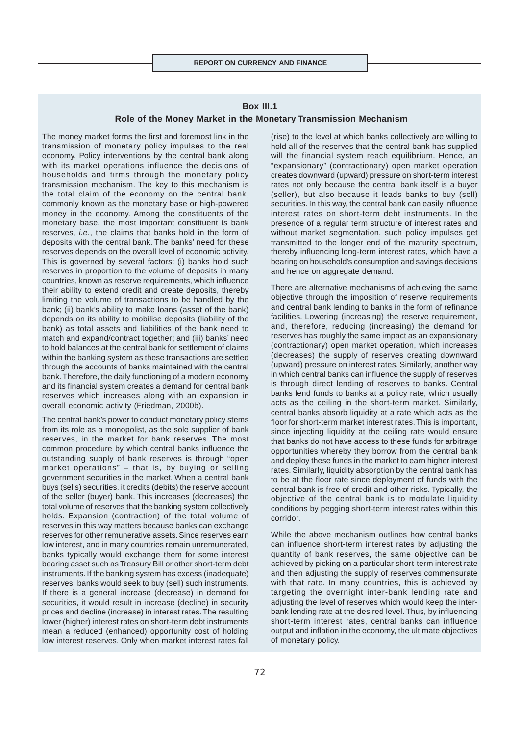#### **Box III.1**

#### **Role of the Money Market in the Monetary Transmission Mechanism**

The money market forms the first and foremost link in the transmission of monetary policy impulses to the real economy. Policy interventions by the central bank along with its market operations influence the decisions of households and firms through the monetary policy transmission mechanism. The key to this mechanism is the total claim of the economy on the central bank, commonly known as the monetary base or high-powered money in the economy. Among the constituents of the monetary base, the most important constituent is bank reserves, *i.e*., the claims that banks hold in the form of deposits with the central bank. The banks' need for these reserves depends on the overall level of economic activity. This is governed by several factors: (i) banks hold such reserves in proportion to the volume of deposits in many countries, known as reserve requirements, which influence their ability to extend credit and create deposits, thereby limiting the volume of transactions to be handled by the bank; (ii) bank's ability to make loans (asset of the bank) depends on its ability to mobilise deposits (liability of the bank) as total assets and liabilities of the bank need to match and expand/contract together; and (iii) banks' need to hold balances at the central bank for settlement of claims within the banking system as these transactions are settled through the accounts of banks maintained with the central bank. Therefore, the daily functioning of a modern economy and its financial system creates a demand for central bank reserves which increases along with an expansion in overall economic activity (Friedman, 2000b).

The central bank's power to conduct monetary policy stems from its role as a monopolist, as the sole supplier of bank reserves, in the market for bank reserves. The most common procedure by which central banks influence the outstanding supply of bank reserves is through "open market operations" – that is, by buying or selling government securities in the market. When a central bank buys (sells) securities, it credits (debits) the reserve account of the seller (buyer) bank. This increases (decreases) the total volume of reserves that the banking system collectively holds. Expansion (contraction) of the total volume of reserves in this way matters because banks can exchange reserves for other remunerative assets. Since reserves earn low interest, and in many countries remain unremunerated, banks typically would exchange them for some interest bearing asset such as Treasury Bill or other short-term debt instruments. If the banking system has excess (inadequate) reserves, banks would seek to buy (sell) such instruments. If there is a general increase (decrease) in demand for securities, it would result in increase (decline) in security prices and decline (increase) in interest rates. The resulting lower (higher) interest rates on short-term debt instruments mean a reduced (enhanced) opportunity cost of holding low interest reserves. Only when market interest rates fall

(rise) to the level at which banks collectively are willing to hold all of the reserves that the central bank has supplied will the financial system reach equilibrium. Hence, an "expansionary" (contractionary) open market operation creates downward (upward) pressure on short-term interest rates not only because the central bank itself is a buyer (seller), but also because it leads banks to buy (sell) securities. In this way, the central bank can easily influence interest rates on short-term debt instruments. In the presence of a regular term structure of interest rates and without market segmentation, such policy impulses get transmitted to the longer end of the maturity spectrum, thereby influencing long-term interest rates, which have a bearing on household's consumption and savings decisions and hence on aggregate demand.

There are alternative mechanisms of achieving the same objective through the imposition of reserve requirements and central bank lending to banks in the form of refinance facilities. Lowering (increasing) the reserve requirement, and, therefore, reducing (increasing) the demand for reserves has roughly the same impact as an expansionary (contractionary) open market operation, which increases (decreases) the supply of reserves creating downward (upward) pressure on interest rates. Similarly, another way in which central banks can influence the supply of reserves is through direct lending of reserves to banks. Central banks lend funds to banks at a policy rate, which usually acts as the ceiling in the short-term market. Similarly, central banks absorb liquidity at a rate which acts as the floor for short-term market interest rates. This is important, since injecting liquidity at the ceiling rate would ensure that banks do not have access to these funds for arbitrage opportunities whereby they borrow from the central bank and deploy these funds in the market to earn higher interest rates. Similarly, liquidity absorption by the central bank has to be at the floor rate since deployment of funds with the central bank is free of credit and other risks. Typically, the objective of the central bank is to modulate liquidity conditions by pegging short-term interest rates within this corridor.

While the above mechanism outlines how central banks can influence short-term interest rates by adjusting the quantity of bank reserves, the same objective can be achieved by picking on a particular short-term interest rate and then adjusting the supply of reserves commensurate with that rate. In many countries, this is achieved by targeting the overnight inter-bank lending rate and adjusting the level of reserves which would keep the interbank lending rate at the desired level. Thus, by influencing short-term interest rates, central banks can influence output and inflation in the economy, the ultimate objectives of monetary policy.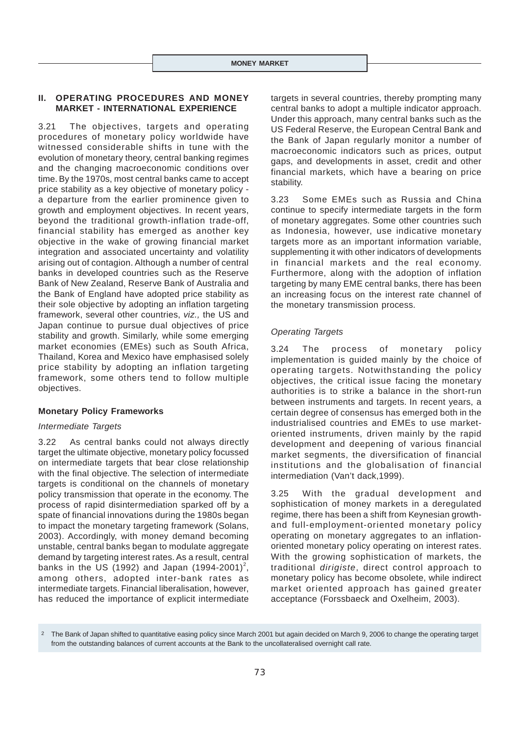# **II. OPERATING PROCEDURES AND MONEY MARKET - INTERNATIONAL EXPERIENCE**

3.21 The objectives, targets and operating procedures of monetary policy worldwide have witnessed considerable shifts in tune with the evolution of monetary theory, central banking regimes and the changing macroeconomic conditions over time. By the 1970s, most central banks came to accept price stability as a key objective of monetary policy a departure from the earlier prominence given to growth and employment objectives. In recent years, beyond the traditional growth-inflation trade-off, financial stability has emerged as another key objective in the wake of growing financial market integration and associated uncertainty and volatility arising out of contagion. Although a number of central banks in developed countries such as the Reserve Bank of New Zealand, Reserve Bank of Australia and the Bank of England have adopted price stability as their sole objective by adopting an inflation targeting framework, several other countries, *viz.,* the US and Japan continue to pursue dual objectives of price stability and growth. Similarly, while some emerging market economies (EMEs) such as South Africa, Thailand, Korea and Mexico have emphasised solely price stability by adopting an inflation targeting framework, some others tend to follow multiple objectives.

# **Monetary Policy Frameworks**

# *Intermediate Targets*

3.22 As central banks could not always directly target the ultimate objective, monetary policy focussed on intermediate targets that bear close relationship with the final objective. The selection of intermediate targets is conditional on the channels of monetary policy transmission that operate in the economy. The process of rapid disintermediation sparked off by a spate of financial innovations during the 1980s began to impact the monetary targeting framework (Solans, 2003). Accordingly, with money demand becoming unstable, central banks began to modulate aggregate demand by targeting interest rates. As a result, central banks in the US (1992) and Japan (1994-2001)<sup>2</sup>, among others, adopted inter-bank rates as intermediate targets. Financial liberalisation, however, has reduced the importance of explicit intermediate

targets in several countries, thereby prompting many central banks to adopt a multiple indicator approach. Under this approach, many central banks such as the US Federal Reserve, the European Central Bank and the Bank of Japan regularly monitor a number of macroeconomic indicators such as prices, output gaps, and developments in asset, credit and other financial markets, which have a bearing on price stability.

3.23 Some EMEs such as Russia and China continue to specify intermediate targets in the form of monetary aggregates. Some other countries such as Indonesia, however, use indicative monetary targets more as an important information variable, supplementing it with other indicators of developments in financial markets and the real economy. Furthermore, along with the adoption of inflation targeting by many EME central banks, there has been an increasing focus on the interest rate channel of the monetary transmission process.

# *Operating Targets*

3.24 The process of monetary policy implementation is guided mainly by the choice of operating targets. Notwithstanding the policy objectives, the critical issue facing the monetary authorities is to strike a balance in the short-run between instruments and targets. In recent years, a certain degree of consensus has emerged both in the industrialised countries and EMEs to use marketoriented instruments, driven mainly by the rapid development and deepening of various financial market segments, the diversification of financial institutions and the globalisation of financial intermediation (Van't dack,1999).

3.25 With the gradual development and sophistication of money markets in a deregulated regime, there has been a shift from Keynesian growthand full-employment-oriented monetary policy operating on monetary aggregates to an inflationoriented monetary policy operating on interest rates. With the growing sophistication of markets, the traditional *dirigiste*, direct control approach to monetary policy has become obsolete, while indirect market oriented approach has gained greater acceptance (Forssbaeck and Oxelheim, 2003).

<sup>2</sup> The Bank of Japan shifted to quantitative easing policy since March 2001 but again decided on March 9, 2006 to change the operating target from the outstanding balances of current accounts at the Bank to the uncollateralised overnight call rate.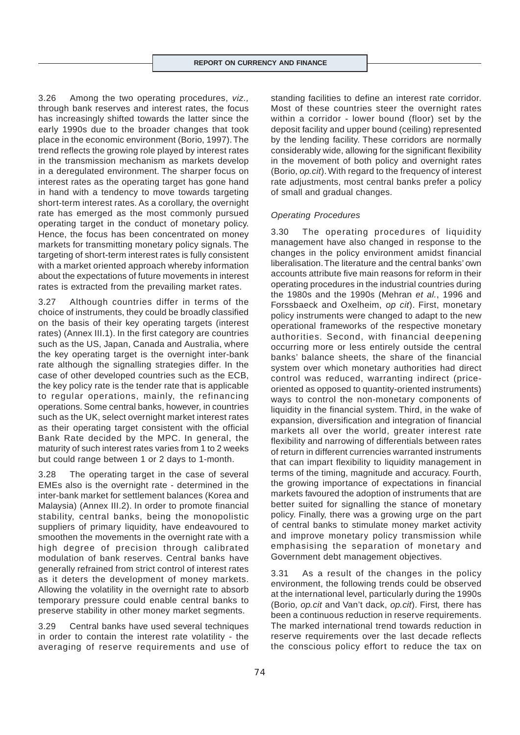3.26 Among the two operating procedures, *viz.,* through bank reserves and interest rates, the focus has increasingly shifted towards the latter since the early 1990s due to the broader changes that took place in the economic environment (Borio, 1997). The trend reflects the growing role played by interest rates in the transmission mechanism as markets develop in a deregulated environment. The sharper focus on interest rates as the operating target has gone hand in hand with a tendency to move towards targeting short-term interest rates. As a corollary, the overnight rate has emerged as the most commonly pursued operating target in the conduct of monetary policy. Hence, the focus has been concentrated on money markets for transmitting monetary policy signals. The targeting of short-term interest rates is fully consistent with a market oriented approach whereby information about the expectations of future movements in interest rates is extracted from the prevailing market rates.

3.27 Although countries differ in terms of the choice of instruments, they could be broadly classified on the basis of their key operating targets (interest rates) (Annex III.1). In the first category are countries such as the US, Japan, Canada and Australia, where the key operating target is the overnight inter-bank rate although the signalling strategies differ. In the case of other developed countries such as the ECB, the key policy rate is the tender rate that is applicable to regular operations, mainly, the refinancing operations. Some central banks, however, in countries such as the UK, select overnight market interest rates as their operating target consistent with the official Bank Rate decided by the MPC. In general, the maturity of such interest rates varies from 1 to 2 weeks but could range between 1 or 2 days to 1-month.

3.28 The operating target in the case of several EMEs also is the overnight rate - determined in the inter-bank market for settlement balances (Korea and Malaysia) (Annex III.2). In order to promote financial stability, central banks, being the monopolistic suppliers of primary liquidity, have endeavoured to smoothen the movements in the overnight rate with a high degree of precision through calibrated modulation of bank reserves. Central banks have generally refrained from strict control of interest rates as it deters the development of money markets. Allowing the volatility in the overnight rate to absorb temporary pressure could enable central banks to preserve stability in other money market segments.

3.29 Central banks have used several techniques in order to contain the interest rate volatility - the averaging of reserve requirements and use of standing facilities to define an interest rate corridor. Most of these countries steer the overnight rates within a corridor - lower bound (floor) set by the deposit facility and upper bound (ceiling) represented by the lending facility. These corridors are normally considerably wide, allowing for the significant flexibility in the movement of both policy and overnight rates (Borio, *op.cit*). With regard to the frequency of interest rate adjustments, most central banks prefer a policy of small and gradual changes.

# *Operating Procedures*

3.30 The operating procedures of liquidity management have also changed in response to the changes in the policy environment amidst financial liberalisation. The literature and the central banks' own accounts attribute five main reasons for reform in their operating procedures in the industrial countries during the 1980s and the 1990s (Mehran *et al.*, 1996 and Forssbaeck and Oxelheim, *op cit*). First, monetary policy instruments were changed to adapt to the new operational frameworks of the respective monetary authorities. Second, with financial deepening occurring more or less entirely outside the central banks' balance sheets, the share of the financial system over which monetary authorities had direct control was reduced, warranting indirect (priceoriented as opposed to quantity-oriented instruments) ways to control the non-monetary components of liquidity in the financial system. Third, in the wake of expansion, diversification and integration of financial markets all over the world, greater interest rate flexibility and narrowing of differentials between rates of return in different currencies warranted instruments that can impart flexibility to liquidity management in terms of the timing, magnitude and accuracy. Fourth, the growing importance of expectations in financial markets favoured the adoption of instruments that are better suited for signalling the stance of monetary policy. Finally, there was a growing urge on the part of central banks to stimulate money market activity and improve monetary policy transmission while emphasising the separation of monetary and Government debt management objectives.

3.31 As a result of the changes in the policy environment, the following trends could be observed at the international level, particularly during the 1990s (Borio, *op.cit* and Van't dack, *op.cit*). First*,* there has been a continuous reduction in reserve requirements. The marked international trend towards reduction in reserve requirements over the last decade reflects the conscious policy effort to reduce the tax on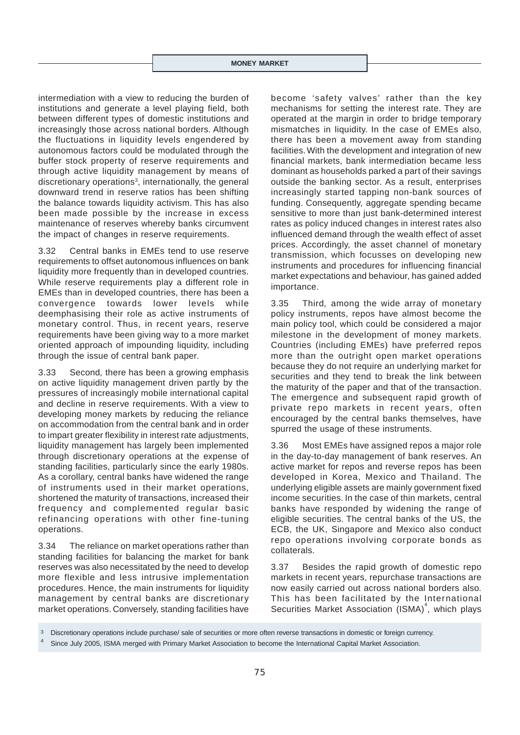intermediation with a view to reducing the burden of institutions and generate a level playing field, both between different types of domestic institutions and increasingly those across national borders. Although the fluctuations in liquidity levels engendered by autonomous factors could be modulated through the buffer stock property of reserve requirements and through active liquidity management by means of discretionary operations<sup>3</sup>, internationally, the general downward trend in reserve ratios has been shifting the balance towards liquidity activism. This has also been made possible by the increase in excess maintenance of reserves whereby banks circumvent the impact of changes in reserve requirements.

3.32 Central banks in EMEs tend to use reserve requirements to offset autonomous influences on bank liquidity more frequently than in developed countries. While reserve requirements play a different role in EMEs than in developed countries, there has been a convergence towards lower levels while deemphasising their role as active instruments of monetary control. Thus, in recent years, reserve requirements have been giving way to a more market oriented approach of impounding liquidity, including through the issue of central bank paper.

3.33 Second*,* there has been a growing emphasis on active liquidity management driven partly by the pressures of increasingly mobile international capital and decline in reserve requirements. With a view to developing money markets by reducing the reliance on accommodation from the central bank and in order to impart greater flexibility in interest rate adjustments, liquidity management has largely been implemented through discretionary operations at the expense of standing facilities, particularly since the early 1980s. As a corollary, central banks have widened the range of instruments used in their market operations, shortened the maturity of transactions, increased their frequency and complemented regular basic refinancing operations with other fine-tuning operations.

3.34 The reliance on market operations rather than standing facilities for balancing the market for bank reserves was also necessitated by the need to develop more flexible and less intrusive implementation procedures. Hence, the main instruments for liquidity management by central banks are discretionary market operations. Conversely, standing facilities have

become 'safety valves' rather than the key mechanisms for setting the interest rate. They are operated at the margin in order to bridge temporary mismatches in liquidity. In the case of EMEs also, there has been a movement away from standing facilities. With the development and integration of new financial markets, bank intermediation became less dominant as households parked a part of their savings outside the banking sector. As a result, enterprises increasingly started tapping non-bank sources of funding. Consequently, aggregate spending became sensitive to more than just bank-determined interest rates as policy induced changes in interest rates also influenced demand through the wealth effect of asset prices. Accordingly, the asset channel of monetary transmission, which focusses on developing new instruments and procedures for influencing financial market expectations and behaviour, has gained added importance.

3.35 Third*,* among the wide array of monetary policy instruments, repos have almost become the main policy tool, which could be considered a major milestone in the development of money markets. Countries (including EMEs) have preferred repos more than the outright open market operations because they do not require an underlying market for securities and they tend to break the link between the maturity of the paper and that of the transaction. The emergence and subsequent rapid growth of private repo markets in recent years, often encouraged by the central banks themselves, have spurred the usage of these instruments.

3.36 Most EMEs have assigned repos a major role in the day-to-day management of bank reserves. An active market for repos and reverse repos has been developed in Korea, Mexico and Thailand. The underlying eligible assets are mainly government fixed income securities. In the case of thin markets, central banks have responded by widening the range of eligible securities. The central banks of the US, the ECB, the UK, Singapore and Mexico also conduct repo operations involving corporate bonds as collaterals.

3.37 Besides the rapid growth of domestic repo markets in recent years, repurchase transactions are now easily carried out across national borders also. This has been facilitated by the International Securities Market Association  $(ISMA)^4$ , which plays

Discretionary operations include purchase/ sale of securities or more often reverse transactions in domestic or foreign currency.

Since July 2005, ISMA merged with Primary Market Association to become the International Capital Market Association.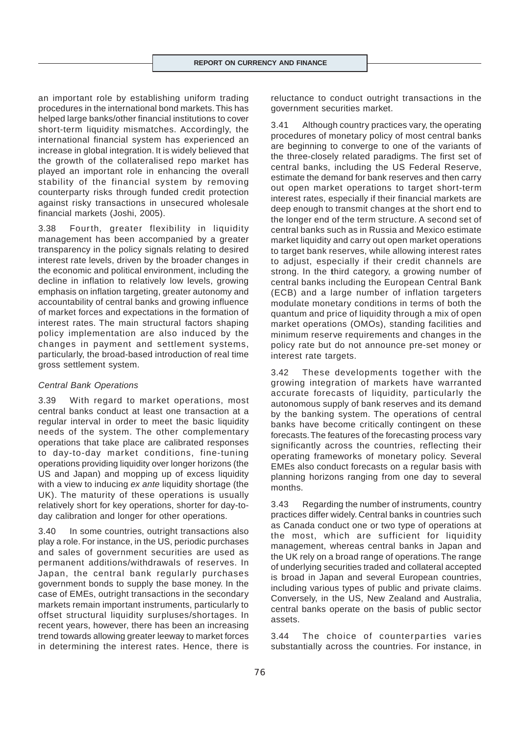an important role by establishing uniform trading procedures in the international bond markets. This has helped large banks/other financial institutions to cover short-term liquidity mismatches. Accordingly, the international financial system has experienced an increase in global integration. It is widely believed that the growth of the collateralised repo market has played an important role in enhancing the overall stability of the financial system by removing counterparty risks through funded credit protection against risky transactions in unsecured wholesale financial markets (Joshi, 2005).

3.38 Fourth*,* greater flexibility in liquidity management has been accompanied by a greater transparency in the policy signals relating to desired interest rate levels, driven by the broader changes in the economic and political environment, including the decline in inflation to relatively low levels, growing emphasis on inflation targeting, greater autonomy and accountability of central banks and growing influence of market forces and expectations in the formation of interest rates. The main structural factors shaping policy implementation are also induced by the changes in payment and settlement systems, particularly, the broad-based introduction of real time gross settlement system.

#### *Central Bank Operations*

3.39 With regard to market operations, most central banks conduct at least one transaction at a regular interval in order to meet the basic liquidity needs of the system. The other complementary operations that take place are calibrated responses to day-to-day market conditions, fine-tuning operations providing liquidity over longer horizons (the US and Japan) and mopping up of excess liquidity with a view to inducing *ex ante* liquidity shortage (the UK). The maturity of these operations is usually relatively short for key operations, shorter for day-today calibration and longer for other operations.

3.40 In some countries, outright transactions also play a role. For instance, in the US, periodic purchases and sales of government securities are used as permanent additions/withdrawals of reserves. In Japan, the central bank regularly purchases government bonds to supply the base money. In the case of EMEs, outright transactions in the secondary markets remain important instruments, particularly to offset structural liquidity surpluses/shortages. In recent years, however, there has been an increasing trend towards allowing greater leeway to market forces in determining the interest rates. Hence, there is

reluctance to conduct outright transactions in the government securities market.

3.41 Although country practices vary, the operating procedures of monetary policy of most central banks are beginning to converge to one of the variants of the three-closely related paradigms. The first set of central banks, including the US Federal Reserve, estimate the demand for bank reserves and then carry out open market operations to target short-term interest rates, especially if their financial markets are deep enough to transmit changes at the short end to the longer end of the term structure. A second set of central banks such as in Russia and Mexico estimate market liquidity and carry out open market operations to target bank reserves, while allowing interest rates to adjust, especially if their credit channels are strong. In the **t**hird category, a growing number of central banks including the European Central Bank (ECB) and a large number of inflation targeters modulate monetary conditions in terms of both the quantum and price of liquidity through a mix of open market operations (OMOs), standing facilities and minimum reserve requirements and changes in the policy rate but do not announce pre-set money or interest rate targets.

3.42 These developments together with the growing integration of markets have warranted accurate forecasts of liquidity, particularly the autonomous supply of bank reserves and its demand by the banking system. The operations of central banks have become critically contingent on these forecasts. The features of the forecasting process vary significantly across the countries, reflecting their operating frameworks of monetary policy. Several EMEs also conduct forecasts on a regular basis with planning horizons ranging from one day to several months.

3.43 Regarding the number of instruments, country practices differ widely. Central banks in countries such as Canada conduct one or two type of operations at the most, which are sufficient for liquidity management, whereas central banks in Japan and the UK rely on a broad range of operations. The range of underlying securities traded and collateral accepted is broad in Japan and several European countries, including various types of public and private claims. Conversely, in the US, New Zealand and Australia, central banks operate on the basis of public sector assets.

3.44 The choice of counterparties varies substantially across the countries. For instance, in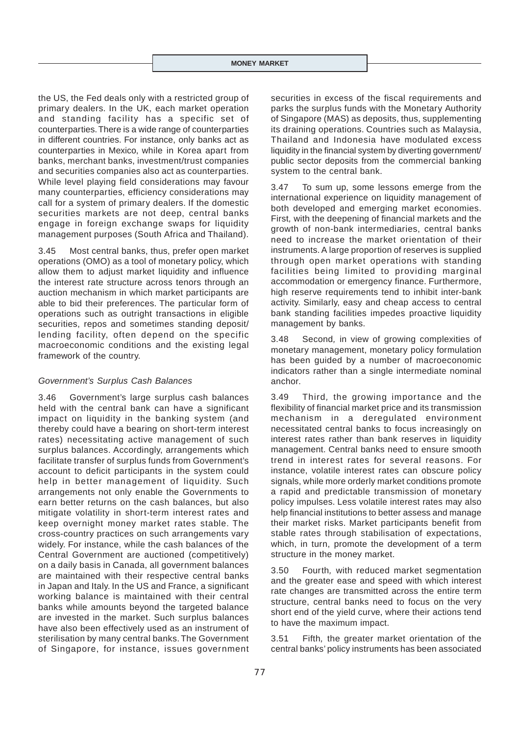the US, the Fed deals only with a restricted group of primary dealers. In the UK, each market operation and standing facility has a specific set of counterparties. There is a wide range of counterparties in different countries. For instance, only banks act as counterparties in Mexico, while in Korea apart from banks, merchant banks, investment/trust companies and securities companies also act as counterparties. While level playing field considerations may favour many counterparties, efficiency considerations may call for a system of primary dealers. If the domestic securities markets are not deep, central banks engage in foreign exchange swaps for liquidity management purposes (South Africa and Thailand).

3.45 Most central banks, thus, prefer open market operations (OMO) as a tool of monetary policy, which allow them to adjust market liquidity and influence the interest rate structure across tenors through an auction mechanism in which market participants are able to bid their preferences. The particular form of operations such as outright transactions in eligible securities, repos and sometimes standing deposit/ lending facility, often depend on the specific macroeconomic conditions and the existing legal framework of the country.

### *Government's Surplus Cash Balances*

3.46 Government's large surplus cash balances held with the central bank can have a significant impact on liquidity in the banking system (and thereby could have a bearing on short-term interest rates) necessitating active management of such surplus balances. Accordingly, arrangements which facilitate transfer of surplus funds from Government's account to deficit participants in the system could help in better management of liquidity. Such arrangements not only enable the Governments to earn better returns on the cash balances, but also mitigate volatility in short-term interest rates and keep overnight money market rates stable. The cross-country practices on such arrangements vary widely. For instance, while the cash balances of the Central Government are auctioned (competitively) on a daily basis in Canada, all government balances are maintained with their respective central banks in Japan and Italy. In the US and France, a significant working balance is maintained with their central banks while amounts beyond the targeted balance are invested in the market. Such surplus balances have also been effectively used as an instrument of sterilisation by many central banks. The Government of Singapore, for instance, issues government securities in excess of the fiscal requirements and parks the surplus funds with the Monetary Authority of Singapore (MAS) as deposits, thus, supplementing its draining operations. Countries such as Malaysia, Thailand and Indonesia have modulated excess liquidity in the financial system by diverting government/ public sector deposits from the commercial banking system to the central bank.

3.47 To sum up, some lessons emerge from the international experience on liquidity management of both developed and emerging market economies. First*,* with the deepening of financial markets and the growth of non-bank intermediaries, central banks need to increase the market orientation of their instruments. A large proportion of reserves is supplied through open market operations with standing facilities being limited to providing marginal accommodation or emergency finance. Furthermore, high reserve requirements tend to inhibit inter-bank activity. Similarly, easy and cheap access to central bank standing facilities impedes proactive liquidity management by banks.

3.48 Second*,* in view of growing complexities of monetary management, monetary policy formulation has been guided by a number of macroeconomic indicators rather than a single intermediate nominal anchor.

3.49 Third*,* the growing importance and the flexibility of financial market price and its transmission mechanism in a deregulated environment necessitated central banks to focus increasingly on interest rates rather than bank reserves in liquidity management. Central banks need to ensure smooth trend in interest rates for several reasons. For instance, volatile interest rates can obscure policy signals, while more orderly market conditions promote a rapid and predictable transmission of monetary policy impulses. Less volatile interest rates may also help financial institutions to better assess and manage their market risks. Market participants benefit from stable rates through stabilisation of expectations, which, in turn, promote the development of a term structure in the money market.

3.50 Fourth*,* with reduced market segmentation and the greater ease and speed with which interest rate changes are transmitted across the entire term structure, central banks need to focus on the very short end of the yield curve, where their actions tend to have the maximum impact.

3.51 Fifth*,* the greater market orientation of the central banks' policy instruments has been associated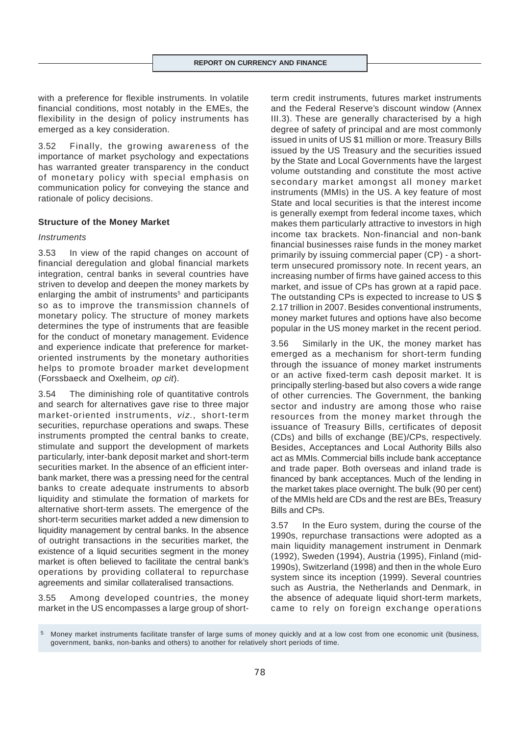with a preference for flexible instruments. In volatile financial conditions, most notably in the EMEs, the flexibility in the design of policy instruments has emerged as a key consideration.

3.52 Finally*,* the growing awareness of the importance of market psychology and expectations has warranted greater transparency in the conduct of monetary policy with special emphasis on communication policy for conveying the stance and rationale of policy decisions.

#### **Structure of the Money Market**

#### *Instruments*

3.53 In view of the rapid changes on account of financial deregulation and global financial markets integration, central banks in several countries have striven to develop and deepen the money markets by enlarging the ambit of instruments<sup>5</sup> and participants so as to improve the transmission channels of monetary policy. The structure of money markets determines the type of instruments that are feasible for the conduct of monetary management. Evidence and experience indicate that preference for marketoriented instruments by the monetary authorities helps to promote broader market development (Forssbaeck and Oxelheim, *op cit*).

3.54 The diminishing role of quantitative controls and search for alternatives gave rise to three major market-oriented instruments, *viz.,* short-term securities, repurchase operations and swaps. These instruments prompted the central banks to create, stimulate and support the development of markets particularly, inter-bank deposit market and short-term securities market. In the absence of an efficient interbank market, there was a pressing need for the central banks to create adequate instruments to absorb liquidity and stimulate the formation of markets for alternative short-term assets. The emergence of the short-term securities market added a new dimension to liquidity management by central banks. In the absence of outright transactions in the securities market, the existence of a liquid securities segment in the money market is often believed to facilitate the central bank's operations by providing collateral to repurchase agreements and similar collateralised transactions.

3.55 Among developed countries, the money market in the US encompasses a large group of shortterm credit instruments, futures market instruments and the Federal Reserve's discount window (Annex III.3). These are generally characterised by a high degree of safety of principal and are most commonly issued in units of US \$1 million or more. Treasury Bills issued by the US Treasury and the securities issued by the State and Local Governments have the largest volume outstanding and constitute the most active secondary market amongst all money market instruments (MMIs) in the US. A key feature of most State and local securities is that the interest income is generally exempt from federal income taxes, which makes them particularly attractive to investors in high income tax brackets. Non-financial and non-bank financial businesses raise funds in the money market primarily by issuing commercial paper (CP) - a shortterm unsecured promissory note. In recent years, an increasing number of firms have gained access to this market, and issue of CPs has grown at a rapid pace. The outstanding CPs is expected to increase to US \$ 2.17 trillion in 2007. Besides conventional instruments, money market futures and options have also become popular in the US money market in the recent period.

3.56 Similarly in the UK, the money market has emerged as a mechanism for short-term funding through the issuance of money market instruments or an active fixed-term cash deposit market. It is principally sterling-based but also covers a wide range of other currencies. The Government, the banking sector and industry are among those who raise resources from the money market through the issuance of Treasury Bills, certificates of deposit (CDs) and bills of exchange (BE)/CPs, respectively. Besides, Acceptances and Local Authority Bills also act as MMIs. Commercial bills include bank acceptance and trade paper. Both overseas and inland trade is financed by bank acceptances. Much of the lending in the market takes place overnight. The bulk (90 per cent) of the MMIs held are CDs and the rest are BEs, Treasury Bills and CPs.

3.57 In the Euro system, during the course of the 1990s, repurchase transactions were adopted as a main liquidity management instrument in Denmark (1992), Sweden (1994), Austria (1995), Finland (mid-1990s), Switzerland (1998) and then in the whole Euro system since its inception (1999). Several countries such as Austria, the Netherlands and Denmark, in the absence of adequate liquid short-term markets, came to rely on foreign exchange operations

<sup>5</sup> Money market instruments facilitate transfer of large sums of money quickly and at a low cost from one economic unit (business, government, banks, non-banks and others) to another for relatively short periods of time.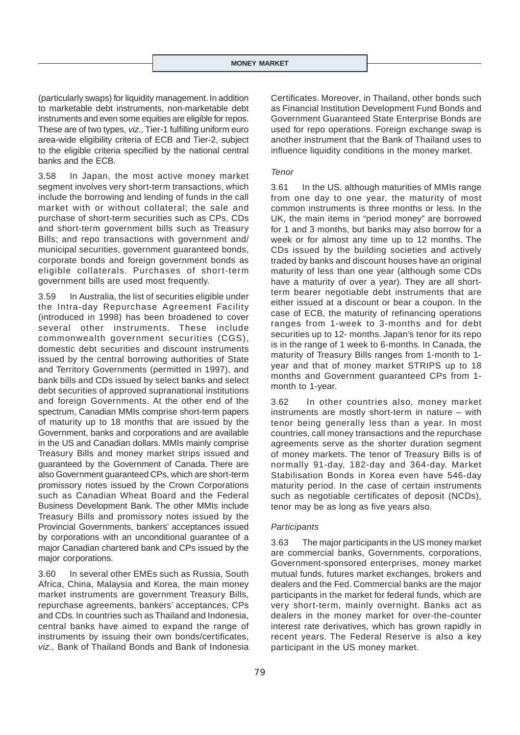(particularly swaps) for liquidity management. In addition to marketable debt instruments, non-marketable debt instruments and even some equities are eligible for repos. These are of two types, *viz.,* Tier-1 fulfilling uniform euro area-wide eligibility criteria of ECB and Tier-2, subject to the eligible criteria specified by the national central banks and the ECB.

3.58 In Japan, the most active money market segment involves very short-term transactions, which include the borrowing and lending of funds in the call market with or without collateral; the sale and purchase of short-term securities such as CPs, CDs and short-term government bills such as Treasury Bills; and repo transactions with government and/ municipal securities, government guaranteed bonds, corporate bonds and foreign government bonds as eligible collaterals. Purchases of short-term government bills are used most frequently.

3.59 In Australia, the list of securities eligible under the Intra-day Repurchase Agreement Facility (introduced in 1998) has been broadened to cover several other instruments. These include commonwealth government securities (CGS), domestic debt securities and discount instruments issued by the central borrowing authorities of State and Territory Governments (permitted in 1997), and bank bills and CDs issued by select banks and select debt securities of approved supranational institutions and foreign Governments. At the other end of the spectrum, Canadian MMIs comprise short-term papers of maturity up to 18 months that are issued by the Government, banks and corporations and are available in the US and Canadian dollars. MMIs mainly comprise Treasury Bills and money market strips issued and guaranteed by the Government of Canada. There are also Government guaranteed CPs, which are short-term promissory notes issued by the Crown Corporations such as Canadian Wheat Board and the Federal Business Development Bank. The other MMIs include Treasury Bills and promissory notes issued by the Provincial Governments, bankers' acceptances issued by corporations with an unconditional guarantee of a major Canadian chartered bank and CPs issued by the major corporations.

3.60 In several other EMEs such as Russia, South Africa, China, Malaysia and Korea, the main money market instruments are government Treasury Bills, repurchase agreements, bankers' acceptances, CPs and CDs. In countries such as Thailand and Indonesia, central banks have aimed to expand the range of instruments by issuing their own bonds/certificates, *viz.,* Bank of Thailand Bonds and Bank of Indonesia

Certificates. Moreover, in Thailand, other bonds such as Financial Institution Development Fund Bonds and Government Guaranteed State Enterprise Bonds are used for repo operations. Foreign exchange swap is another instrument that the Bank of Thailand uses to influence liquidity conditions in the money market.

## *Tenor*

3.61 In the US, although maturities of MMIs range from one day to one year, the maturity of most common instruments is three months or less. In the UK, the main items in "period money" are borrowed for 1 and 3 months, but banks may also borrow for a week or for almost any time up to 12 months. The CDs issued by the building societies and actively traded by banks and discount houses have an original maturity of less than one year (although some CDs have a maturity of over a year). They are all shortterm bearer negotiable debt instruments that are either issued at a discount or bear a coupon. In the case of ECB, the maturity of refinancing operations ranges from 1-week to 3-months and for debt securities up to 12- months. Japan's tenor for its repo is in the range of 1 week to 6-months. In Canada, the maturity of Treasury Bills ranges from 1-month to 1 year and that of money market STRIPS up to 18 months and Government guaranteed CPs from 1 month to 1-year.

3.62 In other countries also, money market instruments are mostly short-term in nature – with tenor being generally less than a year. In most countries, call money transactions and the repurchase agreements serve as the shorter duration segment of money markets. The tenor of Treasury Bills is of normally 91-day, 182-day and 364-day. Market Stabilisation Bonds in Korea even have 546-day maturity period. In the case of certain instruments such as negotiable certificates of deposit (NCDs), tenor may be as long as five years also.

#### *Participants*

3.63 The major participants in the US money market are commercial banks, Governments, corporations, Government-sponsored enterprises, money market mutual funds, futures market exchanges, brokers and dealers and the Fed. Commercial banks are the major participants in the market for federal funds, which are very short-term, mainly overnight. Banks act as dealers in the money market for over-the-counter interest rate derivatives, which has grown rapidly in recent years. The Federal Reserve is also a key participant in the US money market.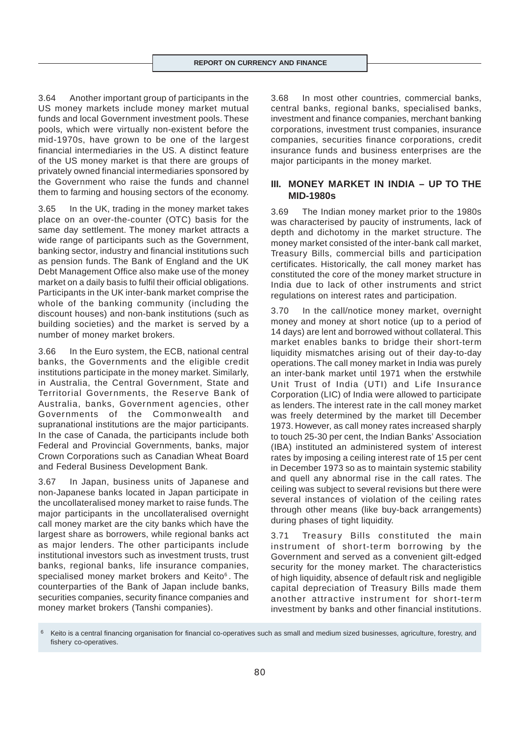3.64 Another important group of participants in the US money markets include money market mutual funds and local Government investment pools. These pools, which were virtually non-existent before the mid-1970s, have grown to be one of the largest financial intermediaries in the US. A distinct feature of the US money market is that there are groups of privately owned financial intermediaries sponsored by the Government who raise the funds and channel them to farming and housing sectors of the economy.

3.65 In the UK, trading in the money market takes place on an over-the-counter (OTC) basis for the same day settlement. The money market attracts a wide range of participants such as the Government, banking sector, industry and financial institutions such as pension funds. The Bank of England and the UK Debt Management Office also make use of the money market on a daily basis to fulfil their official obligations. Participants in the UK inter-bank market comprise the whole of the banking community (including the discount houses) and non-bank institutions (such as building societies) and the market is served by a number of money market brokers.

3.66 In the Euro system, the ECB, national central banks, the Governments and the eligible credit institutions participate in the money market. Similarly, in Australia, the Central Government, State and Territorial Governments, the Reserve Bank of Australia, banks, Government agencies, other Governments of the Commonwealth and supranational institutions are the major participants. In the case of Canada, the participants include both Federal and Provincial Governments, banks, major Crown Corporations such as Canadian Wheat Board and Federal Business Development Bank.

3.67 In Japan, business units of Japanese and non-Japanese banks located in Japan participate in the uncollateralised money market to raise funds. The major participants in the uncollateralised overnight call money market are the city banks which have the largest share as borrowers, while regional banks act as major lenders. The other participants include institutional investors such as investment trusts, trust banks, regional banks, life insurance companies, specialised money market brokers and Keito<sup>6</sup>. The counterparties of the Bank of Japan include banks, securities companies, security finance companies and money market brokers (Tanshi companies).

3.68 In most other countries, commercial banks, central banks, regional banks, specialised banks, investment and finance companies, merchant banking corporations, investment trust companies, insurance companies, securities finance corporations, credit insurance funds and business enterprises are the major participants in the money market.

# **III. MONEY MARKET IN INDIA – UP TO THE MID-1980s**

3.69 The Indian money market prior to the 1980s was characterised by paucity of instruments, lack of depth and dichotomy in the market structure. The money market consisted of the inter-bank call market, Treasury Bills, commercial bills and participation certificates. Historically, the call money market has constituted the core of the money market structure in India due to lack of other instruments and strict regulations on interest rates and participation.

3.70 In the call/notice money market, overnight money and money at short notice (up to a period of 14 days) are lent and borrowed without collateral. This market enables banks to bridge their short-term liquidity mismatches arising out of their day-to-day operations. The call money market in India was purely an inter-bank market until 1971 when the erstwhile Unit Trust of India (UTI) and Life Insurance Corporation (LIC) of India were allowed to participate as lenders. The interest rate in the call money market was freely determined by the market till December 1973. However, as call money rates increased sharply to touch 25-30 per cent, the Indian Banks' Association (IBA) instituted an administered system of interest rates by imposing a ceiling interest rate of 15 per cent in December 1973 so as to maintain systemic stability and quell any abnormal rise in the call rates. The ceiling was subject to several revisions but there were several instances of violation of the ceiling rates through other means (like buy-back arrangements) during phases of tight liquidity.

3.71 Treasury Bills constituted the main instrument of short-term borrowing by the Government and served as a convenient gilt-edged security for the money market. The characteristics of high liquidity, absence of default risk and negligible capital depreciation of Treasury Bills made them another attractive instrument for short-term investment by banks and other financial institutions.

Keito is a central financing organisation for financial co-operatives such as small and medium sized businesses, agriculture, forestry, and fishery co-operatives.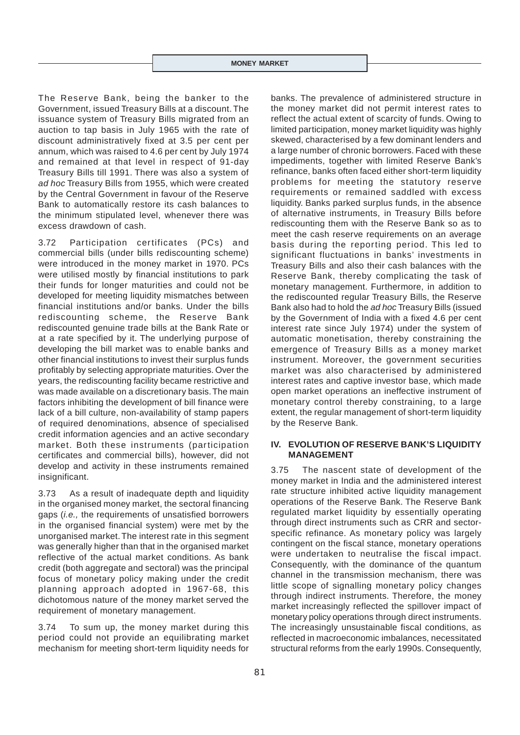The Reserve Bank, being the banker to the Government, issued Treasury Bills at a discount. The issuance system of Treasury Bills migrated from an auction to tap basis in July 1965 with the rate of discount administratively fixed at 3.5 per cent per annum, which was raised to 4.6 per cent by July 1974 and remained at that level in respect of 91-day Treasury Bills till 1991. There was also a system of *ad hoc* Treasury Bills from 1955, which were created by the Central Government in favour of the Reserve Bank to automatically restore its cash balances to the minimum stipulated level, whenever there was excess drawdown of cash.

3.72 Participation certificates (PCs) and commercial bills (under bills rediscounting scheme) were introduced in the money market in 1970. PCs were utilised mostly by financial institutions to park their funds for longer maturities and could not be developed for meeting liquidity mismatches between financial institutions and/or banks. Under the bills rediscounting scheme, the Reserve Bank rediscounted genuine trade bills at the Bank Rate or at a rate specified by it. The underlying purpose of developing the bill market was to enable banks and other financial institutions to invest their surplus funds profitably by selecting appropriate maturities. Over the years, the rediscounting facility became restrictive and was made available on a discretionary basis. The main factors inhibiting the development of bill finance were lack of a bill culture, non-availability of stamp papers of required denominations, absence of specialised credit information agencies and an active secondary market. Both these instruments (participation certificates and commercial bills), however, did not develop and activity in these instruments remained insignificant.

3.73 As a result of inadequate depth and liquidity in the organised money market, the sectoral financing gaps (*i.e.,* the requirements of unsatisfied borrowers in the organised financial system) were met by the unorganised market. The interest rate in this segment was generally higher than that in the organised market reflective of the actual market conditions. As bank credit (both aggregate and sectoral) was the principal focus of monetary policy making under the credit planning approach adopted in 1967-68, this dichotomous nature of the money market served the requirement of monetary management.

3.74 To sum up, the money market during this period could not provide an equilibrating market mechanism for meeting short-term liquidity needs for banks. The prevalence of administered structure in the money market did not permit interest rates to reflect the actual extent of scarcity of funds. Owing to limited participation, money market liquidity was highly skewed, characterised by a few dominant lenders and a large number of chronic borrowers. Faced with these impediments, together with limited Reserve Bank's refinance, banks often faced either short-term liquidity problems for meeting the statutory reserve requirements or remained saddled with excess liquidity. Banks parked surplus funds, in the absence of alternative instruments, in Treasury Bills before rediscounting them with the Reserve Bank so as to meet the cash reserve requirements on an average basis during the reporting period. This led to significant fluctuations in banks' investments in Treasury Bills and also their cash balances with the Reserve Bank, thereby complicating the task of monetary management. Furthermore, in addition to the rediscounted regular Treasury Bills, the Reserve Bank also had to hold the *ad hoc* Treasury Bills (issued by the Government of India with a fixed 4.6 per cent interest rate since July 1974) under the system of automatic monetisation, thereby constraining the emergence of Treasury Bills as a money market instrument. Moreover, the government securities market was also characterised by administered interest rates and captive investor base, which made open market operations an ineffective instrument of monetary control thereby constraining, to a large extent, the regular management of short-term liquidity by the Reserve Bank.

# **IV. EVOLUTION OF RESERVE BANK'S LIQUIDITY MANAGEMENT**

3.75 The nascent state of development of the money market in India and the administered interest rate structure inhibited active liquidity management operations of the Reserve Bank. The Reserve Bank regulated market liquidity by essentially operating through direct instruments such as CRR and sectorspecific refinance. As monetary policy was largely contingent on the fiscal stance, monetary operations were undertaken to neutralise the fiscal impact. Consequently, with the dominance of the quantum channel in the transmission mechanism, there was little scope of signalling monetary policy changes through indirect instruments. Therefore, the money market increasingly reflected the spillover impact of monetary policy operations through direct instruments. The increasingly unsustainable fiscal conditions, as reflected in macroeconomic imbalances, necessitated structural reforms from the early 1990s. Consequently,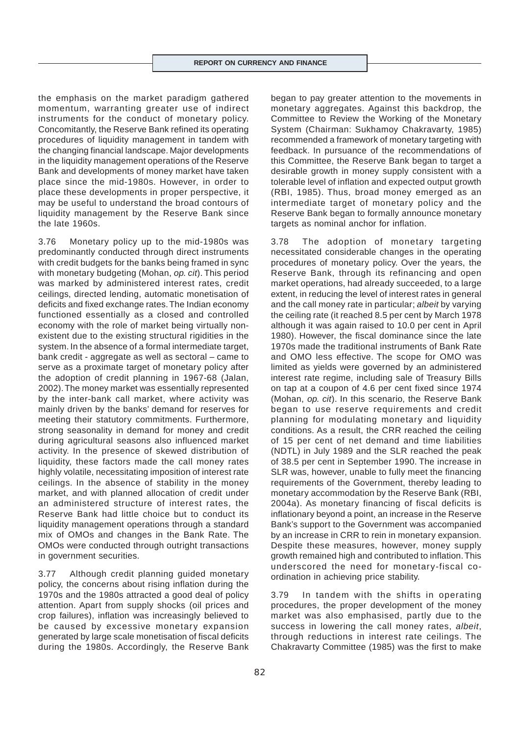the emphasis on the market paradigm gathered momentum, warranting greater use of indirect instruments for the conduct of monetary policy. Concomitantly, the Reserve Bank refined its operating procedures of liquidity management in tandem with the changing financial landscape. Major developments in the liquidity management operations of the Reserve Bank and developments of money market have taken place since the mid-1980s. However, in order to place these developments in proper perspective, it may be useful to understand the broad contours of liquidity management by the Reserve Bank since the late 1960s.

3.76 Monetary policy up to the mid-1980s was predominantly conducted through direct instruments with credit budgets for the banks being framed in sync with monetary budgeting (Mohan, *op. cit*). This period was marked by administered interest rates, credit ceilings, directed lending, automatic monetisation of deficits and fixed exchange rates. The Indian economy functioned essentially as a closed and controlled economy with the role of market being virtually nonexistent due to the existing structural rigidities in the system. In the absence of a formal intermediate target, bank credit - aggregate as well as sectoral – came to serve as a proximate target of monetary policy after the adoption of credit planning in 1967-68 (Jalan, 2002). The money market was essentially represented by the inter-bank call market, where activity was mainly driven by the banks' demand for reserves for meeting their statutory commitments. Furthermore, strong seasonality in demand for money and credit during agricultural seasons also influenced market activity. In the presence of skewed distribution of liquidity, these factors made the call money rates highly volatile, necessitating imposition of interest rate ceilings. In the absence of stability in the money market, and with planned allocation of credit under an administered structure of interest rates, the Reserve Bank had little choice but to conduct its liquidity management operations through a standard mix of OMOs and changes in the Bank Rate. The OMOs were conducted through outright transactions in government securities.

3.77 Although credit planning guided monetary policy, the concerns about rising inflation during the 1970s and the 1980s attracted a good deal of policy attention. Apart from supply shocks (oil prices and crop failures), inflation was increasingly believed to be caused by excessive monetary expansion generated by large scale monetisation of fiscal deficits during the 1980s. Accordingly, the Reserve Bank

began to pay greater attention to the movements in monetary aggregates. Against this backdrop, the Committee to Review the Working of the Monetary System (Chairman: Sukhamoy Chakravarty, 1985) recommended a framework of monetary targeting with feedback. In pursuance of the recommendations of this Committee, the Reserve Bank began to target a desirable growth in money supply consistent with a tolerable level of inflation and expected output growth (RBI, 1985). Thus, broad money emerged as an intermediate target of monetary policy and the Reserve Bank began to formally announce monetary targets as nominal anchor for inflation.

3.78 The adoption of monetary targeting necessitated considerable changes in the operating procedures of monetary policy. Over the years, the Reserve Bank, through its refinancing and open market operations, had already succeeded, to a large extent, in reducing the level of interest rates in general and the call money rate in particular; *albeit* by varying the ceiling rate (it reached 8.5 per cent by March 1978 although it was again raised to 10.0 per cent in April 1980). However, the fiscal dominance since the late 1970s made the traditional instruments of Bank Rate and OMO less effective. The scope for OMO was limited as yields were governed by an administered interest rate regime, including sale of Treasury Bills on tap at a coupon of 4.6 per cent fixed since 1974 (Mohan, *op. cit*). In this scenario, the Reserve Bank began to use reserve requirements and credit planning for modulating monetary and liquidity conditions. As a result, the CRR reached the ceiling of 15 per cent of net demand and time liabilities (NDTL) in July 1989 and the SLR reached the peak of 38.5 per cent in September 1990. The increase in SLR was, however, unable to fully meet the financing requirements of the Government, thereby leading to monetary accommodation by the Reserve Bank (RBI, 2004a). As monetary financing of fiscal deficits is inflationary beyond a point, an increase in the Reserve Bank's support to the Government was accompanied by an increase in CRR to rein in monetary expansion. Despite these measures, however, money supply growth remained high and contributed to inflation. This underscored the need for monetary-fiscal coordination in achieving price stability.

3.79 In tandem with the shifts in operating procedures, the proper development of the money market was also emphasised, partly due to the success in lowering the call money rates, *albeit*, through reductions in interest rate ceilings. The Chakravarty Committee (1985) was the first to make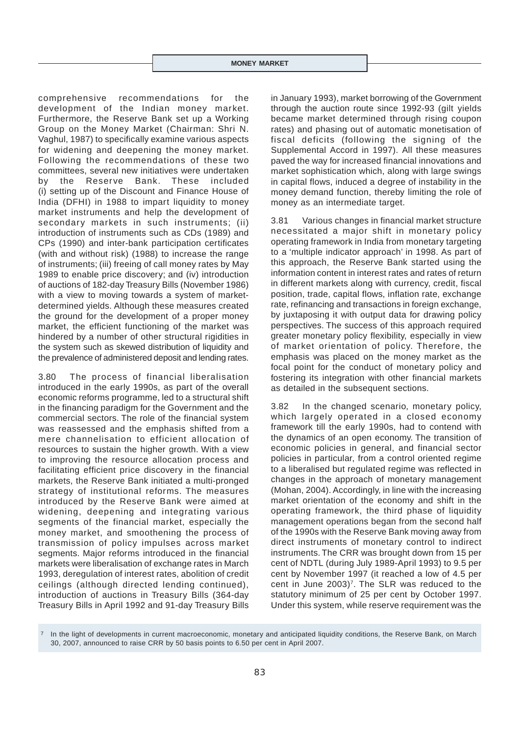comprehensive recommendations for the development of the Indian money market. Furthermore, the Reserve Bank set up a Working Group on the Money Market (Chairman: Shri N. Vaghul, 1987) to specifically examine various aspects for widening and deepening the money market. Following the recommendations of these two committees, several new initiatives were undertaken by the Reserve Bank. These included (i) setting up of the Discount and Finance House of India (DFHI) in 1988 to impart liquidity to money market instruments and help the development of secondary markets in such instruments; (ii) introduction of instruments such as CDs (1989) and CPs (1990) and inter-bank participation certificates (with and without risk) (1988) to increase the range of instruments; (iii) freeing of call money rates by May 1989 to enable price discovery; and (iv) introduction of auctions of 182-day Treasury Bills (November 1986) with a view to moving towards a system of marketdetermined yields. Although these measures created the ground for the development of a proper money market, the efficient functioning of the market was hindered by a number of other structural rigidities in the system such as skewed distribution of liquidity and the prevalence of administered deposit and lending rates.

3.80 The process of financial liberalisation introduced in the early 1990s, as part of the overall economic reforms programme, led to a structural shift in the financing paradigm for the Government and the commercial sectors. The role of the financial system was reassessed and the emphasis shifted from a mere channelisation to efficient allocation of resources to sustain the higher growth. With a view to improving the resource allocation process and facilitating efficient price discovery in the financial markets, the Reserve Bank initiated a multi-pronged strategy of institutional reforms. The measures introduced by the Reserve Bank were aimed at widening, deepening and integrating various segments of the financial market, especially the money market, and smoothening the process of transmission of policy impulses across market segments. Major reforms introduced in the financial markets were liberalisation of exchange rates in March 1993, deregulation of interest rates, abolition of credit ceilings (although directed lending continued), introduction of auctions in Treasury Bills (364-day Treasury Bills in April 1992 and 91-day Treasury Bills

in January 1993), market borrowing of the Government through the auction route since 1992-93 (gilt yields became market determined through rising coupon rates) and phasing out of automatic monetisation of fiscal deficits (following the signing of the Supplemental Accord in 1997). All these measures paved the way for increased financial innovations and market sophistication which, along with large swings in capital flows, induced a degree of instability in the money demand function, thereby limiting the role of money as an intermediate target.

3.81 Various changes in financial market structure necessitated a major shift in monetary policy operating framework in India from monetary targeting to a 'multiple indicator approach' in 1998. As part of this approach, the Reserve Bank started using the information content in interest rates and rates of return in different markets along with currency, credit, fiscal position, trade, capital flows, inflation rate, exchange rate, refinancing and transactions in foreign exchange, by juxtaposing it with output data for drawing policy perspectives. The success of this approach required greater monetary policy flexibility, especially in view of market orientation of policy. Therefore, the emphasis was placed on the money market as the focal point for the conduct of monetary policy and fostering its integration with other financial markets as detailed in the subsequent sections.

3.82 In the changed scenario, monetary policy, which largely operated in a closed economy framework till the early 1990s, had to contend with the dynamics of an open economy. The transition of economic policies in general, and financial sector policies in particular, from a control oriented regime to a liberalised but regulated regime was reflected in changes in the approach of monetary management (Mohan, 2004). Accordingly, in line with the increasing market orientation of the economy and shift in the operating framework, the third phase of liquidity management operations began from the second half of the 1990s with the Reserve Bank moving away from direct instruments of monetary control to indirect instruments. The CRR was brought down from 15 per cent of NDTL (during July 1989-April 1993) to 9.5 per cent by November 1997 (it reached a low of 4.5 per cent in June 2003)<sup>7</sup>. The SLR was reduced to the statutory minimum of 25 per cent by October 1997. Under this system, while reserve requirement was the

In the light of developments in current macroeconomic, monetary and anticipated liquidity conditions, the Reserve Bank, on March 30, 2007, announced to raise CRR by 50 basis points to 6.50 per cent in April 2007.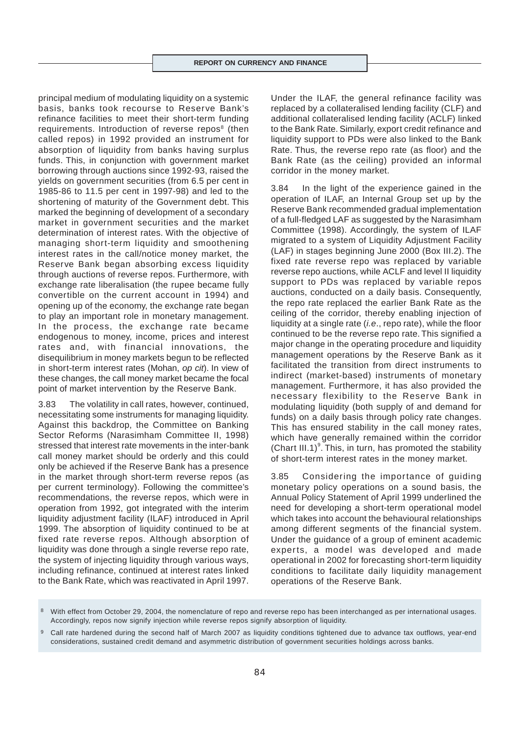principal medium of modulating liquidity on a systemic basis, banks took recourse to Reserve Bank's refinance facilities to meet their short-term funding requirements. Introduction of reverse repos<sup>8</sup> (then called repos) in 1992 provided an instrument for absorption of liquidity from banks having surplus funds. This, in conjunction with government market borrowing through auctions since 1992-93, raised the yields on government securities (from 6.5 per cent in 1985-86 to 11.5 per cent in 1997-98) and led to the shortening of maturity of the Government debt. This marked the beginning of development of a secondary market in government securities and the market determination of interest rates. With the objective of managing short-term liquidity and smoothening interest rates in the call/notice money market, the Reserve Bank began absorbing excess liquidity through auctions of reverse repos. Furthermore, with exchange rate liberalisation (the rupee became fully convertible on the current account in 1994) and opening up of the economy, the exchange rate began to play an important role in monetary management. In the process, the exchange rate became endogenous to money, income, prices and interest rates and, with financial innovations, the disequilibrium in money markets begun to be reflected in short-term interest rates (Mohan, *op cit*). In view of these changes, the call money market became the focal point of market intervention by the Reserve Bank.

3.83 The volatility in call rates, however, continued, necessitating some instruments for managing liquidity. Against this backdrop, the Committee on Banking Sector Reforms (Narasimham Committee II, 1998) stressed that interest rate movements in the inter-bank call money market should be orderly and this could only be achieved if the Reserve Bank has a presence in the market through short-term reverse repos (as per current terminology). Following the committee's recommendations, the reverse repos, which were in operation from 1992, got integrated with the interim liquidity adjustment facility (ILAF) introduced in April 1999. The absorption of liquidity continued to be at fixed rate reverse repos. Although absorption of liquidity was done through a single reverse repo rate, the system of injecting liquidity through various ways, including refinance, continued at interest rates linked to the Bank Rate, which was reactivated in April 1997.

Under the ILAF, the general refinance facility was replaced by a collateralised lending facility (CLF) and additional collateralised lending facility (ACLF) linked to the Bank Rate. Similarly, export credit refinance and liquidity support to PDs were also linked to the Bank Rate. Thus, the reverse repo rate (as floor) and the Bank Rate (as the ceiling) provided an informal corridor in the money market.

3.84 In the light of the experience gained in the operation of ILAF, an Internal Group set up by the Reserve Bank recommended gradual implementation of a full-fledged LAF as suggested by the Narasimham Committee (1998). Accordingly, the system of ILAF migrated to a system of Liquidity Adjustment Facility (LAF) in stages beginning June 2000 (Box III.2). The fixed rate reverse repo was replaced by variable reverse repo auctions, while ACLF and level II liquidity support to PDs was replaced by variable repos auctions, conducted on a daily basis. Consequently, the repo rate replaced the earlier Bank Rate as the ceiling of the corridor, thereby enabling injection of liquidity at a single rate (*i.e*., repo rate), while the floor continued to be the reverse repo rate. This signified a major change in the operating procedure and liquidity management operations by the Reserve Bank as it facilitated the transition from direct instruments to indirect (market-based) instruments of monetary management. Furthermore, it has also provided the necessary flexibility to the Reserve Bank in modulating liquidity (both supply of and demand for funds) on a daily basis through policy rate changes. This has ensured stability in the call money rates, which have generally remained within the corridor (Chart III.1) $^9$ . This, in turn, has promoted the stability of short-term interest rates in the money market.

3.85 Considering the importance of guiding monetary policy operations on a sound basis, the Annual Policy Statement of April 1999 underlined the need for developing a short-term operational model which takes into account the behavioural relationships among different segments of the financial system. Under the guidance of a group of eminent academic experts, a model was developed and made operational in 2002 for forecasting short-term liquidity conditions to facilitate daily liquidity management operations of the Reserve Bank.

With effect from October 29, 2004, the nomenclature of repo and reverse repo has been interchanged as per international usages. Accordingly, repos now signify injection while reverse repos signify absorption of liquidity.

<sup>9</sup> Call rate hardened during the second half of March 2007 as liquidity conditions tightened due to advance tax outflows, year-end considerations, sustained credit demand and asymmetric distribution of government securities holdings across banks.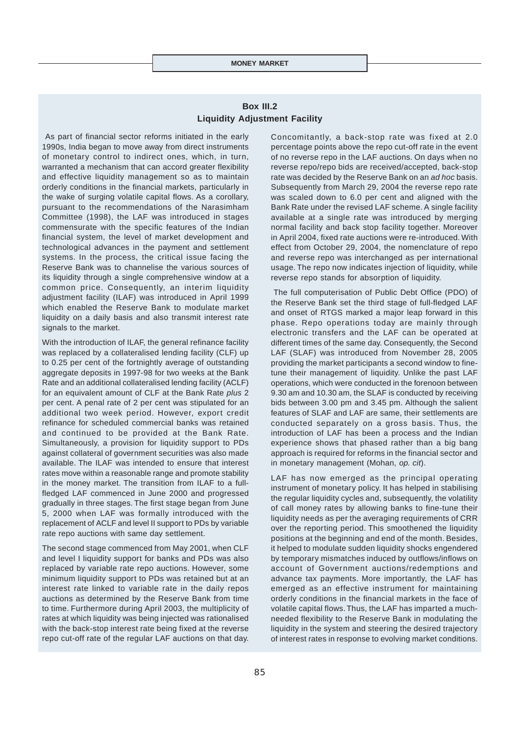# **Box III.2 Liquidity Adjustment Facility**

 As part of financial sector reforms initiated in the early 1990s, India began to move away from direct instruments of monetary control to indirect ones, which, in turn, warranted a mechanism that can accord greater flexibility and effective liquidity management so as to maintain orderly conditions in the financial markets, particularly in the wake of surging volatile capital flows. As a corollary, pursuant to the recommendations of the Narasimham Committee (1998), the LAF was introduced in stages commensurate with the specific features of the Indian financial system, the level of market development and technological advances in the payment and settlement systems. In the process, the critical issue facing the Reserve Bank was to channelise the various sources of its liquidity through a single comprehensive window at a common price. Consequently, an interim liquidity adjustment facility (ILAF) was introduced in April 1999 which enabled the Reserve Bank to modulate market liquidity on a daily basis and also transmit interest rate signals to the market.

With the introduction of ILAF, the general refinance facility was replaced by a collateralised lending facility (CLF) up to 0.25 per cent of the fortnightly average of outstanding aggregate deposits in 1997-98 for two weeks at the Bank Rate and an additional collateralised lending facility (ACLF) for an equivalent amount of CLF at the Bank Rate *plus* 2 per cent. A penal rate of 2 per cent was stipulated for an additional two week period. However, export credit refinance for scheduled commercial banks was retained and continued to be provided at the Bank Rate. Simultaneously, a provision for liquidity support to PDs against collateral of government securities was also made available. The ILAF was intended to ensure that interest rates move within a reasonable range and promote stability in the money market. The transition from ILAF to a fullfledged LAF commenced in June 2000 and progressed gradually in three stages. The first stage began from June 5, 2000 when LAF was formally introduced with the replacement of ACLF and level II support to PDs by variable rate repo auctions with same day settlement.

The second stage commenced from May 2001, when CLF and level I liquidity support for banks and PDs was also replaced by variable rate repo auctions. However, some minimum liquidity support to PDs was retained but at an interest rate linked to variable rate in the daily repos auctions as determined by the Reserve Bank from time to time. Furthermore during April 2003, the multiplicity of rates at which liquidity was being injected was rationalised with the back-stop interest rate being fixed at the reverse repo cut-off rate of the regular LAF auctions on that day.

Concomitantly, a back-stop rate was fixed at 2.0 percentage points above the repo cut-off rate in the event of no reverse repo in the LAF auctions. On days when no reverse repo/repo bids are received/accepted, back-stop rate was decided by the Reserve Bank on an *ad hoc* basis. Subsequently from March 29, 2004 the reverse repo rate was scaled down to 6.0 per cent and aligned with the Bank Rate under the revised LAF scheme. A single facility available at a single rate was introduced by merging normal facility and back stop facility together. Moreover in April 2004, fixed rate auctions were re-introduced. With effect from October 29, 2004, the nomenclature of repo and reverse repo was interchanged as per international usage. The repo now indicates injection of liquidity, while reverse repo stands for absorption of liquidity.

 The full computerisation of Public Debt Office (PDO) of the Reserve Bank set the third stage of full-fledged LAF and onset of RTGS marked a major leap forward in this phase. Repo operations today are mainly through electronic transfers and the LAF can be operated at different times of the same day. Consequently, the Second LAF (SLAF) was introduced from November 28, 2005 providing the market participants a second window to finetune their management of liquidity. Unlike the past LAF operations, which were conducted in the forenoon between 9.30 am and 10.30 am, the SLAF is conducted by receiving bids between 3.00 pm and 3.45 pm. Although the salient features of SLAF and LAF are same, their settlements are conducted separately on a gross basis. Thus, the introduction of LAF has been a process and the Indian experience shows that phased rather than a big bang approach is required for reforms in the financial sector and in monetary management (Mohan, *op. cit*).

LAF has now emerged as the principal operating instrument of monetary policy. It has helped in stabilising the regular liquidity cycles and, subsequently, the volatility of call money rates by allowing banks to fine-tune their liquidity needs as per the averaging requirements of CRR over the reporting period. This smoothened the liquidity positions at the beginning and end of the month. Besides, it helped to modulate sudden liquidity shocks engendered by temporary mismatches induced by outflows/inflows on account of Government auctions/redemptions and advance tax payments. More importantly, the LAF has emerged as an effective instrument for maintaining orderly conditions in the financial markets in the face of volatile capital flows. Thus, the LAF has imparted a muchneeded flexibility to the Reserve Bank in modulating the liquidity in the system and steering the desired trajectory of interest rates in response to evolving market conditions.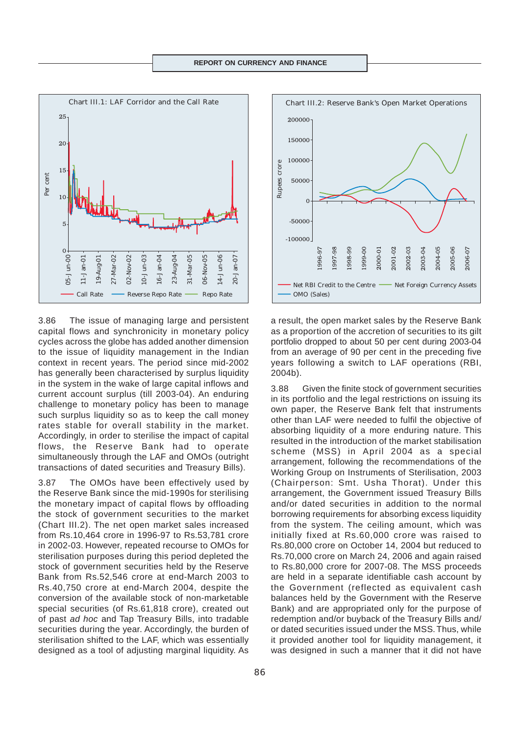

3.86 The issue of managing large and persistent capital flows and synchronicity in monetary policy cycles across the globe has added another dimension to the issue of liquidity management in the Indian context in recent years. The period since mid-2002 has generally been characterised by surplus liquidity in the system in the wake of large capital inflows and current account surplus (till 2003-04). An enduring challenge to monetary policy has been to manage such surplus liquidity so as to keep the call money rates stable for overall stability in the market. Accordingly, in order to sterilise the impact of capital flows, the Reserve Bank had to operate simultaneously through the LAF and OMOs (outright transactions of dated securities and Treasury Bills).

3.87 The OMOs have been effectively used by the Reserve Bank since the mid-1990s for sterilising the monetary impact of capital flows by offloading the stock of government securities to the market (Chart III.2). The net open market sales increased from Rs.10,464 crore in 1996-97 to Rs.53,781 crore in 2002-03. However, repeated recourse to OMOs for sterilisation purposes during this period depleted the stock of government securities held by the Reserve Bank from Rs.52,546 crore at end-March 2003 to Rs.40,750 crore at end-March 2004, despite the conversion of the available stock of non-marketable special securities (of Rs.61,818 crore), created out of past *ad hoc* and Tap Treasury Bills, into tradable securities during the year. Accordingly, the burden of sterilisation shifted to the LAF, which was essentially designed as a tool of adjusting marginal liquidity. As



a result, the open market sales by the Reserve Bank as a proportion of the accretion of securities to its gilt portfolio dropped to about 50 per cent during 2003-04 from an average of 90 per cent in the preceding five years following a switch to LAF operations (RBI, 2004b).

3.88 Given the finite stock of government securities in its portfolio and the legal restrictions on issuing its own paper, the Reserve Bank felt that instruments other than LAF were needed to fulfil the objective of absorbing liquidity of a more enduring nature. This resulted in the introduction of the market stabilisation scheme (MSS) in April 2004 as a special arrangement, following the recommendations of the Working Group on Instruments of Sterilisation, 2003 (Chairperson: Smt. Usha Thorat). Under this arrangement, the Government issued Treasury Bills and/or dated securities in addition to the normal borrowing requirements for absorbing excess liquidity from the system. The ceiling amount, which was initially fixed at Rs.60,000 crore was raised to Rs.80,000 crore on October 14, 2004 but reduced to Rs.70,000 crore on March 24, 2006 and again raised to Rs.80,000 crore for 2007-08. The MSS proceeds are held in a separate identifiable cash account by the Government (reflected as equivalent cash balances held by the Government with the Reserve Bank) and are appropriated only for the purpose of redemption and/or buyback of the Treasury Bills and/ or dated securities issued under the MSS. Thus, while it provided another tool for liquidity management, it was designed in such a manner that it did not have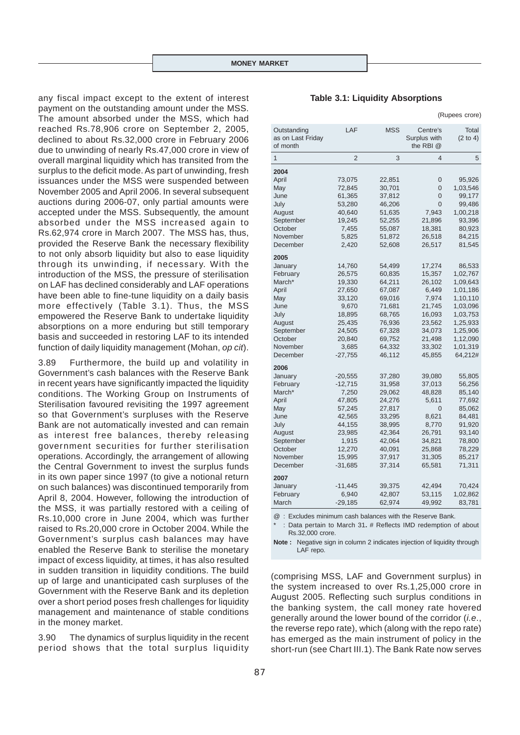any fiscal impact except to the extent of interest payment on the outstanding amount under the MSS. The amount absorbed under the MSS, which had reached Rs.78,906 crore on September 2, 2005, declined to about Rs.32,000 crore in February 2006 due to unwinding of nearly Rs.47,000 crore in view of overall marginal liquidity which has transited from the surplus to the deficit mode. As part of unwinding, fresh issuances under the MSS were suspended between November 2005 and April 2006. In several subsequent auctions during 2006-07, only partial amounts were accepted under the MSS. Subsequently, the amount absorbed under the MSS increased again to Rs.62,974 crore in March 2007. The MSS has, thus, provided the Reserve Bank the necessary flexibility to not only absorb liquidity but also to ease liquidity through its unwinding, if necessary. With the introduction of the MSS, the pressure of sterilisation on LAF has declined considerably and LAF operations have been able to fine-tune liquidity on a daily basis more effectively (Table 3.1). Thus, the MSS empowered the Reserve Bank to undertake liquidity absorptions on a more enduring but still temporary basis and succeeded in restoring LAF to its intended function of daily liquidity management (Mohan, *op cit*).

3.89 Furthermore, the build up and volatility in Government's cash balances with the Reserve Bank in recent years have significantly impacted the liquidity conditions. The Working Group on Instruments of Sterilisation favoured revisiting the 1997 agreement so that Government's surpluses with the Reserve Bank are not automatically invested and can remain as interest free balances, thereby releasing government securities for further sterilisation operations. Accordingly, the arrangement of allowing the Central Government to invest the surplus funds in its own paper since 1997 (to give a notional return on such balances) was discontinued temporarily from April 8, 2004. However, following the introduction of the MSS, it was partially restored with a ceiling of Rs.10,000 crore in June 2004, which was further raised to Rs.20,000 crore in October 2004. While the Government's surplus cash balances may have enabled the Reserve Bank to sterilise the monetary impact of excess liquidity, at times, it has also resulted in sudden transition in liquidity conditions. The build up of large and unanticipated cash surpluses of the Government with the Reserve Bank and its depletion over a short period poses fresh challenges for liquidity management and maintenance of stable conditions in the money market.

3.90 The dynamics of surplus liquidity in the recent period shows that the total surplus liquidity

|                                              |                |            |                                       | (Rupees crore)    |
|----------------------------------------------|----------------|------------|---------------------------------------|-------------------|
| Outstanding<br>as on Last Friday<br>of month | LAF            | <b>MSS</b> | Centre's<br>Surplus with<br>the RBI @ | Total<br>(2 to 4) |
| 1                                            | $\overline{2}$ | 3          | 4                                     | 5                 |
| 2004                                         |                |            |                                       |                   |
| April                                        | 73,075         | 22,851     | 0                                     | 95,926            |
| May                                          | 72,845         | 30,701     | $\Omega$                              | 1,03,546          |
| June                                         | 61,365         | 37,812     | 0                                     | 99,177            |
| July                                         | 53,280         | 46,206     | $\Omega$                              | 99,486            |
| August                                       | 40,640         | 51,635     | 7,943                                 | 1,00,218          |
| September                                    | 19,245         | 52,255     | 21,896                                | 93,396            |
| October                                      | 7,455          | 55,087     | 18,381                                | 80,923            |
| November                                     | 5,825          | 51,872     | 26,518                                | 84,215            |
| December                                     | 2,420          | 52,608     | 26,517                                | 81,545            |
| 2005                                         |                |            |                                       |                   |
| January                                      | 14,760         | 54,499     | 17,274                                | 86,533            |
| February                                     | 26,575         | 60,835     | 15,357                                | 1,02,767          |
| March*                                       | 19,330         | 64,211     | 26,102                                | 1,09,643          |
| April                                        | 27,650         | 67,087     | 6,449                                 | 1,01,186          |
| May                                          | 33,120         | 69,016     | 7,974                                 | 1,10,110          |
| June                                         | 9,670          | 71,681     | 21,745                                | 1,03,096          |
| July                                         | 18,895         | 68,765     | 16,093                                | 1,03,753          |
| August                                       | 25,435         | 76,936     | 23,562                                | 1,25,933          |
| September                                    | 24,505         | 67,328     | 34,073                                | 1,25,906          |
| October                                      | 20,840         | 69,752     | 21,498                                | 1,12,090          |
| November                                     | 3,685          | 64,332     | 33,302                                | 1,01,319          |
| December                                     | $-27,755$      | 46,112     | 45,855                                | 64,212#           |
| 2006                                         |                |            |                                       |                   |
| January                                      | $-20,555$      | 37,280     | 39,080                                | 55,805            |
| February                                     | $-12,715$      | 31,958     | 37,013                                | 56,256            |
| March*                                       | 7,250          | 29,062     | 48,828                                | 85,140            |
| April                                        | 47,805         | 24,276     | 5,611                                 | 77,692            |
| May                                          | 57,245         | 27,817     | 0                                     | 85,062            |
| June                                         | 42,565         | 33,295     | 8,621                                 | 84,481            |
| July                                         | 44,155         | 38,995     | 8,770                                 | 91,920            |
| August                                       | 23,985         | 42,364     | 26,791                                | 93,140            |
| September                                    | 1,915          | 42,064     | 34,821                                | 78,800            |
| October                                      | 12,270         | 40,091     | 25,868                                | 78,229            |
| November                                     | 15,995         | 37,917     | 31,305                                | 85,217            |
| December                                     | $-31,685$      | 37,314     | 65,581                                | 71,311            |
| 2007                                         |                |            |                                       |                   |
| January                                      | $-11,445$      | 39,375     | 42,494                                | 70,424            |
| February                                     | 6,940          | 42,807     | 53,115                                | 1,02,862          |
| March                                        | $-29,185$      | 62,974     | 49,992                                | 83,781            |
|                                              |                |            |                                       |                   |

@ : Excludes minimum cash balances with the Reserve Bank.

\* : Data pertain to March 31**.** # Reflects IMD redemption of about Rs.32,000 crore.

**Note :** Negative sign in column 2 indicates injection of liquidity through LAF repo.

(comprising MSS, LAF and Government surplus) in the system increased to over Rs.1,25,000 crore in August 2005. Reflecting such surplus conditions in the banking system, the call money rate hovered generally around the lower bound of the corridor (*i.e*., the reverse repo rate), which (along with the repo rate) has emerged as the main instrument of policy in the short-run (see Chart III.1). The Bank Rate now serves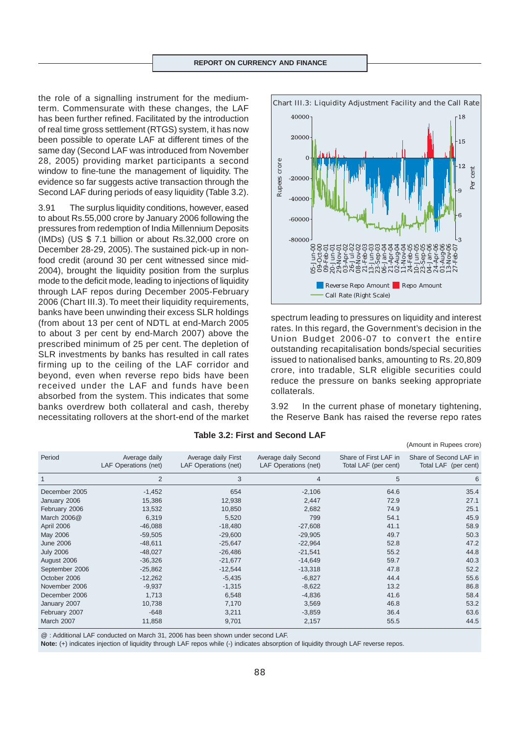the role of a signalling instrument for the mediumterm. Commensurate with these changes, the LAF has been further refined. Facilitated by the introduction of real time gross settlement (RTGS) system, it has now been possible to operate LAF at different times of the same day (Second LAF was introduced from November 28, 2005) providing market participants a second window to fine-tune the management of liquidity. The evidence so far suggests active transaction through the Second LAF during periods of easy liquidity (Table 3.2).

3.91 The surplus liquidity conditions, however, eased to about Rs.55,000 crore by January 2006 following the pressures from redemption of India Millennium Deposits (IMDs) (US \$ 7.1 billion or about Rs.32,000 crore on December 28-29, 2005). The sustained pick-up in nonfood credit (around 30 per cent witnessed since mid-2004), brought the liquidity position from the surplus mode to the deficit mode, leading to injections of liquidity through LAF repos during December 2005-February 2006 (Chart III.3). To meet their liquidity requirements, banks have been unwinding their excess SLR holdings (from about 13 per cent of NDTL at end-March 2005 to about 3 per cent by end-March 2007) above the prescribed minimum of 25 per cent. The depletion of SLR investments by banks has resulted in call rates firming up to the ceiling of the LAF corridor and beyond, even when reverse repo bids have been received under the LAF and funds have been absorbed from the system. This indicates that some banks overdrew both collateral and cash, thereby necessitating rollovers at the short-end of the market



spectrum leading to pressures on liquidity and interest rates. In this regard, the Government's decision in the Union Budget 2006-07 to convert the entire outstanding recapitalisation bonds/special securities issued to nationalised banks, amounting to Rs. 20,809 crore, into tradable, SLR eligible securities could reduce the pressure on banks seeking appropriate collaterals.

3.92 In the current phase of monetary tightening, the Reserve Bank has raised the reverse repo rates

(Amount in Rupees crore)

| Period           | Average daily<br>LAF Operations (net) | Average daily First<br>LAF Operations (net) | Average daily Second<br>LAF Operations (net) | Share of First LAF in<br>Total LAF (per cent) | Share of Second LAF in<br>Total LAF (per cent) |
|------------------|---------------------------------------|---------------------------------------------|----------------------------------------------|-----------------------------------------------|------------------------------------------------|
|                  | $\overline{2}$                        | 3                                           | $\overline{4}$                               | 5                                             | 6                                              |
| December 2005    | $-1,452$                              | 654                                         | $-2,106$                                     | 64.6                                          | 35.4                                           |
| January 2006     | 15,386                                | 12,938                                      | 2,447                                        | 72.9                                          | 27.1                                           |
| February 2006    | 13,532                                | 10,850                                      | 2,682                                        | 74.9                                          | 25.1                                           |
| March 2006@      | 6,319                                 | 5,520                                       | 799                                          | 54.1                                          | 45.9                                           |
| April 2006       | $-46,088$                             | $-18,480$                                   | $-27,608$                                    | 41.1                                          | 58.9                                           |
| May 2006         | $-59,505$                             | $-29,600$                                   | $-29,905$                                    | 49.7                                          | 50.3                                           |
| <b>June 2006</b> | $-48,611$                             | $-25,647$                                   | $-22,964$                                    | 52.8                                          | 47.2                                           |
| <b>July 2006</b> | $-48,027$                             | $-26,486$                                   | $-21,541$                                    | 55.2                                          | 44.8                                           |
| August 2006      | $-36,326$                             | $-21,677$                                   | $-14,649$                                    | 59.7                                          | 40.3                                           |
| September 2006   | $-25,862$                             | $-12,544$                                   | $-13.318$                                    | 47.8                                          | 52.2                                           |
| October 2006     | $-12,262$                             | $-5,435$                                    | $-6,827$                                     | 44.4                                          | 55.6                                           |
| November 2006    | $-9,937$                              | $-1,315$                                    | $-8,622$                                     | 13.2                                          | 86.8                                           |
| December 2006    | 1,713                                 | 6,548                                       | $-4,836$                                     | 41.6                                          | 58.4                                           |
| January 2007     | 10,738                                | 7,170                                       | 3,569                                        | 46.8                                          | 53.2                                           |
| February 2007    | $-648$                                | 3,211                                       | $-3,859$                                     | 36.4                                          | 63.6                                           |
| March 2007       | 11,858                                | 9,701                                       | 2,157                                        | 55.5                                          | 44.5                                           |
|                  |                                       |                                             |                                              |                                               |                                                |

# **Table 3.2: First and Second LAF**

@ : Additional LAF conducted on March 31, 2006 has been shown under second LAF.

**Note:** (+) indicates injection of liquidity through LAF repos while (-) indicates absorption of liquidity through LAF reverse repos.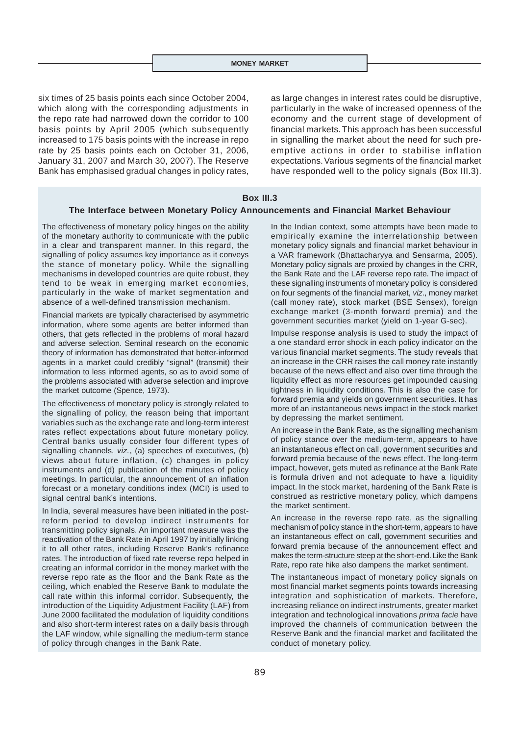six times of 25 basis points each since October 2004, which along with the corresponding adjustments in the repo rate had narrowed down the corridor to 100 basis points by April 2005 (which subsequently increased to 175 basis points with the increase in repo rate by 25 basis points each on October 31, 2006, January 31, 2007 and March 30, 2007). The Reserve Bank has emphasised gradual changes in policy rates,

as large changes in interest rates could be disruptive, particularly in the wake of increased openness of the economy and the current stage of development of financial markets. This approach has been successful in signalling the market about the need for such preemptive actions in order to stabilise inflation expectations. Various segments of the financial market have responded well to the policy signals (Box III.3).

## **Box III.3**

#### **The Interface between Monetary Policy Announcements and Financial Market Behaviour**

The effectiveness of monetary policy hinges on the ability of the monetary authority to communicate with the public in a clear and transparent manner. In this regard, the signalling of policy assumes key importance as it conveys the stance of monetary policy. While the signalling mechanisms in developed countries are quite robust, they tend to be weak in emerging market economies, particularly in the wake of market segmentation and absence of a well-defined transmission mechanism.

Financial markets are typically characterised by asymmetric information, where some agents are better informed than others, that gets reflected in the problems of moral hazard and adverse selection. Seminal research on the economic theory of information has demonstrated that better-informed agents in a market could credibly "signal" (transmit) their information to less informed agents, so as to avoid some of the problems associated with adverse selection and improve the market outcome (Spence, 1973).

The effectiveness of monetary policy is strongly related to the signalling of policy, the reason being that important variables such as the exchange rate and long-term interest rates reflect expectations about future monetary policy. Central banks usually consider four different types of signalling channels, *viz.*, (a) speeches of executives, (b) views about future inflation, (c) changes in policy instruments and (d) publication of the minutes of policy meetings. In particular, the announcement of an inflation forecast or a monetary conditions index (MCI) is used to signal central bank's intentions.

In India, several measures have been initiated in the postreform period to develop indirect instruments for transmitting policy signals. An important measure was the reactivation of the Bank Rate in April 1997 by initially linking it to all other rates, including Reserve Bank's refinance rates. The introduction of fixed rate reverse repo helped in creating an informal corridor in the money market with the reverse repo rate as the floor and the Bank Rate as the ceiling, which enabled the Reserve Bank to modulate the call rate within this informal corridor. Subsequently, the introduction of the Liquidity Adjustment Facility (LAF) from June 2000 facilitated the modulation of liquidity conditions and also short-term interest rates on a daily basis through the LAF window, while signalling the medium-term stance of policy through changes in the Bank Rate.

In the Indian context, some attempts have been made to empirically examine the interrelationship between monetary policy signals and financial market behaviour in a VAR framework (Bhattacharyya and Sensarma, 2005). Monetary policy signals are proxied by changes in the CRR, the Bank Rate and the LAF reverse repo rate. The impact of these signalling instruments of monetary policy is considered on four segments of the financial market, *viz*., money market (call money rate), stock market (BSE Sensex), foreign exchange market (3-month forward premia) and the government securities market (yield on 1-year G-sec).

Impulse response analysis is used to study the impact of a one standard error shock in each policy indicator on the various financial market segments. The study reveals that an increase in the CRR raises the call money rate instantly because of the news effect and also over time through the liquidity effect as more resources get impounded causing tightness in liquidity conditions. This is also the case for forward premia and yields on government securities. It has more of an instantaneous news impact in the stock market by depressing the market sentiment.

An increase in the Bank Rate, as the signalling mechanism of policy stance over the medium-term, appears to have an instantaneous effect on call, government securities and forward premia because of the news effect. The long-term impact, however, gets muted as refinance at the Bank Rate is formula driven and not adequate to have a liquidity impact. In the stock market, hardening of the Bank Rate is construed as restrictive monetary policy, which dampens the market sentiment.

An increase in the reverse repo rate, as the signalling mechanism of policy stance in the short-term, appears to have an instantaneous effect on call, government securities and forward premia because of the announcement effect and makes the term-structure steep at the short-end. Like the Bank Rate, repo rate hike also dampens the market sentiment.

The instantaneous impact of monetary policy signals on most financial market segments points towards increasing integration and sophistication of markets. Therefore, increasing reliance on indirect instruments, greater market integration and technological innovations *prima facie* have improved the channels of communication between the Reserve Bank and the financial market and facilitated the conduct of monetary policy.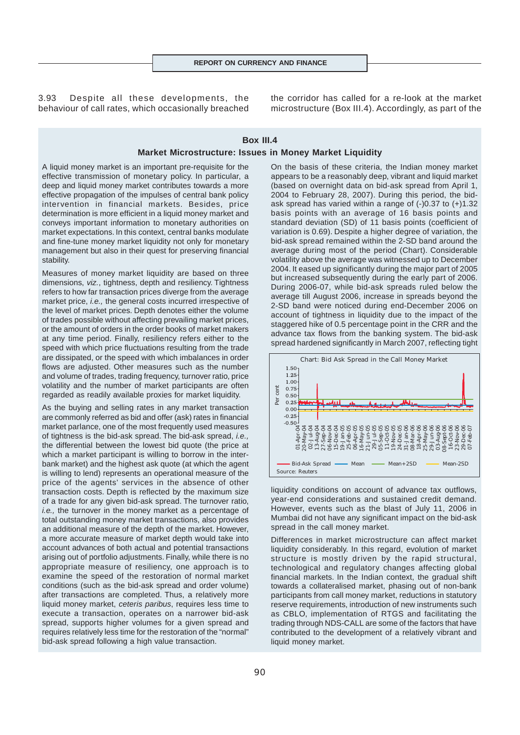3.93 Despite all these developments, the behaviour of call rates, which occasionally breached the corridor has called for a re-look at the market microstructure (Box III.4). Accordingly, as part of the

# **Box III.4 Market Microstructure: Issues in Money Market Liquidity**

A liquid money market is an important pre-requisite for the effective transmission of monetary policy. In particular, a deep and liquid money market contributes towards a more effective propagation of the impulses of central bank policy intervention in financial markets. Besides, price determination is more efficient in a liquid money market and conveys important information to monetary authorities on market expectations. In this context, central banks modulate and fine-tune money market liquidity not only for monetary management but also in their quest for preserving financial stability.

Measures of money market liquidity are based on three dimensions, *viz.*, tightness, depth and resiliency. Tightness refers to how far transaction prices diverge from the average market price, *i.e.,* the general costs incurred irrespective of the level of market prices. Depth denotes either the volume of trades possible without affecting prevailing market prices, or the amount of orders in the order books of market makers at any time period. Finally, resiliency refers either to the speed with which price fluctuations resulting from the trade are dissipated, or the speed with which imbalances in order flows are adjusted. Other measures such as the number and volume of trades, trading frequency, turnover ratio, price volatility and the number of market participants are often regarded as readily available proxies for market liquidity.

As the buying and selling rates in any market transaction are commonly referred as bid and offer (ask) rates in financial market parlance, one of the most frequently used measures of tightness is the bid-ask spread. The bid-ask spread, *i.e.,* the differential between the lowest bid quote (the price at which a market participant is willing to borrow in the interbank market) and the highest ask quote (at which the agent is willing to lend) represents an operational measure of the price of the agents' services in the absence of other transaction costs. Depth is reflected by the maximum size of a trade for any given bid-ask spread. The turnover ratio, *i.e.,* the turnover in the money market as a percentage of total outstanding money market transactions, also provides an additional measure of the depth of the market. However, a more accurate measure of market depth would take into account advances of both actual and potential transactions arising out of portfolio adjustments. Finally, while there is no appropriate measure of resiliency, one approach is to examine the speed of the restoration of normal market conditions (such as the bid-ask spread and order volume) after transactions are completed. Thus, a relatively more liquid money market, *ceteris paribus*, requires less time to execute a transaction, operates on a narrower bid-ask spread, supports higher volumes for a given spread and requires relatively less time for the restoration of the "normal" bid-ask spread following a high value transaction.

On the basis of these criteria, the Indian money market appears to be a reasonably deep, vibrant and liquid market (based on overnight data on bid-ask spread from April 1, 2004 to February 28, 2007). During this period, the bidask spread has varied within a range of (-)0.37 to (+)1.32 basis points with an average of 16 basis points and standard deviation (SD) of 11 basis points (coefficient of variation is 0.69). Despite a higher degree of variation, the bid-ask spread remained within the 2-SD band around the average during most of the period (Chart). Considerable volatility above the average was witnessed up to December 2004. It eased up significantly during the major part of 2005 but increased subsequently during the early part of 2006. During 2006-07, while bid-ask spreads ruled below the average till August 2006, increase in spreads beyond the 2-SD band were noticed during end-December 2006 on account of tightness in liquidity due to the impact of the staggered hike of 0.5 percentage point in the CRR and the advance tax flows from the banking system. The bid-ask spread hardened significantly in March 2007, reflecting tight



liquidity conditions on account of advance tax outflows, year-end considerations and sustained credit demand. However, events such as the blast of July 11, 2006 in Mumbai did not have any significant impact on the bid-ask spread in the call money market.

Differences in market microstructure can affect market liquidity considerably. In this regard, evolution of market structure is mostly driven by the rapid structural, technological and regulatory changes affecting global financial markets. In the Indian context, the gradual shift towards a collateralised market, phasing out of non-bank participants from call money market, reductions in statutory reserve requirements, introduction of new instruments such as CBLO, implementation of RTGS and facilitating the trading through NDS-CALL are some of the factors that have contributed to the development of a relatively vibrant and liquid money market.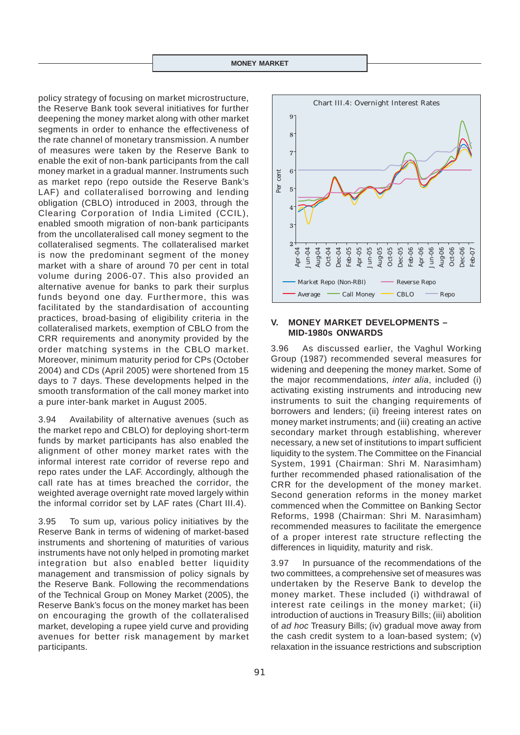policy strategy of focusing on market microstructure, the Reserve Bank took several initiatives for further deepening the money market along with other market segments in order to enhance the effectiveness of the rate channel of monetary transmission. A number of measures were taken by the Reserve Bank to enable the exit of non-bank participants from the call money market in a gradual manner. Instruments such as market repo (repo outside the Reserve Bank's LAF) and collateralised borrowing and lending obligation (CBLO) introduced in 2003, through the Clearing Corporation of India Limited (CCIL), enabled smooth migration of non-bank participants from the uncollateralised call money segment to the collateralised segments. The collateralised market is now the predominant segment of the money market with a share of around 70 per cent in total volume during 2006-07. This also provided an alternative avenue for banks to park their surplus funds beyond one day. Furthermore, this was facilitated by the standardisation of accounting practices, broad-basing of eligibility criteria in the collateralised markets, exemption of CBLO from the CRR requirements and anonymity provided by the order matching systems in the CBLO market. Moreover, minimum maturity period for CPs (October 2004) and CDs (April 2005) were shortened from 15 days to 7 days. These developments helped in the smooth transformation of the call money market into a pure inter-bank market in August 2005.

3.94 Availability of alternative avenues (such as the market repo and CBLO) for deploying short-term funds by market participants has also enabled the alignment of other money market rates with the informal interest rate corridor of reverse repo and repo rates under the LAF. Accordingly, although the call rate has at times breached the corridor, the weighted average overnight rate moved largely within the informal corridor set by LAF rates (Chart III.4).

3.95 To sum up, various policy initiatives by the Reserve Bank in terms of widening of market-based instruments and shortening of maturities of various instruments have not only helped in promoting market integration but also enabled better liquidity management and transmission of policy signals by the Reserve Bank. Following the recommendations of the Technical Group on Money Market (2005), the Reserve Bank's focus on the money market has been on encouraging the growth of the collateralised market, developing a rupee yield curve and providing avenues for better risk management by market participants.



#### **V. MONEY MARKET DEVELOPMENTS – MID-1980s ONWARDS**

3.96 As discussed earlier, the Vaghul Working Group (1987) recommended several measures for widening and deepening the money market. Some of the major recommendations, *inter alia*, included (i) activating existing instruments and introducing new instruments to suit the changing requirements of borrowers and lenders; (ii) freeing interest rates on money market instruments; and (iii) creating an active secondary market through establishing, wherever necessary, a new set of institutions to impart sufficient liquidity to the system. The Committee on the Financial System, 1991 (Chairman: Shri M. Narasimham) further recommended phased rationalisation of the CRR for the development of the money market. Second generation reforms in the money market commenced when the Committee on Banking Sector Reforms, 1998 (Chairman: Shri M. Narasimham) recommended measures to facilitate the emergence of a proper interest rate structure reflecting the differences in liquidity, maturity and risk. **Example 12** and 13 and 13 and 13 and 13 and 13 and 13 and 13 and 13 and 14 More restrictions and the internal More restriction ABR-04 More restriction and deepening the money market. Some of the major recommended several

3.97 In pursuance of the recommendations of the two committees, a comprehensive set of measures was undertaken by the Reserve Bank to develop the money market. These included (i) withdrawal of interest rate ceilings in the money market; (ii) introduction of auctions in Treasury Bills; (iii) abolition of *ad hoc* Treasury Bills; (iv) gradual move away from the cash credit system to a loan-based system; (v)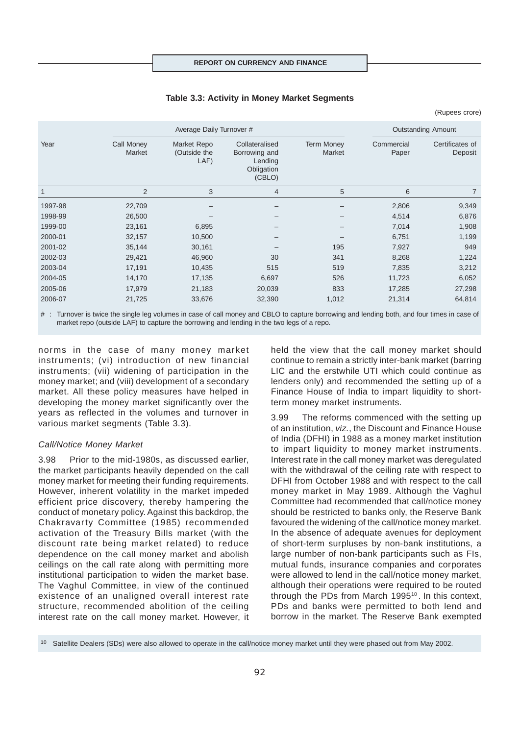#### **Table 3.3: Activity in Money Market Segments**

(Rupees crore)

|              |                      | Average Daily Turnover #            |                                                                    |                             |                     | <b>Outstanding Amount</b>  |
|--------------|----------------------|-------------------------------------|--------------------------------------------------------------------|-----------------------------|---------------------|----------------------------|
| Year         | Call Money<br>Market | Market Repo<br>(Outside the<br>LAF) | Collateralised<br>Borrowing and<br>Lending<br>Obligation<br>(CBLO) | <b>Term Money</b><br>Market | Commercial<br>Paper | Certificates of<br>Deposit |
| $\mathbf{1}$ | $\overline{2}$       | 3                                   | 4                                                                  | 5                           | 6                   | $\overline{7}$             |
| 1997-98      | 22,709               |                                     |                                                                    |                             | 2,806               | 9,349                      |
| 1998-99      | 26,500               |                                     |                                                                    |                             | 4,514               | 6,876                      |
| 1999-00      | 23,161               | 6,895                               |                                                                    |                             | 7,014               | 1,908                      |
| 2000-01      | 32,157               | 10,500                              |                                                                    |                             | 6,751               | 1,199                      |
| 2001-02      | 35,144               | 30,161                              |                                                                    | 195                         | 7,927               | 949                        |
| 2002-03      | 29,421               | 46,960                              | 30                                                                 | 341                         | 8,268               | 1,224                      |
| 2003-04      | 17,191               | 10,435                              | 515                                                                | 519                         | 7,835               | 3,212                      |
| 2004-05      | 14,170               | 17,135                              | 6,697                                                              | 526                         | 11,723              | 6,052                      |
| 2005-06      | 17,979               | 21,183                              | 20,039                                                             | 833                         | 17,285              | 27,298                     |
| 2006-07      | 21,725               | 33,676                              | 32,390                                                             | 1,012                       | 21,314              | 64,814                     |

#: Turnover is twice the single leg volumes in case of call money and CBLO to capture borrowing and lending both, and four times in case of market repo (outside LAF) to capture the borrowing and lending in the two legs of a repo.

norms in the case of many money market instruments; (vi) introduction of new financial instruments; (vii) widening of participation in the money market; and (viii) development of a secondary market. All these policy measures have helped in developing the money market significantly over the years as reflected in the volumes and turnover in various market segments (Table 3.3).

#### *Call/Notice Money Market*

3.98 Prior to the mid-1980s, as discussed earlier, the market participants heavily depended on the call money market for meeting their funding requirements. However, inherent volatility in the market impeded efficient price discovery, thereby hampering the conduct of monetary policy. Against this backdrop, the Chakravarty Committee (1985) recommended activation of the Treasury Bills market (with the discount rate being market related) to reduce dependence on the call money market and abolish ceilings on the call rate along with permitting more institutional participation to widen the market base. The Vaghul Committee, in view of the continued existence of an unaligned overall interest rate structure, recommended abolition of the ceiling interest rate on the call money market. However, it held the view that the call money market should continue to remain a strictly inter-bank market (barring LIC and the erstwhile UTI which could continue as lenders only) and recommended the setting up of a Finance House of India to impart liquidity to shortterm money market instruments.

3.99 The reforms commenced with the setting up of an institution, *viz.*, the Discount and Finance House of India (DFHI) in 1988 as a money market institution to impart liquidity to money market instruments. Interest rate in the call money market was deregulated with the withdrawal of the ceiling rate with respect to DFHI from October 1988 and with respect to the call money market in May 1989. Although the Vaghul Committee had recommended that call/notice money should be restricted to banks only, the Reserve Bank favoured the widening of the call/notice money market. In the absence of adequate avenues for deployment of short-term surpluses by non-bank institutions, a large number of non-bank participants such as FIs, mutual funds, insurance companies and corporates were allowed to lend in the call/notice money market, although their operations were required to be routed through the PDs from March 1995<sup>10</sup>. In this context, PDs and banks were permitted to both lend and borrow in the market. The Reserve Bank exempted

<sup>10</sup> Satellite Dealers (SDs) were also allowed to operate in the call/notice money market until they were phased out from May 2002.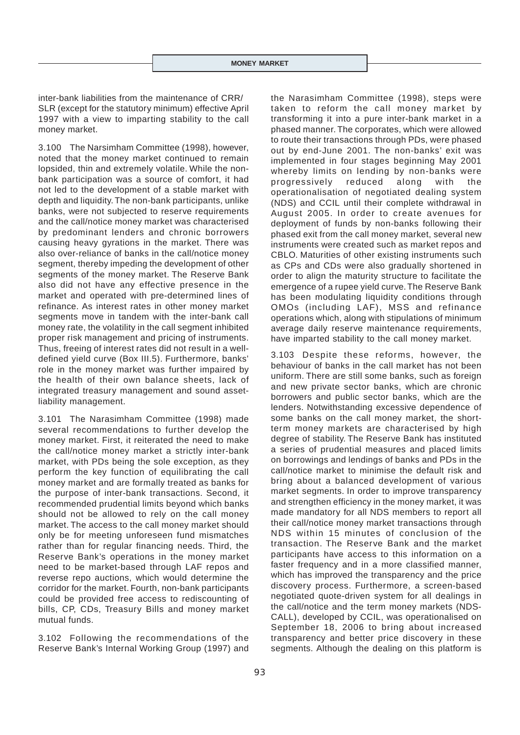inter-bank liabilities from the maintenance of CRR/ SLR (except for the statutory minimum) effective April 1997 with a view to imparting stability to the call money market.

3.100 The Narsimham Committee (1998), however, noted that the money market continued to remain lopsided, thin and extremely volatile. While the nonbank participation was a source of comfort, it had not led to the development of a stable market with depth and liquidity. The non-bank participants, unlike banks, were not subjected to reserve requirements and the call/notice money market was characterised by predominant lenders and chronic borrowers causing heavy gyrations in the market. There was also over-reliance of banks in the call/notice money segment, thereby impeding the development of other segments of the money market. The Reserve Bank also did not have any effective presence in the market and operated with pre-determined lines of refinance. As interest rates in other money market segments move in tandem with the inter-bank call money rate, the volatility in the call segment inhibited proper risk management and pricing of instruments. Thus, freeing of interest rates did not result in a welldefined yield curve (Box III.5). Furthermore, banks' role in the money market was further impaired by the health of their own balance sheets, lack of integrated treasury management and sound assetliability management.

3.101 The Narasimham Committee (1998) made several recommendations to further develop the money market. First, it reiterated the need to make the call/notice money market a strictly inter-bank market, with PDs being the sole exception, as they perform the key function of equilibrating the call money market and are formally treated as banks for the purpose of inter-bank transactions. Second, it recommended prudential limits beyond which banks should not be allowed to rely on the call money market. The access to the call money market should only be for meeting unforeseen fund mismatches rather than for regular financing needs. Third, the Reserve Bank's operations in the money market need to be market-based through LAF repos and reverse repo auctions, which would determine the corridor for the market. Fourth, non-bank participants could be provided free access to rediscounting of bills, CP, CDs, Treasury Bills and money market mutual funds.

3.102 Following the recommendations of the Reserve Bank's Internal Working Group (1997) and

the Narasimham Committee (1998), steps were taken to reform the call money market by transforming it into a pure inter-bank market in a phased manner. The corporates, which were allowed to route their transactions through PDs, were phased out by end-June 2001. The non-banks' exit was implemented in four stages beginning May 2001 whereby limits on lending by non-banks were progressively reduced along with the operationalisation of negotiated dealing system (NDS) and CCIL until their complete withdrawal in August 2005. In order to create avenues for deployment of funds by non-banks following their phased exit from the call money market, several new instruments were created such as market repos and CBLO. Maturities of other existing instruments such as CPs and CDs were also gradually shortened in order to align the maturity structure to facilitate the emergence of a rupee yield curve. The Reserve Bank has been modulating liquidity conditions through OMOs (including LAF), MSS and refinance operations which, along with stipulations of minimum average daily reserve maintenance requirements, have imparted stability to the call money market.

3.103 Despite these reforms, however, the behaviour of banks in the call market has not been uniform. There are still some banks, such as foreign and new private sector banks, which are chronic borrowers and public sector banks, which are the lenders. Notwithstanding excessive dependence of some banks on the call money market, the shortterm money markets are characterised by high degree of stability. The Reserve Bank has instituted a series of prudential measures and placed limits on borrowings and lendings of banks and PDs in the call/notice market to minimise the default risk and bring about a balanced development of various market segments. In order to improve transparency and strengthen efficiency in the money market, it was made mandatory for all NDS members to report all their call/notice money market transactions through NDS within 15 minutes of conclusion of the transaction. The Reserve Bank and the market participants have access to this information on a faster frequency and in a more classified manner, which has improved the transparency and the price discovery process. Furthermore, a screen-based negotiated quote-driven system for all dealings in the call/notice and the term money markets (NDS-CALL), developed by CCIL, was operationalised on September 18, 2006 to bring about increased transparency and better price discovery in these segments. Although the dealing on this platform is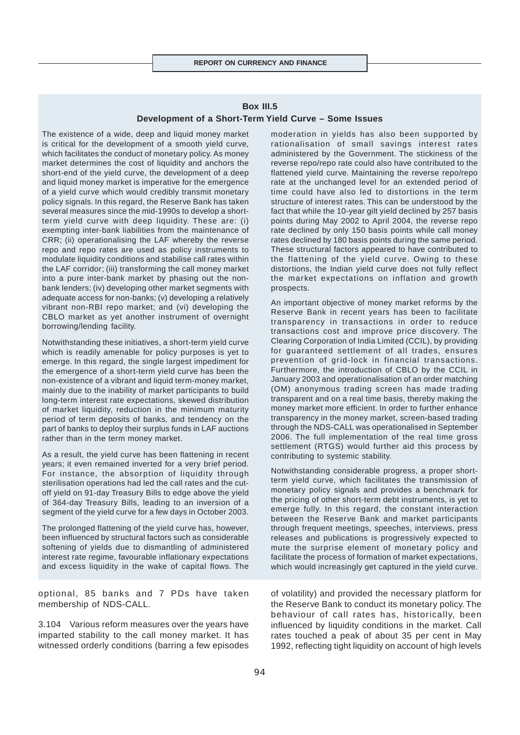# **Box III.5**

#### **Development of a Short-Term Yield Curve – Some Issues**

The existence of a wide, deep and liquid money market is critical for the development of a smooth yield curve, which facilitates the conduct of monetary policy. As money market determines the cost of liquidity and anchors the short-end of the yield curve, the development of a deep and liquid money market is imperative for the emergence of a yield curve which would credibly transmit monetary policy signals. In this regard, the Reserve Bank has taken several measures since the mid-1990s to develop a shortterm yield curve with deep liquidity. These are: (i) exempting inter-bank liabilities from the maintenance of CRR; (ii) operationalising the LAF whereby the reverse repo and repo rates are used as policy instruments to modulate liquidity conditions and stabilise call rates within the LAF corridor; (iii) transforming the call money market into a pure inter-bank market by phasing out the nonbank lenders; (iv) developing other market segments with adequate access for non-banks; (v) developing a relatively vibrant non-RBI repo market; and (vi) developing the CBLO market as yet another instrument of overnight borrowing/lending facility.

Notwithstanding these initiatives, a short-term yield curve which is readily amenable for policy purposes is yet to emerge. In this regard, the single largest impediment for the emergence of a short-term yield curve has been the non-existence of a vibrant and liquid term-money market, mainly due to the inability of market participants to build long-term interest rate expectations, skewed distribution of market liquidity, reduction in the minimum maturity period of term deposits of banks, and tendency on the part of banks to deploy their surplus funds in LAF auctions rather than in the term money market.

As a result, the yield curve has been flattening in recent years; it even remained inverted for a very brief period. For instance, the absorption of liquidity through sterilisation operations had led the call rates and the cutoff yield on 91-day Treasury Bills to edge above the yield of 364-day Treasury Bills, leading to an inversion of a segment of the yield curve for a few days in October 2003.

The prolonged flattening of the yield curve has, however, been influenced by structural factors such as considerable softening of yields due to dismantling of administered interest rate regime, favourable inflationary expectations and excess liquidity in the wake of capital flows. The

optional, 85 banks and 7 PDs have taken membership of NDS-CALL.

3.104 Various reform measures over the years have imparted stability to the call money market. It has witnessed orderly conditions (barring a few episodes moderation in yields has also been supported by rationalisation of small savings interest rates administered by the Government. The stickiness of the reverse repo/repo rate could also have contributed to the flattened yield curve. Maintaining the reverse repo/repo rate at the unchanged level for an extended period of time could have also led to distortions in the term structure of interest rates. This can be understood by the fact that while the 10-year gilt yield declined by 257 basis points during May 2002 to April 2004, the reverse repo rate declined by only 150 basis points while call money rates declined by 180 basis points during the same period. These structural factors appeared to have contributed to the flattening of the yield curve. Owing to these distortions, the Indian yield curve does not fully reflect the market expectations on inflation and growth prospects.

An important objective of money market reforms by the Reserve Bank in recent years has been to facilitate transparency in transactions in order to reduce transactions cost and improve price discovery. The Clearing Corporation of India Limited (CCIL), by providing for guaranteed settlement of all trades, ensures prevention of grid-lock in financial transactions. Furthermore, the introduction of CBLO by the CCIL in January 2003 and operationalisation of an order matching (OM) anonymous trading screen has made trading transparent and on a real time basis, thereby making the money market more efficient. In order to further enhance transparency in the money market, screen-based trading through the NDS-CALL was operationalised in September 2006. The full implementation of the real time gross settlement (RTGS) would further aid this process by contributing to systemic stability.

Notwithstanding considerable progress, a proper shortterm yield curve, which facilitates the transmission of monetary policy signals and provides a benchmark for the pricing of other short-term debt instruments, is yet to emerge fully. In this regard, the constant interaction between the Reserve Bank and market participants through frequent meetings, speeches, interviews, press releases and publications is progressively expected to mute the surprise element of monetary policy and facilitate the process of formation of market expectations, which would increasingly get captured in the yield curve.

of volatility) and provided the necessary platform for the Reserve Bank to conduct its monetary policy. The behaviour of call rates has, historically, been influenced by liquidity conditions in the market. Call rates touched a peak of about 35 per cent in May 1992, reflecting tight liquidity on account of high levels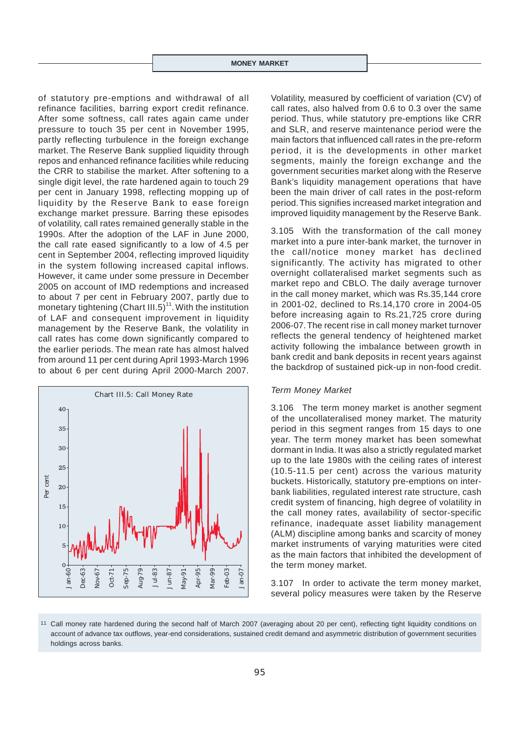of statutory pre-emptions and withdrawal of all refinance facilities, barring export credit refinance. After some softness, call rates again came under pressure to touch 35 per cent in November 1995, partly reflecting turbulence in the foreign exchange market. The Reserve Bank supplied liquidity through repos and enhanced refinance facilities while reducing the CRR to stabilise the market. After softening to a single digit level, the rate hardened again to touch 29 per cent in January 1998, reflecting mopping up of liquidity by the Reserve Bank to ease foreign exchange market pressure. Barring these episodes of volatility, call rates remained generally stable in the 1990s. After the adoption of the LAF in June 2000, the call rate eased significantly to a low of 4.5 per cent in September 2004, reflecting improved liquidity in the system following increased capital inflows. However, it came under some pressure in December 2005 on account of IMD redemptions and increased to about 7 per cent in February 2007, partly due to monetary tightening (Chart III.5)<sup>11</sup>. With the institution of LAF and consequent improvement in liquidity management by the Reserve Bank, the volatility in call rates has come down significantly compared to the earlier periods. The mean rate has almost halved from around 11 per cent during April 1993-March 1996 to about 6 per cent during April 2000-March 2007.



Volatility, measured by coefficient of variation (CV) of call rates, also halved from 0.6 to 0.3 over the same period. Thus, while statutory pre-emptions like CRR and SLR, and reserve maintenance period were the main factors that influenced call rates in the pre-reform period, it is the developments in other market segments, mainly the foreign exchange and the government securities market along with the Reserve Bank's liquidity management operations that have been the main driver of call rates in the post-reform period. This signifies increased market integration and improved liquidity management by the Reserve Bank.

3.105 With the transformation of the call money market into a pure inter-bank market, the turnover in the call/notice money market has declined significantly. The activity has migrated to other overnight collateralised market segments such as market repo and CBLO. The daily average turnover in the call money market, which was Rs.35,144 crore in 2001-02, declined to Rs.14,170 crore in 2004-05 before increasing again to Rs.21,725 crore during 2006-07. The recent rise in call money market turnover reflects the general tendency of heightened market activity following the imbalance between growth in bank credit and bank deposits in recent years against the backdrop of sustained pick-up in non-food credit.

#### *Term Money Market*

3.106 The term money market is another segment of the uncollateralised money market. The maturity period in this segment ranges from 15 days to one year. The term money market has been somewhat dormant in India. It was also a strictly regulated market up to the late 1980s with the ceiling rates of interest (10.5-11.5 per cent) across the various maturity buckets. Historically, statutory pre-emptions on interbank liabilities, regulated interest rate structure, cash credit system of financing, high degree of volatility in the call money rates, availability of sector-specific refinance, inadequate asset liability management (ALM) discipline among banks and scarcity of money market instruments of varying maturities were cited as the main factors that inhibited the development of the term money market.

3.107 In order to activate the term money market, several policy measures were taken by the Reserve

<sup>11</sup> Call money rate hardened during the second half of March 2007 (averaging about 20 per cent), reflecting tight liquidity conditions on account of advance tax outflows, year-end considerations, sustained credit demand and asymmetric distribution of government securities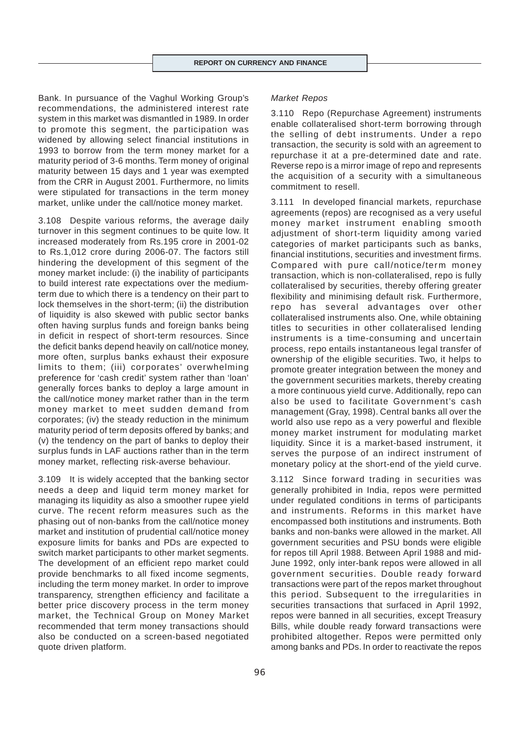Bank. In pursuance of the Vaghul Working Group's recommendations, the administered interest rate system in this market was dismantled in 1989. In order to promote this segment, the participation was widened by allowing select financial institutions in 1993 to borrow from the term money market for a maturity period of 3-6 months. Term money of original maturity between 15 days and 1 year was exempted from the CRR in August 2001. Furthermore, no limits were stipulated for transactions in the term money market, unlike under the call/notice money market.

3.108 Despite various reforms, the average daily turnover in this segment continues to be quite low. It increased moderately from Rs.195 crore in 2001-02 to Rs.1,012 crore during 2006-07. The factors still hindering the development of this segment of the money market include: (i) the inability of participants to build interest rate expectations over the mediumterm due to which there is a tendency on their part to lock themselves in the short-term; (ii) the distribution of liquidity is also skewed with public sector banks often having surplus funds and foreign banks being in deficit in respect of short-term resources. Since the deficit banks depend heavily on call/notice money, more often, surplus banks exhaust their exposure limits to them; (iii) corporates' overwhelming preference for 'cash credit' system rather than 'loan' generally forces banks to deploy a large amount in the call/notice money market rather than in the term money market to meet sudden demand from corporates; (iv) the steady reduction in the minimum maturity period of term deposits offered by banks; and (v) the tendency on the part of banks to deploy their surplus funds in LAF auctions rather than in the term money market, reflecting risk-averse behaviour.

3.109 It is widely accepted that the banking sector needs a deep and liquid term money market for managing its liquidity as also a smoother rupee yield curve. The recent reform measures such as the phasing out of non-banks from the call/notice money market and institution of prudential call/notice money exposure limits for banks and PDs are expected to switch market participants to other market segments. The development of an efficient repo market could provide benchmarks to all fixed income segments, including the term money market. In order to improve transparency, strengthen efficiency and facilitate a better price discovery process in the term money market, the Technical Group on Money Market recommended that term money transactions should also be conducted on a screen-based negotiated quote driven platform.

#### *Market Repos*

3.110 Repo (Repurchase Agreement) instruments enable collateralised short-term borrowing through the selling of debt instruments. Under a repo transaction, the security is sold with an agreement to repurchase it at a pre-determined date and rate. Reverse repo is a mirror image of repo and represents the acquisition of a security with a simultaneous commitment to resell.

3.111 In developed financial markets, repurchase agreements (repos) are recognised as a very useful money market instrument enabling smooth adjustment of short-term liquidity among varied categories of market participants such as banks, financial institutions, securities and investment firms. Compared with pure call/notice/term money transaction, which is non-collateralised, repo is fully collateralised by securities, thereby offering greater flexibility and minimising default risk. Furthermore, repo has several advantages over other collateralised instruments also. One, while obtaining titles to securities in other collateralised lending instruments is a time-consuming and uncertain process, repo entails instantaneous legal transfer of ownership of the eligible securities. Two, it helps to promote greater integration between the money and the government securities markets, thereby creating a more continuous yield curve. Additionally, repo can also be used to facilitate Government's cash management (Gray, 1998). Central banks all over the world also use repo as a very powerful and flexible money market instrument for modulating market liquidity. Since it is a market-based instrument, it serves the purpose of an indirect instrument of monetary policy at the short-end of the yield curve.

3.112 Since forward trading in securities was generally prohibited in India, repos were permitted under regulated conditions in terms of participants and instruments. Reforms in this market have encompassed both institutions and instruments. Both banks and non-banks were allowed in the market. All government securities and PSU bonds were eligible for repos till April 1988. Between April 1988 and mid-June 1992, only inter-bank repos were allowed in all government securities. Double ready forward transactions were part of the repos market throughout this period. Subsequent to the irregularities in securities transactions that surfaced in April 1992, repos were banned in all securities, except Treasury Bills, while double ready forward transactions were prohibited altogether. Repos were permitted only among banks and PDs. In order to reactivate the repos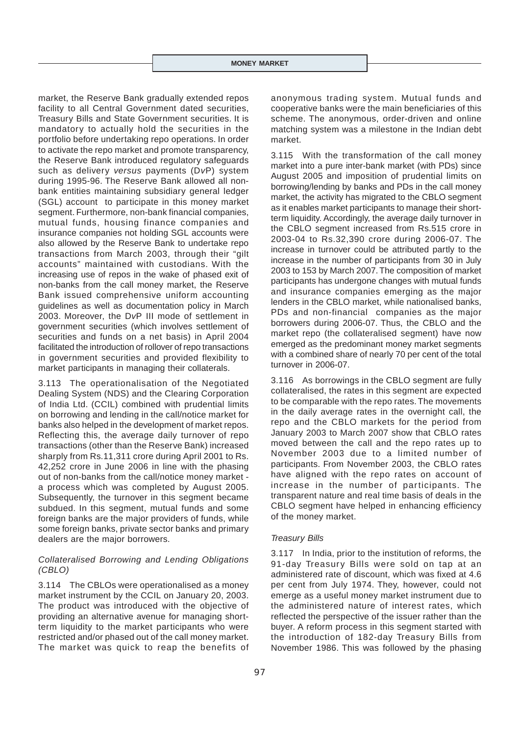market, the Reserve Bank gradually extended repos facility to all Central Government dated securities, Treasury Bills and State Government securities. It is mandatory to actually hold the securities in the portfolio before undertaking repo operations. In order to activate the repo market and promote transparency, the Reserve Bank introduced regulatory safeguards such as delivery *versus* payments (D*v*P) system during 1995-96. The Reserve Bank allowed all nonbank entities maintaining subsidiary general ledger (SGL) account to participate in this money market segment. Furthermore, non-bank financial companies, mutual funds, housing finance companies and insurance companies not holding SGL accounts were also allowed by the Reserve Bank to undertake repo transactions from March 2003, through their "gilt accounts" maintained with custodians. With the increasing use of repos in the wake of phased exit of non-banks from the call money market, the Reserve Bank issued comprehensive uniform accounting guidelines as well as documentation policy in March 2003. Moreover, the D*v*P III mode of settlement in government securities (which involves settlement of securities and funds on a net basis) in April 2004 facilitated the introduction of rollover of repo transactions in government securities and provided flexibility to market participants in managing their collaterals.

3.113 The operationalisation of the Negotiated Dealing System (NDS) and the Clearing Corporation of India Ltd. (CCIL) combined with prudential limits on borrowing and lending in the call/notice market for banks also helped in the development of market repos. Reflecting this, the average daily turnover of repo transactions (other than the Reserve Bank) increased sharply from Rs.11,311 crore during April 2001 to Rs. 42,252 crore in June 2006 in line with the phasing out of non-banks from the call/notice money market a process which was completed by August 2005. Subsequently, the turnover in this segment became subdued. In this segment, mutual funds and some foreign banks are the major providers of funds, while some foreign banks, private sector banks and primary dealers are the major borrowers.

# *Collateralised Borrowing and Lending Obligations (CBLO)*

3.114 The CBLOs were operationalised as a money market instrument by the CCIL on January 20, 2003. The product was introduced with the objective of providing an alternative avenue for managing shortterm liquidity to the market participants who were restricted and/or phased out of the call money market. The market was quick to reap the benefits of anonymous trading system. Mutual funds and cooperative banks were the main beneficiaries of this scheme. The anonymous, order-driven and online matching system was a milestone in the Indian debt market.

3.115 With the transformation of the call money market into a pure inter-bank market (with PDs) since August 2005 and imposition of prudential limits on borrowing/lending by banks and PDs in the call money market, the activity has migrated to the CBLO segment as it enables market participants to manage their shortterm liquidity. Accordingly, the average daily turnover in the CBLO segment increased from Rs.515 crore in 2003-04 to Rs.32,390 crore during 2006-07. The increase in turnover could be attributed partly to the increase in the number of participants from 30 in July 2003 to 153 by March 2007. The composition of market participants has undergone changes with mutual funds and insurance companies emerging as the major lenders in the CBLO market, while nationalised banks, PDs and non-financial companies as the major borrowers during 2006-07. Thus, the CBLO and the market repo (the collateralised segment) have now emerged as the predominant money market segments with a combined share of nearly 70 per cent of the total turnover in 2006-07.

3.116 As borrowings in the CBLO segment are fully collateralised, the rates in this segment are expected to be comparable with the repo rates. The movements in the daily average rates in the overnight call, the repo and the CBLO markets for the period from January 2003 to March 2007 show that CBLO rates moved between the call and the repo rates up to November 2003 due to a limited number of participants. From November 2003, the CBLO rates have aligned with the repo rates on account of increase in the number of participants. The transparent nature and real time basis of deals in the CBLO segment have helped in enhancing efficiency of the money market.

#### *Treasury Bills*

3.117 In India, prior to the institution of reforms, the 91-day Treasury Bills were sold on tap at an administered rate of discount, which was fixed at 4.6 per cent from July 1974. They, however, could not emerge as a useful money market instrument due to the administered nature of interest rates, which reflected the perspective of the issuer rather than the buyer. A reform process in this segment started with the introduction of 182-day Treasury Bills from November 1986. This was followed by the phasing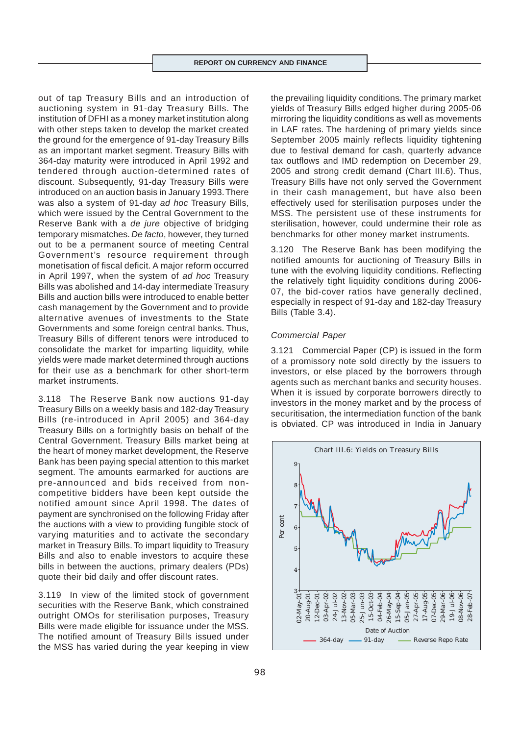out of tap Treasury Bills and an introduction of auctioning system in 91-day Treasury Bills. The institution of DFHI as a money market institution along with other steps taken to develop the market created the ground for the emergence of 91-day Treasury Bills as an important market segment. Treasury Bills with 364-day maturity were introduced in April 1992 and tendered through auction-determined rates of discount. Subsequently, 91-day Treasury Bills were introduced on an auction basis in January 1993. There was also a system of 91-day *ad hoc* Treasury Bills, which were issued by the Central Government to the Reserve Bank with a *de jure* objective of bridging temporary mismatches. *De facto*, however, they turned out to be a permanent source of meeting Central Government's resource requirement through monetisation of fiscal deficit. A major reform occurred in April 1997, when the system of *ad hoc* Treasury Bills was abolished and 14-day intermediate Treasury Bills and auction bills were introduced to enable better cash management by the Government and to provide alternative avenues of investments to the State Governments and some foreign central banks. Thus, Treasury Bills of different tenors were introduced to consolidate the market for imparting liquidity, while yields were made market determined through auctions for their use as a benchmark for other short-term market instruments.

3.118 The Reserve Bank now auctions 91-day Treasury Bills on a weekly basis and 182-day Treasury Bills (re-introduced in April 2005) and 364-day Treasury Bills on a fortnightly basis on behalf of the Central Government. Treasury Bills market being at the heart of money market development, the Reserve Bank has been paying special attention to this market segment. The amounts earmarked for auctions are pre-announced and bids received from noncompetitive bidders have been kept outside the notified amount since April 1998. The dates of payment are synchronised on the following Friday after the auctions with a view to providing fungible stock of varying maturities and to activate the secondary market in Treasury Bills. To impart liquidity to Treasury Bills and also to enable investors to acquire these bills in between the auctions, primary dealers (PDs) quote their bid daily and offer discount rates.

3.119 In view of the limited stock of government securities with the Reserve Bank, which constrained outright OMOs for sterilisation purposes, Treasury Bills were made eligible for issuance under the MSS. The notified amount of Treasury Bills issued under the MSS has varied during the year keeping in view

the prevailing liquidity conditions. The primary market yields of Treasury Bills edged higher during 2005-06 mirroring the liquidity conditions as well as movements in LAF rates. The hardening of primary yields since September 2005 mainly reflects liquidity tightening due to festival demand for cash, quarterly advance tax outflows and IMD redemption on December 29, 2005 and strong credit demand (Chart III.6). Thus, Treasury Bills have not only served the Government in their cash management, but have also been effectively used for sterilisation purposes under the MSS. The persistent use of these instruments for sterilisation, however, could undermine their role as benchmarks for other money market instruments.

3.120 The Reserve Bank has been modifying the notified amounts for auctioning of Treasury Bills in tune with the evolving liquidity conditions. Reflecting the relatively tight liquidity conditions during 2006- 07, the bid-cover ratios have generally declined, especially in respect of 91-day and 182-day Treasury Bills (Table 3.4).

#### *Commercial Paper*

3.121 Commercial Paper (CP) is issued in the form of a promissory note sold directly by the issuers to investors, or else placed by the borrowers through agents such as merchant banks and security houses. When it is issued by corporate borrowers directly to investors in the money market and by the process of securitisation, the intermediation function of the bank is obviated. CP was introduced in India in January

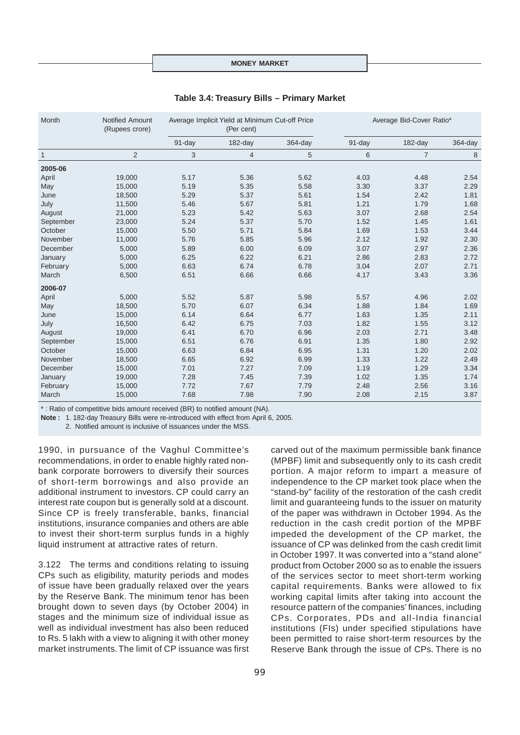#### **MONEY MARKET**

| Month        | Notified Amount<br>(Rupees crore) |        | Average Implicit Yield at Minimum Cut-off Price<br>(Per cent) |            |        | Average Bid-Cover Ratio* |            |
|--------------|-----------------------------------|--------|---------------------------------------------------------------|------------|--------|--------------------------|------------|
|              |                                   | 91-day | $182$ -day                                                    | $364$ -day | 91-day | 182-day                  | $364$ -day |
| $\mathbf{1}$ | $\overline{2}$                    | 3      | $\overline{4}$                                                | 5          | 6      | $\overline{7}$           | 8          |
| 2005-06      |                                   |        |                                                               |            |        |                          |            |
| April        | 19,000                            | 5.17   | 5.36                                                          | 5.62       | 4.03   | 4.48                     | 2.54       |
| May          | 15,000                            | 5.19   | 5.35                                                          | 5.58       | 3.30   | 3.37                     | 2.29       |
| June         | 18,500                            | 5.29   | 5.37                                                          | 5.61       | 1.54   | 2.42                     | 1.81       |
| July         | 11,500                            | 5.46   | 5.67                                                          | 5.81       | 1.21   | 1.79                     | 1.68       |
| August       | 21,000                            | 5.23   | 5.42                                                          | 5.63       | 3.07   | 2.68                     | 2.54       |
| September    | 23,000                            | 5.24   | 5.37                                                          | 5.70       | 1.52   | 1.45                     | 1.61       |
| October      | 15,000                            | 5.50   | 5.71                                                          | 5.84       | 1.69   | 1.53                     | 3.44       |
| November     | 11,000                            | 5.76   | 5.85                                                          | 5.96       | 2.12   | 1.92                     | 2.30       |
| December     | 5,000                             | 5.89   | 6.00                                                          | 6.09       | 3.07   | 2.97                     | 2.36       |
| January      | 5,000                             | 6.25   | 6.22                                                          | 6.21       | 2.86   | 2.83                     | 2.72       |
| February     | 5,000                             | 6.63   | 6.74                                                          | 6.78       | 3.04   | 2.07                     | 2.71       |
| March        | 6,500                             | 6.51   | 6.66                                                          | 6.66       | 4.17   | 3.43                     | 3.36       |
| 2006-07      |                                   |        |                                                               |            |        |                          |            |
| April        | 5,000                             | 5.52   | 5.87                                                          | 5.98       | 5.57   | 4.96                     | 2.02       |
| May          | 18,500                            | 5.70   | 6.07                                                          | 6.34       | 1.88   | 1.84                     | 1.69       |
| June         | 15,000                            | 6.14   | 6.64                                                          | 6.77       | 1.63   | 1.35                     | 2.11       |
| July         | 16,500                            | 6.42   | 6.75                                                          | 7.03       | 1.82   | 1.55                     | 3.12       |
| August       | 19,000                            | 6.41   | 6.70                                                          | 6.96       | 2.03   | 2.71                     | 3.48       |
| September    | 15,000                            | 6.51   | 6.76                                                          | 6.91       | 1.35   | 1.80                     | 2.92       |
| October      | 15,000                            | 6.63   | 6.84                                                          | 6.95       | 1.31   | 1.20                     | 2.02       |
| November     | 18,500                            | 6.65   | 6.92                                                          | 6.99       | 1.33   | 1.22                     | 2.49       |
| December     | 15,000                            | 7.01   | 7.27                                                          | 7.09       | 1.19   | 1.29                     | 3.34       |
| January      | 19,000                            | 7.28   | 7.45                                                          | 7.39       | 1.02   | 1.35                     | 1.74       |
| February     | 15,000                            | 7.72   | 7.67                                                          | 7.79       | 2.48   | 2.56                     | 3.16       |
| March        | 15,000                            | 7.68   | 7.98                                                          | 7.90       | 2.08   | 2.15                     | 3.87       |

#### **Table 3.4: Treasury Bills – Primary Market**

\* : Ratio of competitive bids amount received (BR) to notified amount (NA).

**Note :** 1. 182-day Treasury Bills were re-introduced with effect from April 6, 2005.

2. Notified amount is inclusive of issuances under the MSS.

1990, in pursuance of the Vaghul Committee's recommendations, in order to enable highly rated nonbank corporate borrowers to diversify their sources of short-term borrowings and also provide an additional instrument to investors. CP could carry an interest rate coupon but is generally sold at a discount. Since CP is freely transferable, banks, financial institutions, insurance companies and others are able to invest their short-term surplus funds in a highly liquid instrument at attractive rates of return.

3.122 The terms and conditions relating to issuing CPs such as eligibility, maturity periods and modes of issue have been gradually relaxed over the years by the Reserve Bank. The minimum tenor has been brought down to seven days (by October 2004) in stages and the minimum size of individual issue as well as individual investment has also been reduced to Rs. 5 lakh with a view to aligning it with other money market instruments. The limit of CP issuance was first carved out of the maximum permissible bank finance (MPBF) limit and subsequently only to its cash credit portion. A major reform to impart a measure of independence to the CP market took place when the "stand-by" facility of the restoration of the cash credit limit and guaranteeing funds to the issuer on maturity of the paper was withdrawn in October 1994. As the reduction in the cash credit portion of the MPBF impeded the development of the CP market, the issuance of CP was delinked from the cash credit limit in October 1997. It was converted into a "stand alone" product from October 2000 so as to enable the issuers of the services sector to meet short-term working capital requirements. Banks were allowed to fix working capital limits after taking into account the resource pattern of the companies' finances, including CPs. Corporates, PDs and all-India financial institutions (FIs) under specified stipulations have been permitted to raise short-term resources by the Reserve Bank through the issue of CPs. There is no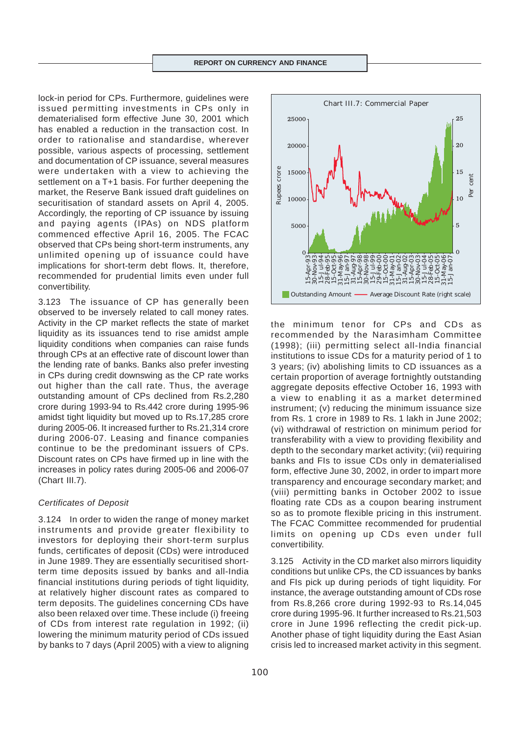lock-in period for CPs. Furthermore, guidelines were issued permitting investments in CPs only in dematerialised form effective June 30, 2001 which has enabled a reduction in the transaction cost. In order to rationalise and standardise, wherever possible, various aspects of processing, settlement and documentation of CP issuance, several measures were undertaken with a view to achieving the settlement on a T+1 basis. For further deepening the market, the Reserve Bank issued draft guidelines on securitisation of standard assets on April 4, 2005. Accordingly, the reporting of CP issuance by issuing and paying agents (IPAs) on NDS platform commenced effective April 16, 2005. The FCAC observed that CPs being short-term instruments, any unlimited opening up of issuance could have implications for short-term debt flows. It, therefore, recommended for prudential limits even under full convertibility.

3.123 The issuance of CP has generally been observed to be inversely related to call money rates. Activity in the CP market reflects the state of market liquidity as its issuances tend to rise amidst ample liquidity conditions when companies can raise funds through CPs at an effective rate of discount lower than the lending rate of banks. Banks also prefer investing in CPs during credit downswing as the CP rate works out higher than the call rate. Thus, the average outstanding amount of CPs declined from Rs.2,280 crore during 1993-94 to Rs.442 crore during 1995-96 amidst tight liquidity but moved up to Rs.17,285 crore during 2005-06. It increased further to Rs.21,314 crore during 2006-07. Leasing and finance companies continue to be the predominant issuers of CPs. Discount rates on CPs have firmed up in line with the increases in policy rates during 2005-06 and 2006-07 (Chart III.7).

# *Certificates of Deposit*

3.124 In order to widen the range of money market instruments and provide greater flexibility to investors for deploying their short-term surplus funds, certificates of deposit (CDs) were introduced in June 1989. They are essentially securitised shortterm time deposits issued by banks and all-India financial institutions during periods of tight liquidity, at relatively higher discount rates as compared to term deposits. The guidelines concerning CDs have also been relaxed over time. These include (i) freeing of CDs from interest rate regulation in 1992; (ii) lowering the minimum maturity period of CDs issued by banks to 7 days (April 2005) with a view to aligning



the minimum tenor for CPs and CDs as recommended by the Narasimham Committee (1998); (iii) permitting select all-India financial institutions to issue CDs for a maturity period of 1 to 3 years; (iv) abolishing limits to CD issuances as a certain proportion of average fortnightly outstanding aggregate deposits effective October 16, 1993 with a view to enabling it as a market determined instrument; (v) reducing the minimum issuance size from Rs. 1 crore in 1989 to Rs. 1 lakh in June 2002; (vi) withdrawal of restriction on minimum period for transferability with a view to providing flexibility and depth to the secondary market activity; (vii) requiring banks and FIs to issue CDs only in dematerialised form, effective June 30, 2002, in order to impart more transparency and encourage secondary market; and (viii) permitting banks in October 2002 to issue floating rate CDs as a coupon bearing instrument so as to promote flexible pricing in this instrument. The FCAC Committee recommended for prudential limits on opening up CDs even under full convertibility. crisis led to increased market activity in this segment. 15-Apr-93 30-Nov-93 15-Jul-94 28-Feb-95 15-Oct-95 31-May-96 15-Jan-97 31-Aug-97 15-Apr-98 30-Nov-98 15-Jul-99 29-Feb-00 15-Oct-00 31-May-01 15-Jan-02 31-Aug-02 15-Apr-03 30-Nov-03 15-Jul-04 28-Feb-05 15-Oct-05 31-May-06 15-Jan-07

3.125 Activity in the CD market also mirrors liquidity conditions but unlike CPs, the CD issuances by banks and FIs pick up during periods of tight liquidity. For instance, the average outstanding amount of CDs rose from Rs.8,266 crore during 1992-93 to Rs.14,045 crore during 1995-96. It further increased to Rs.21,503 crore in June 1996 reflecting the credit pick-up. Another phase of tight liquidity during the East Asian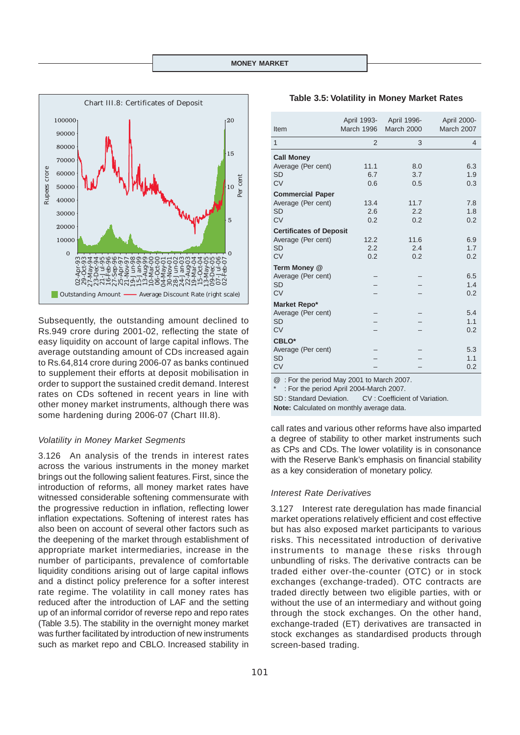

Subsequently, the outstanding amount declined to Rs.949 crore during 2001-02, reflecting the state of easy liquidity on account of large capital inflows. The average outstanding amount of CDs increased again to Rs.64,814 crore during 2006-07 as banks continued to supplement their efforts at deposit mobilisation in order to support the sustained credit demand. Interest rates on CDs softened in recent years in line with other money market instruments, although there was some hardening during 2006-07 (Chart III.8).

#### *Volatility in Money Market Segments*

3.126 An analysis of the trends in interest rates across the various instruments in the money market brings out the following salient features. First, since the introduction of reforms, all money market rates have witnessed considerable softening commensurate with the progressive reduction in inflation, reflecting lower inflation expectations. Softening of interest rates has also been on account of several other factors such as the deepening of the market through establishment of appropriate market intermediaries, increase in the number of participants, prevalence of comfortable liquidity conditions arising out of large capital inflows and a distinct policy preference for a softer interest rate regime. The volatility in call money rates has reduced after the introduction of LAF and the setting up of an informal corridor of reverse repo and repo rates (Table 3.5). The stability in the overnight money market was further facilitated by introduction of new instruments such as market repo and CBLO. Increased stability in

101

| <b>Table 3.5: Volatility in Money Market Rates</b> |  |  |  |
|----------------------------------------------------|--|--|--|
|----------------------------------------------------|--|--|--|

| Item                           | April 1993-<br>March 1996 | April 1996-<br><b>March 2000</b> | April 2000-<br>March 2007 |
|--------------------------------|---------------------------|----------------------------------|---------------------------|
| 1                              | $\overline{2}$            | 3                                | 4                         |
| <b>Call Money</b>              |                           |                                  |                           |
| Average (Per cent)             | 11.1                      | 8.0                              | 6.3                       |
| <b>SD</b>                      | 6.7                       | 3.7                              | 1.9                       |
| <b>CV</b>                      | 0.6                       | 0.5                              | 0.3                       |
| <b>Commercial Paper</b>        |                           |                                  |                           |
| Average (Per cent)             | 13.4                      | 11.7                             | 7.8                       |
| <b>SD</b>                      | 2.6                       | 2.2                              | 1.8                       |
| <b>CV</b>                      | 0.2                       | 0.2                              | 0.2                       |
| <b>Certificates of Deposit</b> |                           |                                  |                           |
| Average (Per cent)             | 12.2                      | 11.6                             | 6.9                       |
| <b>SD</b>                      | 2.2                       | 2.4                              | 1.7                       |
| CV                             | 0.2                       | 0.2                              | 0.2                       |
| Term Money @                   |                           |                                  |                           |
| Average (Per cent)             |                           |                                  | 6.5                       |
| SD                             |                           |                                  | 1.4                       |
| <b>CV</b>                      |                           |                                  | 0.2                       |
| Market Repo*                   |                           |                                  |                           |
| Average (Per cent)             |                           |                                  | 5.4                       |
| <b>SD</b>                      |                           |                                  | 1.1                       |
| <b>CV</b>                      |                           |                                  | 0.2                       |
| CBLO*                          |                           |                                  |                           |
| Average (Per cent)             |                           |                                  | 5.3                       |
| <b>SD</b>                      |                           |                                  | 1.1                       |
| <b>CV</b>                      |                           |                                  | 0.2                       |
|                                |                           |                                  |                           |

@ : For the period May 2001 to March 2007.

: For the period April 2004-March 2007.

SD : Standard Deviation. CV : Coefficient of Variation.

**Note:** Calculated on monthly average data.

call rates and various other reforms have also imparted a degree of stability to other market instruments such as CPs and CDs. The lower volatility is in consonance with the Reserve Bank's emphasis on financial stability as a key consideration of monetary policy.

## *Interest Rate Derivatives*

3.127 Interest rate deregulation has made financial market operations relatively efficient and cost effective but has also exposed market participants to various risks. This necessitated introduction of derivative instruments to manage these risks through unbundling of risks. The derivative contracts can be traded either over-the-counter (OTC) or in stock exchanges (exchange-traded). OTC contracts are traded directly between two eligible parties, with or without the use of an intermediary and without going through the stock exchanges. On the other hand, exchange-traded (ET) derivatives are transacted in stock exchanges as standardised products through screen-based trading.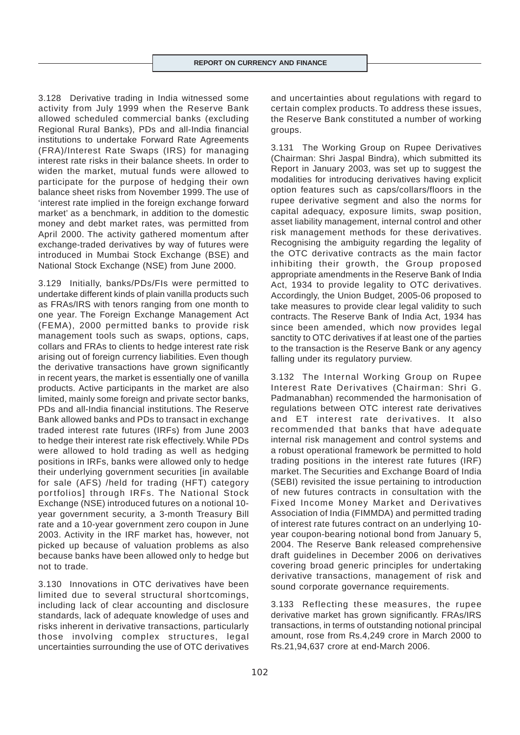3.128 Derivative trading in India witnessed some activity from July 1999 when the Reserve Bank allowed scheduled commercial banks (excluding Regional Rural Banks), PDs and all-India financial institutions to undertake Forward Rate Agreements (FRA)/Interest Rate Swaps (IRS) for managing interest rate risks in their balance sheets. In order to widen the market, mutual funds were allowed to participate for the purpose of hedging their own balance sheet risks from November 1999. The use of 'interest rate implied in the foreign exchange forward market' as a benchmark, in addition to the domestic money and debt market rates, was permitted from April 2000. The activity gathered momentum after exchange-traded derivatives by way of futures were introduced in Mumbai Stock Exchange (BSE) and National Stock Exchange (NSE) from June 2000.

3.129 Initially, banks/PDs/FIs were permitted to undertake different kinds of plain vanilla products such as FRAs/IRS with tenors ranging from one month to one year. The Foreign Exchange Management Act (FEMA), 2000 permitted banks to provide risk management tools such as swaps, options, caps, collars and FRAs to clients to hedge interest rate risk arising out of foreign currency liabilities. Even though the derivative transactions have grown significantly in recent years, the market is essentially one of vanilla products. Active participants in the market are also limited, mainly some foreign and private sector banks, PDs and all-India financial institutions. The Reserve Bank allowed banks and PDs to transact in exchange traded interest rate futures (IRFs) from June 2003 to hedge their interest rate risk effectively. While PDs were allowed to hold trading as well as hedging positions in IRFs, banks were allowed only to hedge their underlying government securities [in available for sale (AFS) /held for trading (HFT) category portfolios] through IRFs. The National Stock Exchange (NSE) introduced futures on a notional 10 year government security, a 3-month Treasury Bill rate and a 10-year government zero coupon in June 2003. Activity in the IRF market has, however, not picked up because of valuation problems as also because banks have been allowed only to hedge but not to trade.

3.130 Innovations in OTC derivatives have been limited due to several structural shortcomings, including lack of clear accounting and disclosure standards, lack of adequate knowledge of uses and risks inherent in derivative transactions, particularly those involving complex structures, legal uncertainties surrounding the use of OTC derivatives

and uncertainties about regulations with regard to certain complex products. To address these issues, the Reserve Bank constituted a number of working groups.

3.131 The Working Group on Rupee Derivatives (Chairman: Shri Jaspal Bindra), which submitted its Report in January 2003, was set up to suggest the modalities for introducing derivatives having explicit option features such as caps/collars/floors in the rupee derivative segment and also the norms for capital adequacy, exposure limits, swap position, asset liability management, internal control and other risk management methods for these derivatives. Recognising the ambiguity regarding the legality of the OTC derivative contracts as the main factor inhibiting their growth, the Group proposed appropriate amendments in the Reserve Bank of India Act, 1934 to provide legality to OTC derivatives. Accordingly, the Union Budget, 2005-06 proposed to take measures to provide clear legal validity to such contracts. The Reserve Bank of India Act, 1934 has since been amended, which now provides legal sanctity to OTC derivatives if at least one of the parties to the transaction is the Reserve Bank or any agency falling under its regulatory purview.

3.132 The Internal Working Group on Rupee Interest Rate Derivatives (Chairman: Shri G. Padmanabhan) recommended the harmonisation of regulations between OTC interest rate derivatives and ET interest rate derivatives. It also recommended that banks that have adequate internal risk management and control systems and a robust operational framework be permitted to hold trading positions in the interest rate futures (IRF) market. The Securities and Exchange Board of India (SEBI) revisited the issue pertaining to introduction of new futures contracts in consultation with the Fixed Income Money Market and Derivatives Association of India (FIMMDA) and permitted trading of interest rate futures contract on an underlying 10 year coupon-bearing notional bond from January 5, 2004. The Reserve Bank released comprehensive draft guidelines in December 2006 on derivatives covering broad generic principles for undertaking derivative transactions, management of risk and sound corporate governance requirements.

3.133 Reflecting these measures, the rupee derivative market has grown significantly. FRAs/IRS transactions, in terms of outstanding notional principal amount, rose from Rs.4,249 crore in March 2000 to Rs.21,94,637 crore at end-March 2006.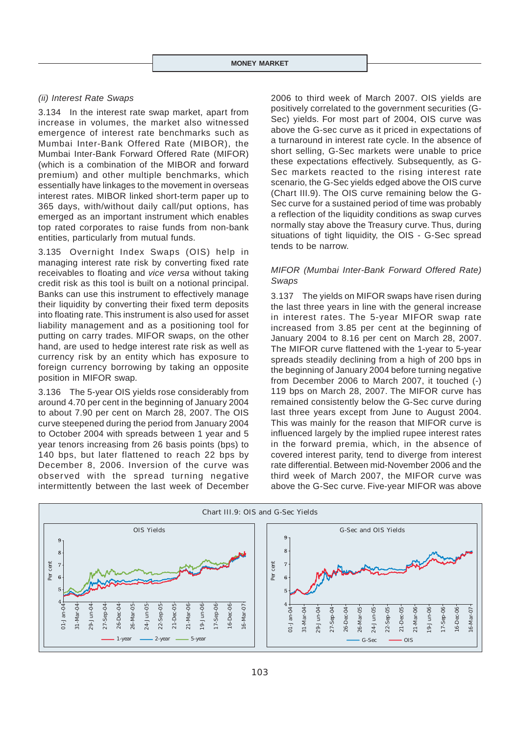#### *(ii) Interest Rate Swaps*

3.134 In the interest rate swap market, apart from increase in volumes, the market also witnessed emergence of interest rate benchmarks such as Mumbai Inter-Bank Offered Rate (MIBOR), the Mumbai Inter-Bank Forward Offered Rate (MIFOR) (which is a combination of the MIBOR and forward premium) and other multiple benchmarks, which essentially have linkages to the movement in overseas interest rates. MIBOR linked short-term paper up to 365 days, with/without daily call/put options, has emerged as an important instrument which enables top rated corporates to raise funds from non-bank entities, particularly from mutual funds.

3.135 Overnight Index Swaps (OIS) help in managing interest rate risk by converting fixed rate receivables to floating and *vice versa* without taking credit risk as this tool is built on a notional principal. Banks can use this instrument to effectively manage their liquidity by converting their fixed term deposits into floating rate. This instrument is also used for asset liability management and as a positioning tool for putting on carry trades. MIFOR swaps, on the other hand, are used to hedge interest rate risk as well as currency risk by an entity which has exposure to foreign currency borrowing by taking an opposite position in MIFOR swap.

3.136 The 5-year OIS yields rose considerably from around 4.70 per cent in the beginning of January 2004 to about 7.90 per cent on March 28, 2007. The OIS curve steepened during the period from January 2004 to October 2004 with spreads between 1 year and 5 year tenors increasing from 26 basis points (bps) to 140 bps, but later flattened to reach 22 bps by December 8, 2006. Inversion of the curve was observed with the spread turning negative intermittently between the last week of December 2006 to third week of March 2007. OIS yields are positively correlated to the government securities (G-Sec) yields. For most part of 2004, OIS curve was above the G-sec curve as it priced in expectations of a turnaround in interest rate cycle. In the absence of short selling, G-Sec markets were unable to price these expectations effectively. Subsequently, as G-Sec markets reacted to the rising interest rate scenario, the G-Sec yields edged above the OIS curve (Chart III.9). The OIS curve remaining below the G-Sec curve for a sustained period of time was probably a reflection of the liquidity conditions as swap curves normally stay above the Treasury curve. Thus, during situations of tight liquidity, the OIS - G-Sec spread tends to be narrow.

# *MIFOR (Mumbai Inter-Bank Forward Offered Rate) Swaps*

3.137 The yields on MIFOR swaps have risen during the last three years in line with the general increase in interest rates. The 5-year MIFOR swap rate increased from 3.85 per cent at the beginning of January 2004 to 8.16 per cent on March 28, 2007. The MIFOR curve flattened with the 1-year to 5-year spreads steadily declining from a high of 200 bps in the beginning of January 2004 before turning negative from December 2006 to March 2007, it touched (-) 119 bps on March 28, 2007. The MIFOR curve has remained consistently below the G-Sec curve during last three years except from June to August 2004. This was mainly for the reason that MIFOR curve is influenced largely by the implied rupee interest rates in the forward premia, which, in the absence of covered interest parity, tend to diverge from interest rate differential. Between mid-November 2006 and the third week of March 2007, the MIFOR curve was above the G-Sec curve. Five-year MIFOR was above

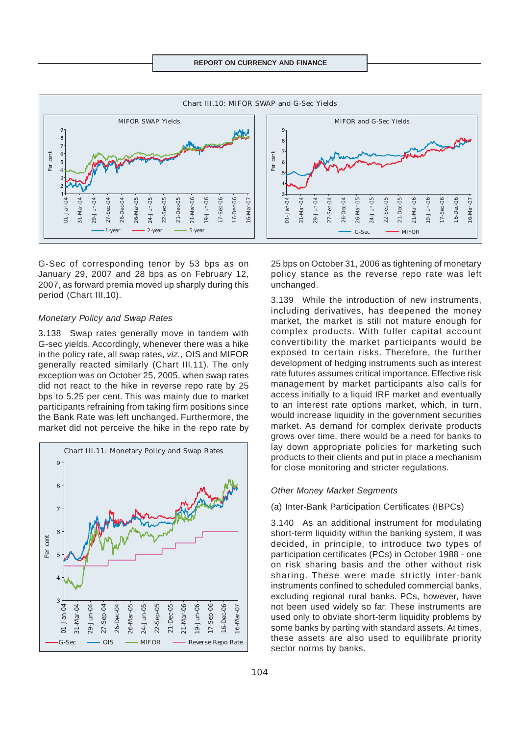

G-Sec of corresponding tenor by 53 bps as on January 29, 2007 and 28 bps as on February 12, 2007, as forward premia moved up sharply during this period (Chart III.10).

#### *Monetary Policy and Swap Rates*

3.138 Swap rates generally move in tandem with G-sec yields. Accordingly, whenever there was a hike in the policy rate, all swap rates, *viz.,* OIS and MIFOR generally reacted similarly (Chart III.11). The only exception was on October 25, 2005, when swap rates did not react to the hike in reverse repo rate by 25 bps to 5.25 per cent. This was mainly due to market participants refraining from taking firm positions since the Bank Rate was left unchanged. Furthermore, the market did not perceive the hike in the repo rate by



25 bps on October 31, 2006 as tightening of monetary policy stance as the reverse repo rate was left unchanged.

3.139 While the introduction of new instruments, including derivatives, has deepened the money market, the market is still not mature enough for complex products. With fuller capital account convertibility the market participants would be exposed to certain risks. Therefore, the further development of hedging instruments such as interest rate futures assumes critical importance. Effective risk management by market participants also calls for access initially to a liquid IRF market and eventually to an interest rate options market, which, in turn, would increase liquidity in the government securities market. As demand for complex derivate products grows over time, there would be a need for banks to lay down appropriate policies for marketing such products to their clients and put in place a mechanism for close monitoring and stricter regulations.

#### *Other Money Market Segments*

#### (a) Inter-Bank Participation Certificates (IBPCs)

3.140 As an additional instrument for modulating short-term liquidity within the banking system, it was decided, in principle, to introduce two types of participation certificates (PCs) in October 1988 - one on risk sharing basis and the other without risk sharing. These were made strictly inter-bank instruments confined to scheduled commercial banks, excluding regional rural banks. PCs, however, have not been used widely so far. These instruments are used only to obviate short-term liquidity problems by some banks by parting with standard assets. At times, these assets are also used to equilibrate priority sector norms by banks.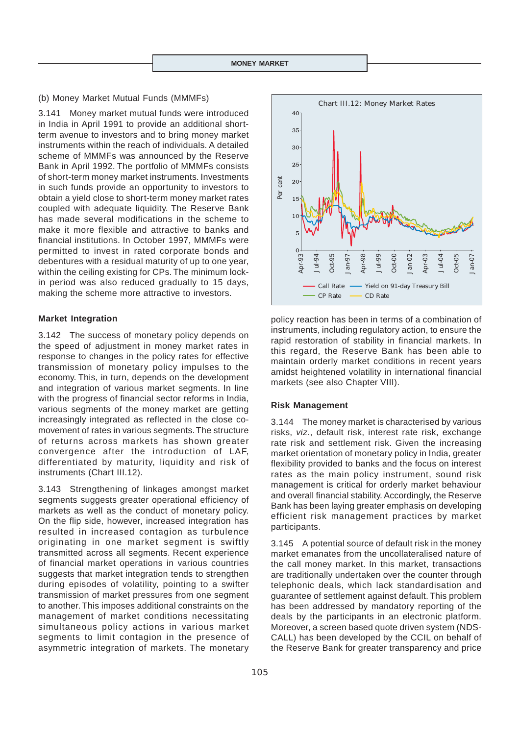#### (b) Money Market Mutual Funds (MMMFs)

3.141 Money market mutual funds were introduced in India in April 1991 to provide an additional shortterm avenue to investors and to bring money market instruments within the reach of individuals. A detailed scheme of MMMFs was announced by the Reserve Bank in April 1992. The portfolio of MMMFs consists of short-term money market instruments. Investments in such funds provide an opportunity to investors to obtain a yield close to short-term money market rates coupled with adequate liquidity. The Reserve Bank has made several modifications in the scheme to make it more flexible and attractive to banks and financial institutions. In October 1997, MMMFs were permitted to invest in rated corporate bonds and debentures with a residual maturity of up to one year, within the ceiling existing for CPs. The minimum lockin period was also reduced gradually to 15 days, making the scheme more attractive to investors.

#### **Market Integration**

3.142 The success of monetary policy depends on the speed of adjustment in money market rates in response to changes in the policy rates for effective transmission of monetary policy impulses to the economy. This, in turn, depends on the development and integration of various market segments. In line with the progress of financial sector reforms in India, various segments of the money market are getting increasingly integrated as reflected in the close comovement of rates in various segments. The structure of returns across markets has shown greater convergence after the introduction of LAF, differentiated by maturity, liquidity and risk of instruments (Chart III.12).

3.143 Strengthening of linkages amongst market segments suggests greater operational efficiency of markets as well as the conduct of monetary policy. On the flip side, however, increased integration has resulted in increased contagion as turbulence originating in one market segment is swiftly transmitted across all segments. Recent experience of financial market operations in various countries suggests that market integration tends to strengthen during episodes of volatility, pointing to a swifter transmission of market pressures from one segment to another. This imposes additional constraints on the management of market conditions necessitating simultaneous policy actions in various market segments to limit contagion in the presence of asymmetric integration of markets. The monetary



policy reaction has been in terms of a combination of instruments, including regulatory action, to ensure the rapid restoration of stability in financial markets. In this regard, the Reserve Bank has been able to maintain orderly market conditions in recent years amidst heightened volatility in international financial markets (see also Chapter VIII).

#### **Risk Management**

3.144 The money market is characterised by various risks, *viz.*, default risk, interest rate risk, exchange rate risk and settlement risk. Given the increasing market orientation of monetary policy in India, greater flexibility provided to banks and the focus on interest rates as the main policy instrument, sound risk management is critical for orderly market behaviour and overall financial stability. Accordingly, the Reserve Bank has been laying greater emphasis on developing efficient risk management practices by market participants. **Example 19**  $\frac{8}{5}$  a  $\frac{8}{5}$   $\frac{8}{5}$   $\frac{8}{5}$   $\frac{8}{5}$   $\frac{8}{5}$   $\frac{8}{5}$   $\frac{8}{5}$   $\frac{8}{5}$   $\frac{8}{5}$   $\frac{8}{5}$   $\frac{8}{5}$   $\frac{8}{5}$   $\frac{8}{5}$   $\frac{8}{5}$   $\frac{8}{5}$   $\frac{8}{5}$   $\frac{8}{5}$   $\frac{8}{5}$   $\frac{8}{5}$   $\frac{8}{$ 

3.145 A potential source of default risk in the money market emanates from the uncollateralised nature of the call money market. In this market, transactions are traditionally undertaken over the counter through telephonic deals, which lack standardisation and guarantee of settlement against default. This problem has been addressed by mandatory reporting of the deals by the participants in an electronic platform. Moreover, a screen based quote driven system (NDS-CALL) has been developed by the CCIL on behalf of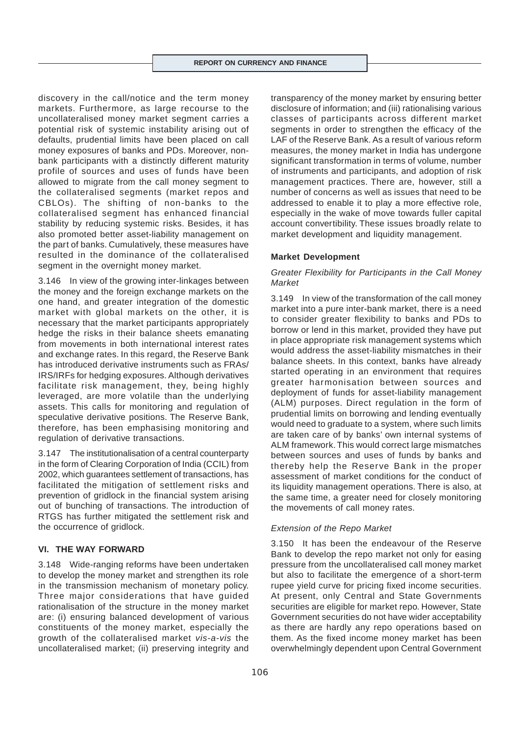discovery in the call/notice and the term money markets. Furthermore, as large recourse to the uncollateralised money market segment carries a potential risk of systemic instability arising out of defaults, prudential limits have been placed on call money exposures of banks and PDs. Moreover, nonbank participants with a distinctly different maturity profile of sources and uses of funds have been allowed to migrate from the call money segment to the collateralised segments (market repos and CBLOs). The shifting of non-banks to the collateralised segment has enhanced financial stability by reducing systemic risks. Besides, it has also promoted better asset-liability management on the part of banks. Cumulatively, these measures have resulted in the dominance of the collateralised segment in the overnight money market.

3.146 In view of the growing inter-linkages between the money and the foreign exchange markets on the one hand, and greater integration of the domestic market with global markets on the other, it is necessary that the market participants appropriately hedge the risks in their balance sheets emanating from movements in both international interest rates and exchange rates. In this regard, the Reserve Bank has introduced derivative instruments such as FRAs/ IRS/IRFs for hedging exposures. Although derivatives facilitate risk management, they, being highly leveraged, are more volatile than the underlying assets. This calls for monitoring and regulation of speculative derivative positions. The Reserve Bank, therefore, has been emphasising monitoring and regulation of derivative transactions.

3.147 The institutionalisation of a central counterparty in the form of Clearing Corporation of India (CCIL) from 2002, which guarantees settlement of transactions, has facilitated the mitigation of settlement risks and prevention of gridlock in the financial system arising out of bunching of transactions. The introduction of RTGS has further mitigated the settlement risk and the occurrence of gridlock.

# **VI. THE WAY FORWARD**

3.148 Wide-ranging reforms have been undertaken to develop the money market and strengthen its role in the transmission mechanism of monetary policy. Three major considerations that have guided rationalisation of the structure in the money market are: (i) ensuring balanced development of various constituents of the money market, especially the growth of the collateralised market *vis-a-vis* the uncollateralised market; (ii) preserving integrity and

transparency of the money market by ensuring better disclosure of information; and (iii) rationalising various classes of participants across different market segments in order to strengthen the efficacy of the LAF of the Reserve Bank. As a result of various reform measures, the money market in India has undergone significant transformation in terms of volume, number of instruments and participants, and adoption of risk management practices. There are, however, still a number of concerns as well as issues that need to be addressed to enable it to play a more effective role, especially in the wake of move towards fuller capital account convertibility. These issues broadly relate to market development and liquidity management.

#### **Market Development**

# *Greater Flexibility for Participants in the Call Money Market*

3.149 In view of the transformation of the call money market into a pure inter-bank market, there is a need to consider greater flexibility to banks and PDs to borrow or lend in this market, provided they have put in place appropriate risk management systems which would address the asset-liability mismatches in their balance sheets. In this context, banks have already started operating in an environment that requires greater harmonisation between sources and deployment of funds for asset-liability management (ALM) purposes. Direct regulation in the form of prudential limits on borrowing and lending eventually would need to graduate to a system, where such limits are taken care of by banks' own internal systems of ALM framework. This would correct large mismatches between sources and uses of funds by banks and thereby help the Reserve Bank in the proper assessment of market conditions for the conduct of its liquidity management operations. There is also, at the same time, a greater need for closely monitoring the movements of call money rates.

#### *Extension of the Repo Market*

3.150 It has been the endeavour of the Reserve Bank to develop the repo market not only for easing pressure from the uncollateralised call money market but also to facilitate the emergence of a short-term rupee yield curve for pricing fixed income securities. At present, only Central and State Governments securities are eligible for market repo. However, State Government securities do not have wider acceptability as there are hardly any repo operations based on them. As the fixed income money market has been overwhelmingly dependent upon Central Government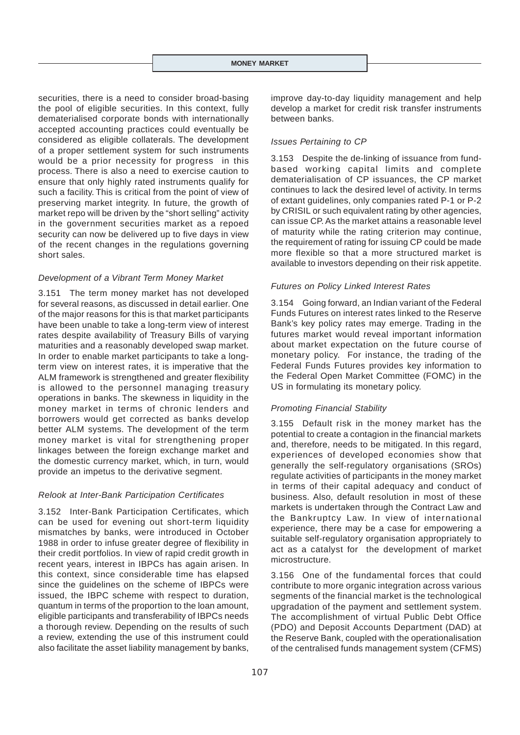#### **MONEY MARKET**

securities, there is a need to consider broad-basing the pool of eligible securities. In this context, fully dematerialised corporate bonds with internationally accepted accounting practices could eventually be considered as eligible collaterals. The development of a proper settlement system for such instruments would be a prior necessity for progress in this process. There is also a need to exercise caution to ensure that only highly rated instruments qualify for such a facility. This is critical from the point of view of preserving market integrity. In future, the growth of market repo will be driven by the "short selling" activity in the government securities market as a repoed security can now be delivered up to five days in view of the recent changes in the regulations governing short sales.

#### *Development of a Vibrant Term Money Market*

3.151 The term money market has not developed for several reasons, as discussed in detail earlier. One of the major reasons for this is that market participants have been unable to take a long-term view of interest rates despite availability of Treasury Bills of varying maturities and a reasonably developed swap market. In order to enable market participants to take a longterm view on interest rates, it is imperative that the ALM framework is strengthened and greater flexibility is allowed to the personnel managing treasury operations in banks. The skewness in liquidity in the money market in terms of chronic lenders and borrowers would get corrected as banks develop better ALM systems. The development of the term money market is vital for strengthening proper linkages between the foreign exchange market and the domestic currency market, which, in turn, would provide an impetus to the derivative segment.

#### *Relook at Inter-Bank Participation Certificates*

3.152 Inter-Bank Participation Certificates, which can be used for evening out short-term liquidity mismatches by banks, were introduced in October 1988 in order to infuse greater degree of flexibility in their credit portfolios. In view of rapid credit growth in recent years, interest in IBPCs has again arisen. In this context, since considerable time has elapsed since the guidelines on the scheme of IBPCs were issued, the IBPC scheme with respect to duration, quantum in terms of the proportion to the loan amount, eligible participants and transferability of IBPCs needs a thorough review. Depending on the results of such a review, extending the use of this instrument could also facilitate the asset liability management by banks,

improve day-to-day liquidity management and help develop a market for credit risk transfer instruments between banks.

#### *Issues Pertaining to CP*

3.153 Despite the de-linking of issuance from fundbased working capital limits and complete dematerialisation of CP issuances, the CP market continues to lack the desired level of activity. In terms of extant guidelines, only companies rated P-1 or P-2 by CRISIL or such equivalent rating by other agencies, can issue CP. As the market attains a reasonable level of maturity while the rating criterion may continue, the requirement of rating for issuing CP could be made more flexible so that a more structured market is available to investors depending on their risk appetite.

#### *Futures on Policy Linked Interest Rates*

3.154 Going forward, an Indian variant of the Federal Funds Futures on interest rates linked to the Reserve Bank's key policy rates may emerge. Trading in the futures market would reveal important information about market expectation on the future course of monetary policy. For instance, the trading of the Federal Funds Futures provides key information to the Federal Open Market Committee (FOMC) in the US in formulating its monetary policy.

# *Promoting Financial Stability*

3.155 Default risk in the money market has the potential to create a contagion in the financial markets and, therefore, needs to be mitigated. In this regard, experiences of developed economies show that generally the self-regulatory organisations (SROs) regulate activities of participants in the money market in terms of their capital adequacy and conduct of business. Also, default resolution in most of these markets is undertaken through the Contract Law and the Bankruptcy Law. In view of international experience, there may be a case for empowering a suitable self-regulatory organisation appropriately to act as a catalyst for the development of market microstructure.

3.156 One of the fundamental forces that could contribute to more organic integration across various segments of the financial market is the technological upgradation of the payment and settlement system. The accomplishment of virtual Public Debt Office (PDO) and Deposit Accounts Department (DAD) at the Reserve Bank, coupled with the operationalisation of the centralised funds management system (CFMS)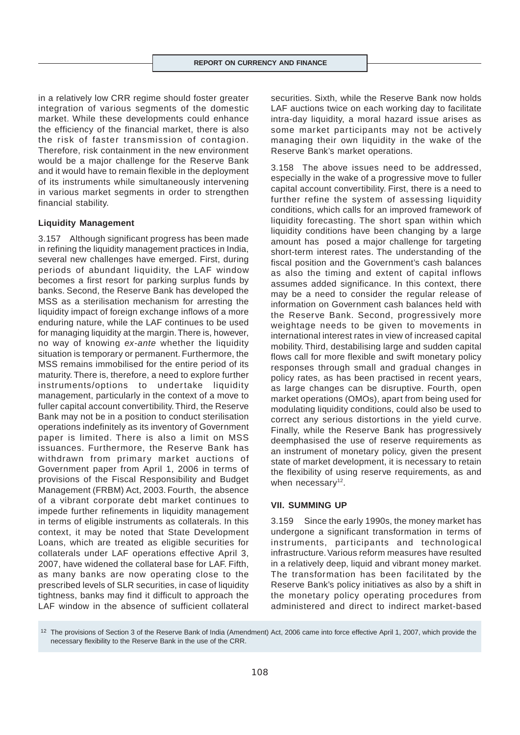in a relatively low CRR regime should foster greater integration of various segments of the domestic market. While these developments could enhance the efficiency of the financial market, there is also the risk of faster transmission of contagion. Therefore, risk containment in the new environment would be a major challenge for the Reserve Bank and it would have to remain flexible in the deployment of its instruments while simultaneously intervening in various market segments in order to strengthen financial stability.

# **Liquidity Management**

3.157 Although significant progress has been made in refining the liquidity management practices in India, several new challenges have emerged. First, during periods of abundant liquidity, the LAF window becomes a first resort for parking surplus funds by banks. Second, the Reserve Bank has developed the MSS as a sterilisation mechanism for arresting the liquidity impact of foreign exchange inflows of a more enduring nature, while the LAF continues to be used for managing liquidity at the margin. There is, however, no way of knowing *ex-ante* whether the liquidity situation is temporary or permanent. Furthermore, the MSS remains immobilised for the entire period of its maturity. There is, therefore, a need to explore further instruments/options to undertake liquidity management, particularly in the context of a move to fuller capital account convertibility. Third, the Reserve Bank may not be in a position to conduct sterilisation operations indefinitely as its inventory of Government paper is limited. There is also a limit on MSS issuances. Furthermore, the Reserve Bank has withdrawn from primary market auctions of Government paper from April 1, 2006 in terms of provisions of the Fiscal Responsibility and Budget Management (FRBM) Act, 2003. Fourth, the absence of a vibrant corporate debt market continues to impede further refinements in liquidity management in terms of eligible instruments as collaterals. In this context, it may be noted that State Development Loans, which are treated as eligible securities for collaterals under LAF operations effective April 3, 2007, have widened the collateral base for LAF. Fifth, as many banks are now operating close to the prescribed levels of SLR securities, in case of liquidity tightness, banks may find it difficult to approach the LAF window in the absence of sufficient collateral

securities. Sixth, while the Reserve Bank now holds LAF auctions twice on each working day to facilitate intra-day liquidity, a moral hazard issue arises as some market participants may not be actively managing their own liquidity in the wake of the Reserve Bank's market operations.

3.158 The above issues need to be addressed, especially in the wake of a progressive move to fuller capital account convertibility. First, there is a need to further refine the system of assessing liquidity conditions, which calls for an improved framework of liquidity forecasting. The short span within which liquidity conditions have been changing by a large amount has posed a major challenge for targeting short-term interest rates. The understanding of the fiscal position and the Government's cash balances as also the timing and extent of capital inflows assumes added significance. In this context, there may be a need to consider the regular release of information on Government cash balances held with the Reserve Bank. Second, progressively more weightage needs to be given to movements in international interest rates in view of increased capital mobility. Third, destabilising large and sudden capital flows call for more flexible and swift monetary policy responses through small and gradual changes in policy rates, as has been practised in recent years, as large changes can be disruptive. Fourth, open market operations (OMOs), apart from being used for modulating liquidity conditions, could also be used to correct any serious distortions in the yield curve. Finally, while the Reserve Bank has progressively deemphasised the use of reserve requirements as an instrument of monetary policy, given the present state of market development, it is necessary to retain the flexibility of using reserve requirements, as and when necessary $12$ .

# **VII. SUMMING UP**

3.159 Since the early 1990s, the money market has undergone a significant transformation in terms of instruments, participants and technological infrastructure. Various reform measures have resulted in a relatively deep, liquid and vibrant money market. The transformation has been facilitated by the Reserve Bank's policy initiatives as also by a shift in the monetary policy operating procedures from administered and direct to indirect market-based

<sup>12</sup> The provisions of Section 3 of the Reserve Bank of India (Amendment) Act, 2006 came into force effective April 1, 2007, which provide the necessary flexibility to the Reserve Bank in the use of the CRR.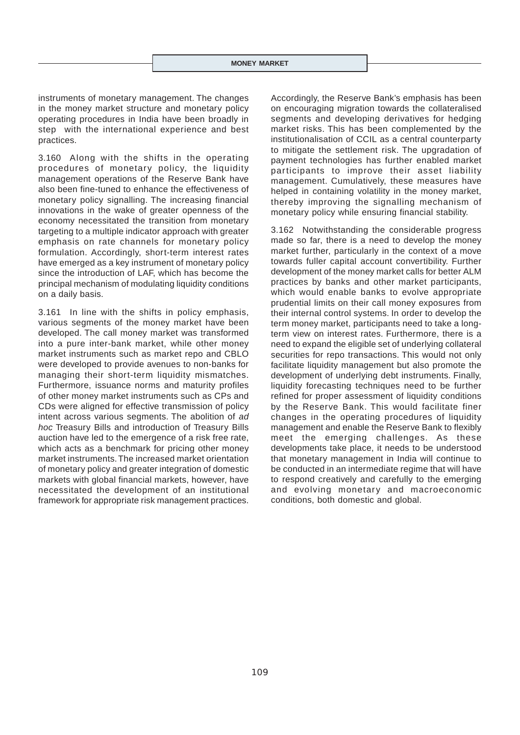instruments of monetary management. The changes in the money market structure and monetary policy operating procedures in India have been broadly in step with the international experience and best practices.

3.160 Along with the shifts in the operating procedures of monetary policy, the liquidity management operations of the Reserve Bank have also been fine-tuned to enhance the effectiveness of monetary policy signalling. The increasing financial innovations in the wake of greater openness of the economy necessitated the transition from monetary targeting to a multiple indicator approach with greater emphasis on rate channels for monetary policy formulation. Accordingly, short-term interest rates have emerged as a key instrument of monetary policy since the introduction of LAF, which has become the principal mechanism of modulating liquidity conditions on a daily basis.

3.161 In line with the shifts in policy emphasis, various segments of the money market have been developed. The call money market was transformed into a pure inter-bank market, while other money market instruments such as market repo and CBLO were developed to provide avenues to non-banks for managing their short-term liquidity mismatches. Furthermore, issuance norms and maturity profiles of other money market instruments such as CPs and CDs were aligned for effective transmission of policy intent across various segments. The abolition of *ad hoc* Treasury Bills and introduction of Treasury Bills auction have led to the emergence of a risk free rate, which acts as a benchmark for pricing other money market instruments. The increased market orientation of monetary policy and greater integration of domestic markets with global financial markets, however, have necessitated the development of an institutional framework for appropriate risk management practices.

Accordingly, the Reserve Bank's emphasis has been on encouraging migration towards the collateralised segments and developing derivatives for hedging market risks. This has been complemented by the institutionalisation of CCIL as a central counterparty to mitigate the settlement risk. The upgradation of payment technologies has further enabled market participants to improve their asset liability management. Cumulatively, these measures have helped in containing volatility in the money market, thereby improving the signalling mechanism of monetary policy while ensuring financial stability.

3.162 Notwithstanding the considerable progress made so far, there is a need to develop the money market further, particularly in the context of a move towards fuller capital account convertibility. Further development of the money market calls for better ALM practices by banks and other market participants, which would enable banks to evolve appropriate prudential limits on their call money exposures from their internal control systems. In order to develop the term money market, participants need to take a longterm view on interest rates. Furthermore, there is a need to expand the eligible set of underlying collateral securities for repo transactions. This would not only facilitate liquidity management but also promote the development of underlying debt instruments. Finally, liquidity forecasting techniques need to be further refined for proper assessment of liquidity conditions by the Reserve Bank. This would facilitate finer changes in the operating procedures of liquidity management and enable the Reserve Bank to flexibly meet the emerging challenges. As these developments take place, it needs to be understood that monetary management in India will continue to be conducted in an intermediate regime that will have to respond creatively and carefully to the emerging and evolving monetary and macroeconomic conditions, both domestic and global.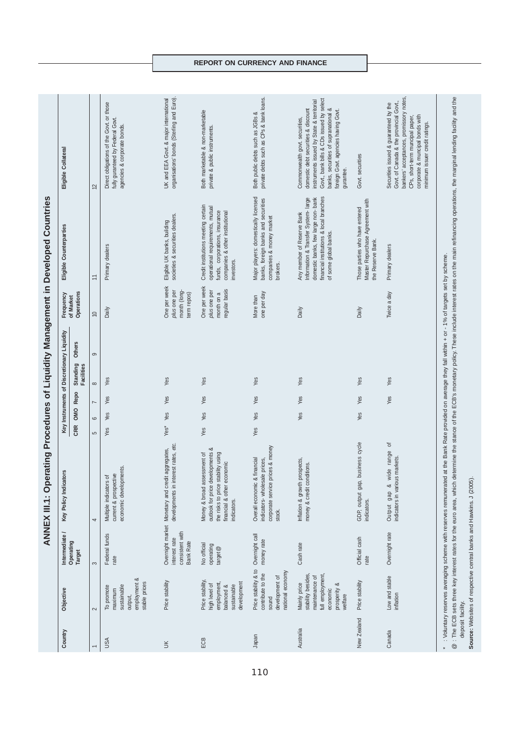| Country                      | Objective                                                                                                                                | Intermediate /                                                           | Key Policy Indicators                                                                                                                                     |                  |                           |      | Key Instruments of Discretionary Liquidity | Frequency                                                   | Eligible Counterparties                                                                                                                                                      | Eligible Collateral                                                                                                                                                                                                                                        |
|------------------------------|------------------------------------------------------------------------------------------------------------------------------------------|--------------------------------------------------------------------------|-----------------------------------------------------------------------------------------------------------------------------------------------------------|------------------|---------------------------|------|--------------------------------------------|-------------------------------------------------------------|------------------------------------------------------------------------------------------------------------------------------------------------------------------------------|------------------------------------------------------------------------------------------------------------------------------------------------------------------------------------------------------------------------------------------------------------|
|                              |                                                                                                                                          | Operating<br><b>Target</b>                                               |                                                                                                                                                           | <b>CRR</b>       | OMO                       | Repo | Others<br>Standing<br>Facilities           | Operations<br>of Market                                     |                                                                                                                                                                              |                                                                                                                                                                                                                                                            |
|                              | $\sim$                                                                                                                                   | 3                                                                        | 4                                                                                                                                                         | $\mathfrak{S}$   | $\overline{ }$<br>$\circ$ |      | ၜ<br>$\infty$                              | $\overline{0}$                                              | $\overline{\phantom{0}}$                                                                                                                                                     | $\overline{2}$                                                                                                                                                                                                                                             |
| <b>USA</b>                   | employment &<br>stable prices<br>sustainable<br>To promote<br>maximum<br>output,                                                         | Federal funds<br>rate                                                    | economic developments.<br>current & prospective<br>$\overline{\circ}$<br>Multiple indicators                                                              | Yes              | Yes                       | Yes  | Yes                                        | Daily                                                       | Primary dealers                                                                                                                                                              | Direct obligations of the Govt. or those<br>fully guranteed by Federal Govt.<br>agencies & corporate bonds.                                                                                                                                                |
| š                            | Price stability                                                                                                                          | Overnight market<br>consistent with<br>interest rate<br><b>Bank Rate</b> | developments in interest rates, etc.<br>Monetary and credit aggregates,                                                                                   | Yes <sup>*</sup> | Yes                       | Yes  | Yes                                        | One per week<br>plus one per<br>month (long-<br>term repos) | societies & securities dealers.<br>Eligible UK banks, building                                                                                                               | organisations' bonds (Sterling and Euro).<br>UK and EEA Govt. & major international                                                                                                                                                                        |
| ECB                          | Price stability,<br>development<br>employment,<br>high level of<br>sustainable<br>balanced &                                             | No official<br>operating<br>$t$ arget $@$                                | outlook for price developments &<br>the risks to price stability using<br>Money & broad assessment of<br>financial & other economic<br>indicators.        | Yes              | Yes                       | Yes  | Yes                                        | One per week<br>regular basis<br>plus one per<br>month on a | Credit institutions meeting certain<br>operational requirements, mutual<br>funds, corporations, insurance<br>companies & other institutional<br>investors.                   | Both marketable & non-marketable<br>private & public instruments.                                                                                                                                                                                          |
| Japan                        | Price stability & to<br>national economy<br>contribute to the<br>development of<br>sound                                                 | Overnight call<br>money rate                                             | corporate service prices & money<br>Overall economic & financial<br>indicators-wholesale prices,<br>stock.                                                | Yes              | Yes                       | Yes  | Yes                                        | one per day<br>More than                                    | Major players: domestically licensed<br>banks, foreign banks and securities<br>companies & money market<br>brokers.                                                          | private debts such as CPs & bank loans.<br>Both public debts such as JGBs &                                                                                                                                                                                |
| Australia                    | stability besides<br>full employment<br>maintenance of<br>Mainly price<br>prosperity &<br>economic<br>welfare                            | Cash rate                                                                | Inflation & growth prospects,<br>money & credit conditions.                                                                                               |                  | Yes                       | Yes  | Yes                                        | Daily                                                       | financial institutions & local branches<br>domestic banks, few large non- bank<br>Information & Transfer System-large<br>Any member of Reserve Bank<br>of some global banks. | Govt., bank bills & CDs issued by select<br>instruments issued by State & territorial<br>banks, securities of supranational &<br>domestic debt securities & discount<br>foreign Govt. agencies having Govt.<br>Commonwealth govt. securities,<br>gurantee. |
| New Zealand                  | Price stability                                                                                                                          | Official cash<br>rate                                                    | business cycle<br>GDP, output gap,<br>indicators.                                                                                                         |                  | Yes                       | Yes  | Yes                                        | Daily                                                       | Master Repurchase Agreement with<br>Those parties who have entered<br>the Reserve Bank.                                                                                      | Govt. securities                                                                                                                                                                                                                                           |
| Canada                       | Low and stable<br>inflation                                                                                                              | Overnight rate                                                           | vide range of<br>indicators in various markets.<br>Output gap &                                                                                           |                  |                           | Yes  | Yes                                        | Twice a day                                                 | Primary dealers                                                                                                                                                              | bankers' acceptances, promissory notes<br>Govt. of Canada & the provincial Govt.,<br>Securities issued & guaranteed by the<br>corporate & muncipal bonds with<br>CPs, short-term muncipal paper,<br>minimum issuer credit ratings.                         |
| deposit facility.<br>$\star$ | Source: Websites of respective central banks and Hawkins. J (2005)<br>@ : The ECB sets three key interest rates for the euro area, which |                                                                          | : Voluntary reserves averaging scheme with reserves remunerated at the Bank Rate provided on average they fall within + or - 1% of targets set by scheme. |                  |                           |      |                                            |                                                             |                                                                                                                                                                              | determine the stance of the ECB's monetary policy. These include interest rates on the main refinancing operations, the marginal lending facility and the                                                                                                  |

# **REPORT ON CURRENCY AND FINANCE**

110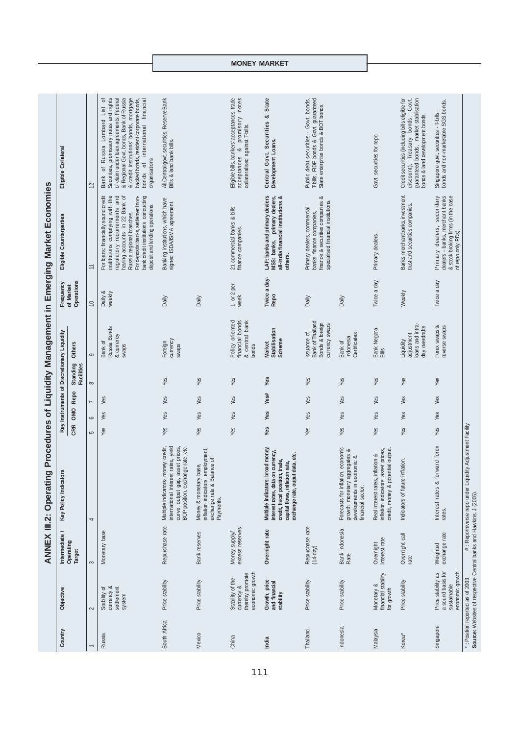|                    |                                                                                                         |                                 | $\overline{Q}$<br><b>ANNEX III.2: Operatin</b>                                                                                                                                    |            |     |                |                               |                                                                      |                         | Procedures of Liquidity Management in Emerging Market Economies                                                                                                                                                                                                                       |                                                                                                                                                                                                                                                                                                                         |
|--------------------|---------------------------------------------------------------------------------------------------------|---------------------------------|-----------------------------------------------------------------------------------------------------------------------------------------------------------------------------------|------------|-----|----------------|-------------------------------|----------------------------------------------------------------------|-------------------------|---------------------------------------------------------------------------------------------------------------------------------------------------------------------------------------------------------------------------------------------------------------------------------------|-------------------------------------------------------------------------------------------------------------------------------------------------------------------------------------------------------------------------------------------------------------------------------------------------------------------------|
| Country            | Objective                                                                                               | Intermediate                    | Key Policy Indicators                                                                                                                                                             |            |     |                |                               | Key Instruments of Discretionary Liquidity                           | Frequency               | Eligible Counterparties                                                                                                                                                                                                                                                               | Eligible Collateral                                                                                                                                                                                                                                                                                                     |
|                    |                                                                                                         | Operating<br>Target             |                                                                                                                                                                                   | <b>CRR</b> | OMO | Repo           | Standing<br><b>Facilities</b> | Others                                                               | Operations<br>of Market |                                                                                                                                                                                                                                                                                       |                                                                                                                                                                                                                                                                                                                         |
|                    | $\sim$                                                                                                  | 3                               | 4                                                                                                                                                                                 | 5          | 6   | $\overline{ }$ | $\infty$                      | 9                                                                    | $\overline{0}$          | $\stackrel{+}{\scriptstyle\sim}$                                                                                                                                                                                                                                                      | 12                                                                                                                                                                                                                                                                                                                      |
| Russia             | Stability of<br>currency &<br>settlement<br>system                                                      | Monetary base                   |                                                                                                                                                                                   | Yes        | Yes | Yes            |                               | Russia Bonds<br>& currency<br>Bank of<br>swaps                       | Daily &<br>weekly       | institutions complying with the<br>having accounts in 22 Bank of<br>bank credit institutions conducting<br>For loans: financially sound credit<br>For deposits: banks, settlement non-<br>regulatory requirements and<br>deposit and lending operations.<br>Russia regional branches. | promissory notes and rights<br>& credit institutions' bonds, mortgage<br>& Regional Govt. bonds, Bank of Russia<br>of Russia Lombard List of<br>of claim under loan agreements, Federal<br>backed bonds, resident corporate bonds,<br>financial<br>bonds of international<br>organisations.<br>Bank of F<br>Securities, |
| South Africa       | Price stability                                                                                         | Repurchase rate                 | international interest rates, yield<br>asset prices,<br>BOP position, exchange rate, etc.<br>money, credit,<br>curve, output gap,<br>Multiple indicators-                         | Yes        | Yes | Yes            | Yes                           | currency<br>Foreign<br>swaps                                         | Daily                   | Banking institutions, which have<br>signed ISDA/ISMA agreement.                                                                                                                                                                                                                       | All Central govt. securities, Reserve Bank<br>Bills & land bank bills.                                                                                                                                                                                                                                                  |
| Mexico             | Price stability                                                                                         | Bank reserves                   | employment,<br>exchange rate & Balance of<br>Money & monetary base,<br>inflation indicators,<br>Payments.                                                                         | Yes        | Yes | Yes            | Yes                           |                                                                      | Daily                   |                                                                                                                                                                                                                                                                                       |                                                                                                                                                                                                                                                                                                                         |
| China              | economic growth<br>thereby promote<br>Stability of the<br>currency &                                    | excess reserves<br>Money supply |                                                                                                                                                                                   | Yes        | Yes | Yes            | Yes                           | Policy oriented<br>financial bonds<br>& central bank<br>bonds        | 1 or 2 per<br>week      | 21 commercial banks & bills<br>finance companies.                                                                                                                                                                                                                                     | Eligible bills, bankers' acceptances, trade<br>promisory notes<br>collateralised against T-bills.<br>$\infty$<br>acceptances                                                                                                                                                                                            |
| India              | Growth, price<br>and financial<br>stability                                                             | Overnight rate                  | broad money,<br>interest rates, data on currency,<br>exchange rate, ouput data, etc.<br>credit, fiscal position, trade,<br>capital flows, inflation rate,<br>Multiple indicators: | Yes        | Yes | Yes#           | Yes                           | <b>Stabilisation</b><br>Scheme<br><b>Market</b>                      | Twice a day-<br>Repo    | LAF: banks and primary dealers<br>all-India financial institutions &<br>MSS: banks, primary dealers,<br>others.                                                                                                                                                                       | State<br>Central Govt. Securities &<br>Development Loans.                                                                                                                                                                                                                                                               |
| Thailand           | Price stability                                                                                         | Repurchase rate<br>$(14-day)$   |                                                                                                                                                                                   | Yes        | Yes | Yes            | Yes                           | Bank of Thailand<br>Bonds & foreign<br>currency swaps<br>Issuance of | Daily                   | finance & securities companies &<br>specialised financial institutions.<br>Primary dealers, commercial<br>banks, finance companies,                                                                                                                                                   | T-bills, FIDF bonds & Govt. guaranteed<br>Public debt securities - Govt. bonds,<br>State enterprise bonds & BOT bonds.                                                                                                                                                                                                  |
| Indonesia          | Price stability                                                                                         | Bank Indonesia<br>Rate          | Forecasts for inflation, economic<br>growth, monetary aggregates &<br>developments in economic &<br>financial sector.                                                             | Yes        | Yes | Yes            | Yes                           | Certificates<br>Indonesia<br>Bank of                                 | Daily                   |                                                                                                                                                                                                                                                                                       |                                                                                                                                                                                                                                                                                                                         |
| Malaysia           | financial stability<br>Monetary &<br>for growth                                                         | Overnight<br>interest rate      | credit, money & potential output.<br>asset prices,<br>inflation &<br>Real interest rates,<br>inflation indicators,                                                                | Yes        | Yes | Yes            | Yes                           | Bank Negara<br>Bills                                                 | Twice a day             | Primary dealers                                                                                                                                                                                                                                                                       | Govt. securities for repo                                                                                                                                                                                                                                                                                               |
| Korea <sup>*</sup> | Price stability                                                                                         | Overnight call<br>rate          | inflation.<br>Indicators of future                                                                                                                                                | Yes        | Yes | Yes            | Yes                           | loans and intra-<br>day overdrafts<br>adjustment<br>Liquidity        | Weekly                  | Banks, merchant banks, investment<br>trust and securities companies.                                                                                                                                                                                                                  | guaranteed bonds, market stablisation<br>Credit securities (including bills eligible for<br>Govt.<br>bonds & land development bonds.<br>discount), Treasury bonds,                                                                                                                                                      |
| Singapore          | a sound basis for<br>economic growth<br>Price stability as<br>sustainable                               | exchange rate<br>Weighted       | forward forex<br>Interest rates &<br>rates.                                                                                                                                       | Yes        | Yes | Yes            | Yes                           | Forex swaps &<br>reverse swaps                                       | Twice a day             | Primary dealers, secondary<br>dealers - banks, merchant banks<br>& stock broking firms (in the case<br>of repo only PDs).                                                                                                                                                             | bonds and non-marketable SGS bonds.<br>Singapore govt. securities - T-bills,                                                                                                                                                                                                                                            |
|                    | Source: Websites of respective Central banks and Hawkins. J (2005).<br>*: Position reported as of 2003. |                                 | #: Repo/reverse repo under Liquidity Adjustment Facility.                                                                                                                         |            |     |                |                               |                                                                      |                         |                                                                                                                                                                                                                                                                                       |                                                                                                                                                                                                                                                                                                                         |

**MONEY MARKET**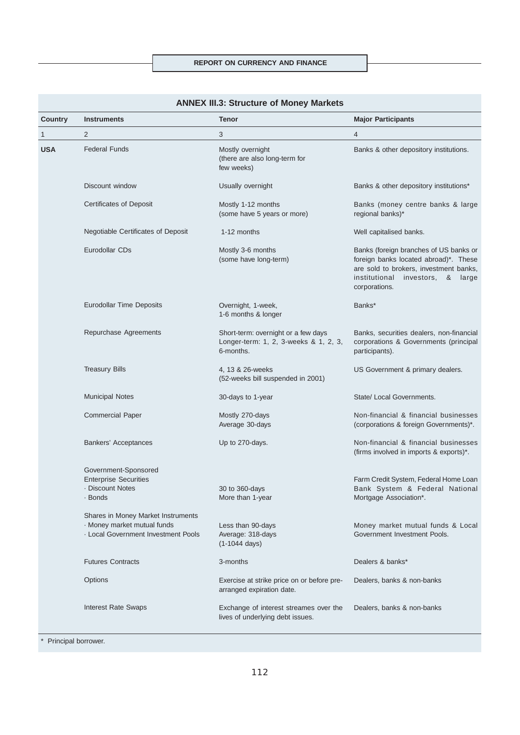| Country    | <b>Instruments</b>                                                                                            | <b>Tenor</b>                                                                              | <b>Major Participants</b>                                                                                                                                                      |
|------------|---------------------------------------------------------------------------------------------------------------|-------------------------------------------------------------------------------------------|--------------------------------------------------------------------------------------------------------------------------------------------------------------------------------|
| 1          | 2                                                                                                             | 3                                                                                         | 4                                                                                                                                                                              |
| <b>USA</b> | <b>Federal Funds</b>                                                                                          | Mostly overnight<br>(there are also long-term for<br>few weeks)                           | Banks & other depository institutions.                                                                                                                                         |
|            | Discount window                                                                                               | Usually overnight                                                                         | Banks & other depository institutions*                                                                                                                                         |
|            | <b>Certificates of Deposit</b>                                                                                | Mostly 1-12 months<br>(some have 5 years or more)                                         | Banks (money centre banks & large<br>regional banks)*                                                                                                                          |
|            | Negotiable Certificates of Deposit                                                                            | 1-12 months                                                                               | Well capitalised banks.                                                                                                                                                        |
|            | Eurodollar CDs                                                                                                | Mostly 3-6 months<br>(some have long-term)                                                | Banks (foreign branches of US banks or<br>foreign banks located abroad)*. These<br>are sold to brokers, investment banks,<br>institutional investors, & large<br>corporations. |
|            | <b>Eurodollar Time Deposits</b>                                                                               | Overnight, 1-week,<br>1-6 months & longer                                                 | Banks*                                                                                                                                                                         |
|            | Repurchase Agreements                                                                                         | Short-term: overnight or a few days<br>Longer-term: 1, 2, 3-weeks & 1, 2, 3,<br>6-months. | Banks, securities dealers, non-financial<br>corporations & Governments (principal<br>participants).                                                                            |
|            | <b>Treasury Bills</b>                                                                                         | 4, 13 & 26-weeks<br>(52-weeks bill suspended in 2001)                                     | US Government & primary dealers.                                                                                                                                               |
|            | <b>Municipal Notes</b>                                                                                        | 30-days to 1-year                                                                         | State/ Local Governments.                                                                                                                                                      |
|            | <b>Commercial Paper</b>                                                                                       | Mostly 270-days<br>Average 30-days                                                        | Non-financial & financial businesses<br>(corporations & foreign Governments)*.                                                                                                 |
|            | <b>Bankers' Acceptances</b>                                                                                   | Up to 270-days.                                                                           | Non-financial & financial businesses<br>(firms involved in imports & exports)*.                                                                                                |
|            | Government-Sponsored<br><b>Enterprise Securities</b><br>- Discount Notes<br>· Bonds                           | 30 to 360-days<br>More than 1-year                                                        | Farm Credit System, Federal Home Loan<br>Bank System & Federal National<br>Mortgage Association*.                                                                              |
|            | Shares in Money Market Instruments<br>· Money market mutual funds<br><b>Local Government Investment Pools</b> | Less than 90-days<br>Average: 318-days<br>$(1-1044 \text{ days})$                         | Money market mutual funds & Local<br>Government Investment Pools.                                                                                                              |
|            | <b>Futures Contracts</b>                                                                                      | 3-months                                                                                  | Dealers & banks*                                                                                                                                                               |
|            | Options                                                                                                       | Exercise at strike price on or before pre-<br>arranged expiration date.                   | Dealers, banks & non-banks                                                                                                                                                     |
|            | <b>Interest Rate Swaps</b>                                                                                    | Exchange of interest streames over the<br>lives of underlying debt issues.                | Dealers, banks & non-banks                                                                                                                                                     |

# **ANNEX III.3: Structure of Money Markets**

\* Principal borrower.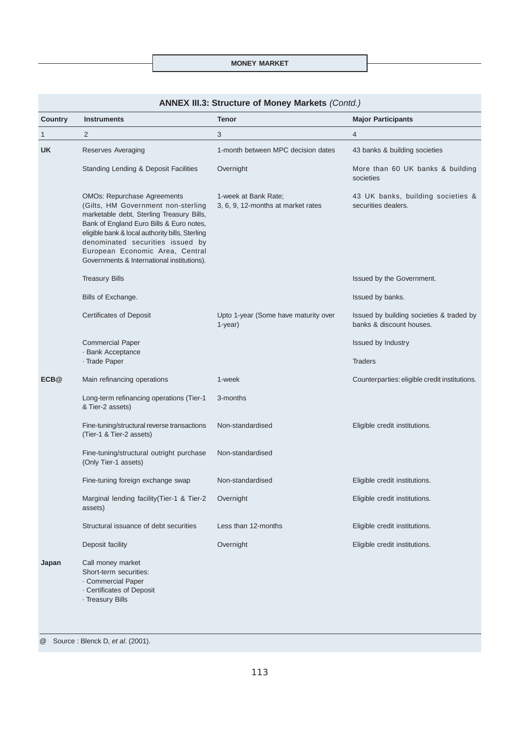## **MONEY MARKET**

| <b>ANNEX III.3: Structure of Money Markets (Contd.)</b> |  |
|---------------------------------------------------------|--|
|---------------------------------------------------------|--|

| Country | <b>Instruments</b>                                                                                                                                                                                                                                                                                                                        | <b>Tenor</b>                                               | <b>Major Participants</b>                                            |
|---------|-------------------------------------------------------------------------------------------------------------------------------------------------------------------------------------------------------------------------------------------------------------------------------------------------------------------------------------------|------------------------------------------------------------|----------------------------------------------------------------------|
| 1       | $\overline{2}$                                                                                                                                                                                                                                                                                                                            | 3                                                          | $\overline{4}$                                                       |
| UK      | Reserves Averaging                                                                                                                                                                                                                                                                                                                        | 1-month between MPC decision dates                         | 43 banks & building societies                                        |
|         | Standing Lending & Deposit Facilities                                                                                                                                                                                                                                                                                                     | Overnight                                                  | More than 60 UK banks & building<br>societies                        |
|         | <b>OMOs: Repurchase Agreements</b><br>(Gilts, HM Government non-sterling<br>marketable debt, Sterling Treasury Bills,<br>Bank of England Euro Bills & Euro notes,<br>eligible bank & local authority bills, Sterling<br>denominated securities issued by<br>European Economic Area, Central<br>Governments & International institutions). | 1-week at Bank Rate;<br>3, 6, 9, 12-months at market rates | 43 UK banks, building societies &<br>securities dealers.             |
|         | <b>Treasury Bills</b>                                                                                                                                                                                                                                                                                                                     |                                                            | Issued by the Government.                                            |
|         | Bills of Exchange.                                                                                                                                                                                                                                                                                                                        |                                                            | Issued by banks.                                                     |
|         | <b>Certificates of Deposit</b>                                                                                                                                                                                                                                                                                                            | Upto 1-year (Some have maturity over<br>$1-year$ )         | Issued by building societies & traded by<br>banks & discount houses. |
|         | <b>Commercial Paper</b><br>· Bank Acceptance                                                                                                                                                                                                                                                                                              |                                                            | Issued by Industry                                                   |
|         | · Trade Paper                                                                                                                                                                                                                                                                                                                             |                                                            | <b>Traders</b>                                                       |
| ECB@    | Main refinancing operations                                                                                                                                                                                                                                                                                                               | 1-week                                                     | Counterparties: eligible credit institutions.                        |
|         | Long-term refinancing operations (Tier-1<br>& Tier-2 assets)                                                                                                                                                                                                                                                                              | 3-months                                                   |                                                                      |
|         | Fine-tuning/structural reverse transactions<br>(Tier-1 & Tier-2 assets)                                                                                                                                                                                                                                                                   | Non-standardised                                           | Eligible credit institutions.                                        |
|         | Fine-tuning/structural outright purchase<br>(Only Tier-1 assets)                                                                                                                                                                                                                                                                          | Non-standardised                                           |                                                                      |
|         | Fine-tuning foreign exchange swap                                                                                                                                                                                                                                                                                                         | Non-standardised                                           | Eligible credit institutions.                                        |
|         | Marginal lending facility (Tier-1 & Tier-2<br>assets)                                                                                                                                                                                                                                                                                     | Overnight                                                  | Eligible credit institutions.                                        |
|         | Structural issuance of debt securities                                                                                                                                                                                                                                                                                                    | Less than 12-months                                        | Eligible credit institutions.                                        |
|         | Deposit facility                                                                                                                                                                                                                                                                                                                          | Overnight                                                  | Eligible credit institutions.                                        |
| Japan   | Call money market<br>Short-term securities:<br>Commercial Paper<br>Certificates of Deposit<br>· Treasury Bills                                                                                                                                                                                                                            |                                                            |                                                                      |

@ Source : Blenck D, *et al*. (2001).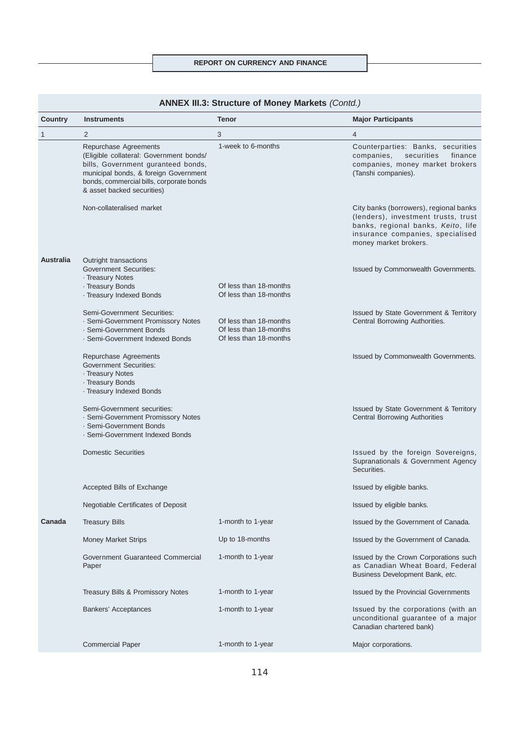# **REPORT ON CURRENCY AND FINANCE**

| <b>ANNEX III.3: Structure of Money Markets (Contd.)</b> |                                                                                                                                                                                                                           |                                                                            |                                                                                                                                                                                  |
|---------------------------------------------------------|---------------------------------------------------------------------------------------------------------------------------------------------------------------------------------------------------------------------------|----------------------------------------------------------------------------|----------------------------------------------------------------------------------------------------------------------------------------------------------------------------------|
| <b>Country</b>                                          | <b>Instruments</b>                                                                                                                                                                                                        | <b>Tenor</b>                                                               | <b>Major Participants</b>                                                                                                                                                        |
| $\mathbf{1}$                                            | 2                                                                                                                                                                                                                         | 3                                                                          | $\overline{4}$                                                                                                                                                                   |
|                                                         | Repurchase Agreements<br>(Eligible collateral: Government bonds/<br>bills, Government guranteed bonds,<br>municipal bonds, & foreign Government<br>bonds, commercial bills, corporate bonds<br>& asset backed securities) | 1-week to 6-months                                                         | Counterparties: Banks, securities<br>companies,<br>securities<br>finance<br>companies, money market brokers<br>(Tanshi companies).                                               |
|                                                         | Non-collateralised market                                                                                                                                                                                                 |                                                                            | City banks (borrowers), regional banks<br>(lenders), investment trusts, trust<br>banks, regional banks, Keito, life<br>insurance companies, specialised<br>money market brokers. |
| <b>Australia</b>                                        | Outright transactions<br><b>Government Securities:</b><br>- Treasury Notes                                                                                                                                                |                                                                            | Issued by Commonwealth Governments.                                                                                                                                              |
|                                                         | · Treasury Bonds<br>· Treasury Indexed Bonds                                                                                                                                                                              | Of less than 18-months<br>Of less than 18-months                           |                                                                                                                                                                                  |
|                                                         | Semi-Government Securities:<br>- Semi-Government Promissory Notes<br>· Semi-Government Bonds<br>· Semi-Government Indexed Bonds                                                                                           | Of less than 18-months<br>Of less than 18-months<br>Of less than 18-months | Issued by State Government & Territory<br>Central Borrowing Authorities.                                                                                                         |
|                                                         | Repurchase Agreements<br><b>Government Securities:</b><br>- Treasury Notes<br>· Treasury Bonds<br>· Treasury Indexed Bonds                                                                                                |                                                                            | Issued by Commonwealth Governments.                                                                                                                                              |
|                                                         | Semi-Government securities:<br>- Semi-Government Promissory Notes<br>· Semi-Government Bonds<br>· Semi-Government Indexed Bonds                                                                                           |                                                                            | Issued by State Government & Territory<br><b>Central Borrowing Authorities</b>                                                                                                   |
|                                                         | <b>Domestic Securities</b>                                                                                                                                                                                                |                                                                            | Issued by the foreign Sovereigns,<br>Supranationals & Government Agency<br>Securities.                                                                                           |
|                                                         | Accepted Bills of Exchange                                                                                                                                                                                                |                                                                            | Issued by eligible banks.                                                                                                                                                        |
|                                                         | Negotiable Certificates of Deposit                                                                                                                                                                                        |                                                                            | Issued by eligible banks.                                                                                                                                                        |
| Canada                                                  | <b>Treasury Bills</b>                                                                                                                                                                                                     | 1-month to 1-year                                                          | Issued by the Government of Canada.                                                                                                                                              |
|                                                         | <b>Money Market Strips</b>                                                                                                                                                                                                | Up to 18-months                                                            | Issued by the Government of Canada.                                                                                                                                              |
|                                                         | Government Guaranteed Commercial<br>Paper                                                                                                                                                                                 | 1-month to 1-year                                                          | Issued by the Crown Corporations such<br>as Canadian Wheat Board, Federal<br>Business Development Bank, etc.                                                                     |
|                                                         | Treasury Bills & Promissory Notes                                                                                                                                                                                         | 1-month to 1-year                                                          | Issued by the Provincial Governments                                                                                                                                             |
|                                                         | Bankers' Acceptances                                                                                                                                                                                                      | 1-month to 1-year                                                          | Issued by the corporations (with an<br>unconditional guarantee of a major<br>Canadian chartered bank)                                                                            |
|                                                         | <b>Commercial Paper</b>                                                                                                                                                                                                   | 1-month to 1-year                                                          | Major corporations.                                                                                                                                                              |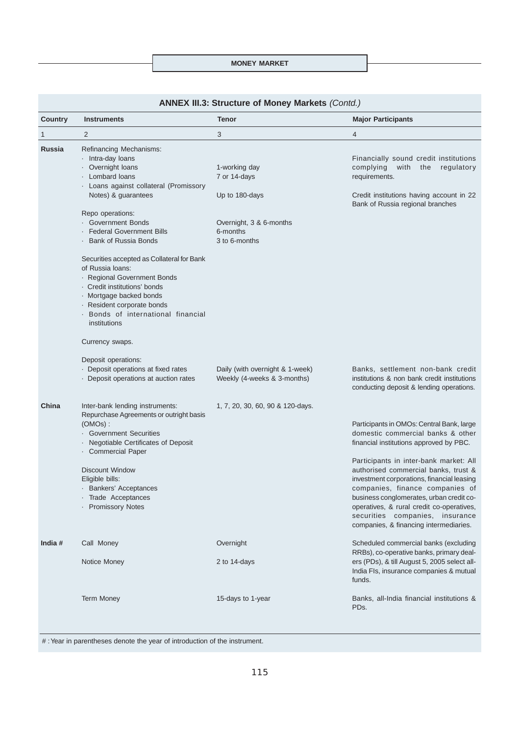### **MONEY MARKET**

| <b>ANNEX III.3: Structure of Money Markets (Conta.)</b> |                                                                                                                                                                                                                                                                                                                          |                                                                                                         |                                                                                                                                                                                                                                                                                                                                       |
|---------------------------------------------------------|--------------------------------------------------------------------------------------------------------------------------------------------------------------------------------------------------------------------------------------------------------------------------------------------------------------------------|---------------------------------------------------------------------------------------------------------|---------------------------------------------------------------------------------------------------------------------------------------------------------------------------------------------------------------------------------------------------------------------------------------------------------------------------------------|
| Country                                                 | <b>Instruments</b>                                                                                                                                                                                                                                                                                                       | <b>Tenor</b>                                                                                            | <b>Major Participants</b>                                                                                                                                                                                                                                                                                                             |
| 1                                                       | 2                                                                                                                                                                                                                                                                                                                        | 3                                                                                                       | 4                                                                                                                                                                                                                                                                                                                                     |
| <b>Russia</b>                                           | Refinancing Mechanisms:<br>Intra-day loans<br>- Overnight loans<br>Lombard loans<br>· Loans against collateral (Promissory<br>Notes) & guarantees<br>Repo operations:<br>· Government Bonds<br><b>Federal Government Bills</b><br>Bank of Russia Bonds<br>Securities accepted as Collateral for Bank<br>of Russia Ioans: | 1-working day<br>7 or 14-days<br>Up to 180-days<br>Overnight, 3 & 6-months<br>6-months<br>3 to 6-months | Financially sound credit institutions<br>complying<br>with<br>regulatory<br>the<br>requirements.<br>Credit institutions having account in 22<br>Bank of Russia regional branches                                                                                                                                                      |
|                                                         | · Regional Government Bonds<br>Credit institutions' bonds<br>· Mortgage backed bonds<br>· Resident corporate bonds<br>· Bonds of international financial<br>institutions<br>Currency swaps.                                                                                                                              |                                                                                                         |                                                                                                                                                                                                                                                                                                                                       |
|                                                         | Deposit operations:<br>- Deposit operations at fixed rates<br>- Deposit operations at auction rates                                                                                                                                                                                                                      | Daily (with overnight & 1-week)<br>Weekly (4-weeks & 3-months)                                          | Banks, settlement non-bank credit<br>institutions & non bank credit institutions<br>conducting deposit & lending operations.                                                                                                                                                                                                          |
| China                                                   | Inter-bank lending instruments:<br>Repurchase Agreements or outright basis<br>$(OMOs)$ :<br>· Government Securities<br>· Negotiable Certificates of Deposit<br>· Commercial Paper                                                                                                                                        | 1, 7, 20, 30, 60, 90 & 120-days.                                                                        | Participants in OMOs: Central Bank, large<br>domestic commercial banks & other<br>financial institutions approved by PBC.                                                                                                                                                                                                             |
|                                                         | <b>Discount Window</b><br>Eligible bills:<br>· Bankers' Acceptances<br>Trade Acceptances<br><b>Promissory Notes</b>                                                                                                                                                                                                      |                                                                                                         | Participants in inter-bank market: All<br>authorised commercial banks, trust &<br>investment corporations, financial leasing<br>companies, finance companies of<br>business conglomerates, urban credit co-<br>operatives, & rural credit co-operatives,<br>securities companies, insurance<br>companies, & financing intermediaries. |
| India #                                                 | Call Money                                                                                                                                                                                                                                                                                                               | Overnight                                                                                               | Scheduled commercial banks (excluding                                                                                                                                                                                                                                                                                                 |
|                                                         | Notice Money                                                                                                                                                                                                                                                                                                             | 2 to 14-days                                                                                            | RRBs), co-operative banks, primary deal-<br>ers (PDs), & till August 5, 2005 select all-<br>India FIs, insurance companies & mutual<br>funds.                                                                                                                                                                                         |
|                                                         | <b>Term Money</b>                                                                                                                                                                                                                                                                                                        | 15-days to 1-year                                                                                       | Banks, all-India financial institutions &<br>PDs.                                                                                                                                                                                                                                                                                     |

# **ANNEX III.3: Structure of Money Markets** *(Contd.)*

# :Year in parentheses denote the year of introduction of the instrument.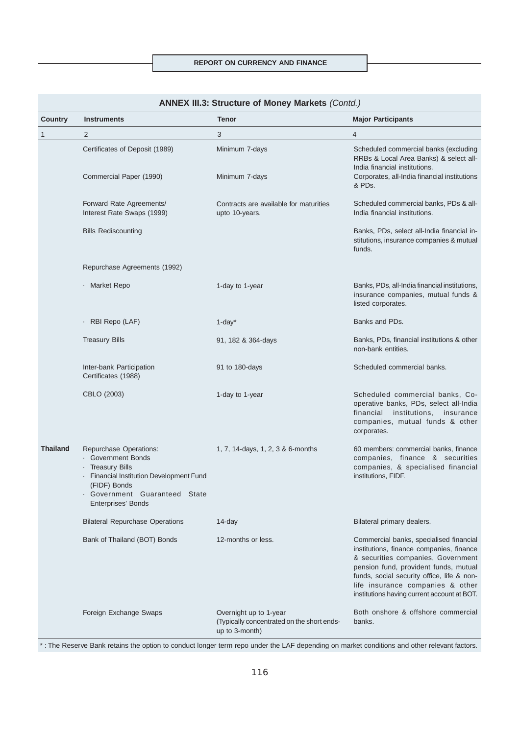| Country         | <b>Instruments</b>                                                                                                                                                                         | <b>Tenor</b>                                                                           | <b>Major Participants</b>                                                                                                                                                                                                                                                                           |
|-----------------|--------------------------------------------------------------------------------------------------------------------------------------------------------------------------------------------|----------------------------------------------------------------------------------------|-----------------------------------------------------------------------------------------------------------------------------------------------------------------------------------------------------------------------------------------------------------------------------------------------------|
| $\mathbf{1}$    | $\overline{2}$                                                                                                                                                                             | 3                                                                                      | $\overline{4}$                                                                                                                                                                                                                                                                                      |
|                 | Certificates of Deposit (1989)                                                                                                                                                             | Minimum 7-days                                                                         | Scheduled commercial banks (excluding<br>RRBs & Local Area Banks) & select all-                                                                                                                                                                                                                     |
|                 | Commercial Paper (1990)                                                                                                                                                                    | Minimum 7-days                                                                         | India financial institutions.<br>Corporates, all-India financial institutions<br>& PDs.                                                                                                                                                                                                             |
|                 | Forward Rate Agreements/<br>Interest Rate Swaps (1999)                                                                                                                                     | Contracts are available for maturities<br>upto 10-years.                               | Scheduled commercial banks, PDs & all-<br>India financial institutions.                                                                                                                                                                                                                             |
|                 | <b>Bills Rediscounting</b>                                                                                                                                                                 |                                                                                        | Banks, PDs, select all-India financial in-<br>stitutions, insurance companies & mutual<br>funds.                                                                                                                                                                                                    |
|                 | Repurchase Agreements (1992)                                                                                                                                                               |                                                                                        |                                                                                                                                                                                                                                                                                                     |
|                 | · Market Repo                                                                                                                                                                              | 1-day to 1-year                                                                        | Banks, PDs, all-India financial institutions,<br>insurance companies, mutual funds &<br>listed corporates.                                                                                                                                                                                          |
|                 | · RBI Repo (LAF)                                                                                                                                                                           | $1$ -day $*$                                                                           | Banks and PDs.                                                                                                                                                                                                                                                                                      |
|                 | <b>Treasury Bills</b>                                                                                                                                                                      | 91, 182 & 364-days                                                                     | Banks, PDs, financial institutions & other<br>non-bank entities.                                                                                                                                                                                                                                    |
|                 | Inter-bank Participation<br>Certificates (1988)                                                                                                                                            | 91 to 180-days                                                                         | Scheduled commercial banks.                                                                                                                                                                                                                                                                         |
|                 | CBLO (2003)                                                                                                                                                                                | 1-day to 1-year                                                                        | Scheduled commercial banks, Co-<br>operative banks, PDs, select all-India<br>institutions, insurance<br>financial<br>companies, mutual funds & other<br>corporates.                                                                                                                                 |
| <b>Thailand</b> | Repurchase Operations:<br>· Government Bonds<br>· Treasury Bills<br>- Financial Institution Development Fund<br>(FIDF) Bonds<br>· Government Guaranteed State<br><b>Enterprises' Bonds</b> | 1, 7, 14-days, 1, 2, 3 & 6-months                                                      | 60 members: commercial banks, finance<br>companies, finance & securities<br>companies, & specialised financial<br>institutions, FIDF.                                                                                                                                                               |
|                 | <b>Bilateral Repurchase Operations</b>                                                                                                                                                     | 14-day                                                                                 | Bilateral primary dealers.                                                                                                                                                                                                                                                                          |
|                 | Bank of Thailand (BOT) Bonds                                                                                                                                                               | 12-months or less.                                                                     | Commercial banks, specialised financial<br>institutions, finance companies, finance<br>& securities companies, Government<br>pension fund, provident funds, mutual<br>funds, social security office, life & non-<br>life insurance companies & other<br>institutions having current account at BOT. |
|                 | Foreign Exchange Swaps                                                                                                                                                                     | Overnight up to 1-year<br>(Typically concentrated on the short ends-<br>up to 3-month) | Both onshore & offshore commercial<br>banks.                                                                                                                                                                                                                                                        |

# **ANNEX III.3: Structure of Money Markets** *(Contd.)*

\* : The Reserve Bank retains the option to conduct longer term repo under the LAF depending on market conditions and other relevant factors.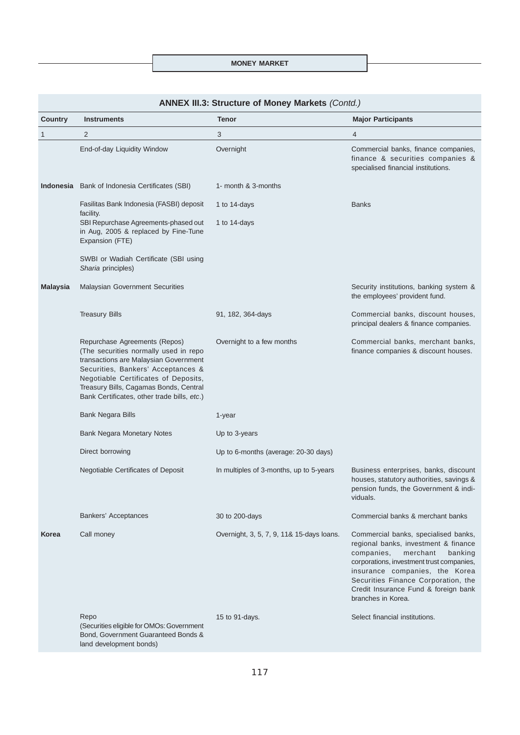**MONEY MARKET**

| Country  | <b>Instruments</b>                                                                                                                                                                                                                                                                     | $\frac{1}{1000}$ . Ou abtaile bi money managed $\frac{1}{1000}$<br><b>Tenor</b> | <b>Major Participants</b>                                                                                                                                                                                                                                                                             |
|----------|----------------------------------------------------------------------------------------------------------------------------------------------------------------------------------------------------------------------------------------------------------------------------------------|---------------------------------------------------------------------------------|-------------------------------------------------------------------------------------------------------------------------------------------------------------------------------------------------------------------------------------------------------------------------------------------------------|
| 1        | $\overline{2}$                                                                                                                                                                                                                                                                         | 3                                                                               | $\overline{4}$                                                                                                                                                                                                                                                                                        |
|          | End-of-day Liquidity Window                                                                                                                                                                                                                                                            | Overnight                                                                       | Commercial banks, finance companies,<br>finance & securities companies &<br>specialised financial institutions.                                                                                                                                                                                       |
|          | <b>Indonesia</b> Bank of Indonesia Certificates (SBI)                                                                                                                                                                                                                                  | 1- month & 3-months                                                             |                                                                                                                                                                                                                                                                                                       |
|          | Fasilitas Bank Indonesia (FASBI) deposit<br>facility.                                                                                                                                                                                                                                  | 1 to 14-days                                                                    | <b>Banks</b>                                                                                                                                                                                                                                                                                          |
|          | SBI Repurchase Agreements-phased out<br>in Aug, 2005 & replaced by Fine-Tune<br>Expansion (FTE)                                                                                                                                                                                        | 1 to 14-days                                                                    |                                                                                                                                                                                                                                                                                                       |
|          | SWBI or Wadiah Certificate (SBI using<br>Sharia principles)                                                                                                                                                                                                                            |                                                                                 |                                                                                                                                                                                                                                                                                                       |
| Malaysia | <b>Malaysian Government Securities</b>                                                                                                                                                                                                                                                 |                                                                                 | Security institutions, banking system &<br>the employees' provident fund.                                                                                                                                                                                                                             |
|          | <b>Treasury Bills</b>                                                                                                                                                                                                                                                                  | 91, 182, 364-days                                                               | Commercial banks, discount houses,<br>principal dealers & finance companies.                                                                                                                                                                                                                          |
|          | Repurchase Agreements (Repos)<br>(The securities normally used in repo<br>transactions are Malaysian Government<br>Securities, Bankers' Acceptances &<br>Negotiable Certificates of Deposits,<br>Treasury Bills, Cagamas Bonds, Central<br>Bank Certificates, other trade bills, etc.) | Overnight to a few months                                                       | Commercial banks, merchant banks,<br>finance companies & discount houses.                                                                                                                                                                                                                             |
|          | Bank Negara Bills                                                                                                                                                                                                                                                                      | 1-year                                                                          |                                                                                                                                                                                                                                                                                                       |
|          | <b>Bank Negara Monetary Notes</b>                                                                                                                                                                                                                                                      | Up to 3-years                                                                   |                                                                                                                                                                                                                                                                                                       |
|          | Direct borrowing                                                                                                                                                                                                                                                                       | Up to 6-months (average: 20-30 days)                                            |                                                                                                                                                                                                                                                                                                       |
|          | Negotiable Certificates of Deposit                                                                                                                                                                                                                                                     | In multiples of 3-months, up to 5-years                                         | Business enterprises, banks, discount<br>houses, statutory authorities, savings &<br>pension funds, the Government & indi-<br>viduals.                                                                                                                                                                |
|          | <b>Bankers' Acceptances</b>                                                                                                                                                                                                                                                            | 30 to 200-days                                                                  | Commercial banks & merchant banks                                                                                                                                                                                                                                                                     |
| Korea    | Call money                                                                                                                                                                                                                                                                             | Overnight, 3, 5, 7, 9, 11& 15-days loans.                                       | Commercial banks, specialised banks,<br>regional banks, investment & finance<br>companies,<br>merchant<br>banking<br>corporations, investment trust companies,<br>insurance companies, the Korea<br>Securities Finance Corporation, the<br>Credit Insurance Fund & foreign bank<br>branches in Korea. |
|          | Repo<br>(Securities eligible for OMOs: Government<br>Bond, Government Guaranteed Bonds &<br>land development bonds)                                                                                                                                                                    | 15 to 91-days.                                                                  | Select financial institutions.                                                                                                                                                                                                                                                                        |

# **ANNEX III.3: Structure of Money Markets** *(Contd.)*